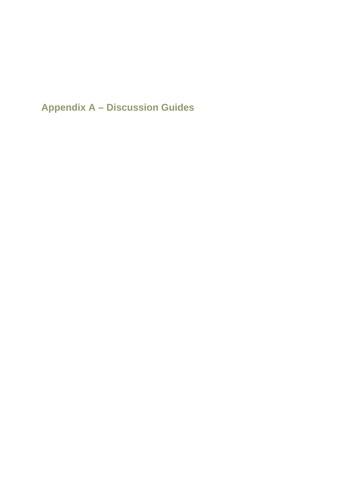**Appendix A – Discussion Guides**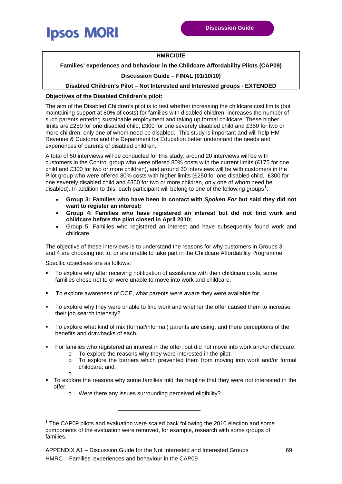

#### **HMRC/DfE**

#### **Families' experiences and behaviour in the Childcare Affordability Pilots (CAP09)**

#### **Discussion Guide – FINAL (01/10/10)**

#### **Disabled Children's Pilot – Not Interested and Interested groups - EXTENDED**

#### **Objectives of the Disabled Children's pilot:**

The aim of the Disabled Children's pilot is to test whether increasing the childcare cost limits (but maintaining support at 80% of costs) for families with disabled children, increases the number of such parents entering sustainable employment and taking up formal childcare. These higher limits are £250 for one disabled child, £300 for one severely disabled child and £350 for two or more children, only one of whom need be disabled. This study is important and will help HM Revenue & Customs and the Department for Education better understand the needs and experiences of parents of disabled children.

A total of 50 interviews will be conducted for this study, around 20 interviews will be with customers in the Control group who were offered 80% costs with the current limits (£175 for one child and £300 for two or more children), and around 30 interviews will be with customers in the Pilot group who were offered 80% costs with higher limits (£250 for one disabled child, £300 for one severely disabled child and £350 for two or more children, only one of whom need be disabled). In addition to this, each participant will belong to one of the following groups<sup>[1](#page-1-0)</sup>:

- **Group 3: Families who have been in contact with** *Spoken For* **but said they did not want to register an interest***;*
- **Group 4: Families who have registered an interest but did not find work and childcare before the pilot closed in April 2010;**
- Group 5: Families who registered an interest and have subsequently found work and childcare.

The objective of these interviews is to understand the reasons for why customers in Groups 3 and 4 are choosing not to, or are unable to take part in the Childcare Affordability Programme.

Specific objectives are as follows:

- To explore why after receiving notification of assistance with their childcare costs, some families chose not to or were unable to move into work and childcare,
- To explore awareness of CCE, what parents were aware they were available for
- To explore why they were unable to find work and whether the offer caused them to increase their job search intensity?
- To explore what kind of mix (formal/informal) parents are using, and there perceptions of the benefits and drawbacks of each.
- For families who registered an interest in the offer, but did not move into work and/or childcare:
	- o To explore the reasons why they were interested in the pilot;
	- $\circ$  To explore the barriers which prevented them from moving into work and/or formal childcare; and,
	-

o

- To explore the reasons why some families told the helpline that they were not interested in the offer.
	- o Were there any issues surrounding perceived eligibility?

-

<span id="page-1-0"></span> $1$  The CAP09 pilots and evaluation were scaled back following the 2010 election and some components of the evaluation were removed, for example, research with some groups of families.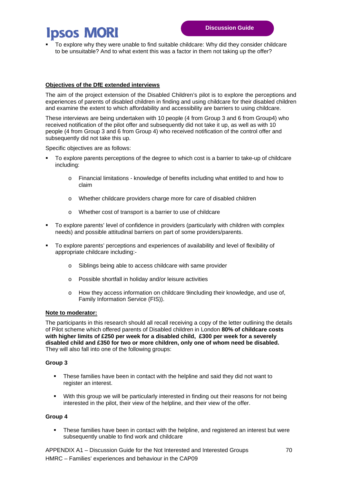To explore why they were unable to find suitable childcare: Why did they consider childcare to be unsuitable? And to what extent this was a factor in them not taking up the offer?

#### **Objectives of the DfE extended interviews**

The aim of the project extension of the Disabled Children's pilot is to explore the perceptions and experiences of parents of disabled children in finding and using childcare for their disabled children and examine the extent to which affordability and accessibility are barriers to using childcare.

These interviews are being undertaken with 10 people (4 from Group 3 and 6 from Group4) who received notification of the pilot offer and subsequently did not take it up, as well as with 10 people (4 from Group 3 and 6 from Group 4) who received notification of the control offer and subsequently did not take this up.

Specific objectives are as follows:

- To explore parents perceptions of the degree to which cost is a barrier to take-up of childcare including:
	- o Financial limitations knowledge of benefits including what entitled to and how to claim
	- o Whether childcare providers charge more for care of disabled children
	- o Whether cost of transport is a barrier to use of childcare
- To explore parents' level of confidence in providers (particularly with children with complex needs) and possible attitudinal barriers on part of some providers/parents.
- To explore parents' perceptions and experiences of availability and level of flexibility of appropriate childcare including:
	- o Siblings being able to access childcare with same provider
	- o Possible shortfall in holiday and/or leisure activities
	- o How they access information on childcare 9including their knowledge, and use of, Family Information Service (FIS)).

#### **Note to moderator:**

The participants in this research should all recall receiving a copy of the letter outlining the details of Pilot scheme which offered parents of Disabled children in London **80% of childcare costs with higher limits of £250 per week for a disabled child, £300 per week for a severely disabled child and £350 for two or more children, only one of whom need be disabled.** They will also fall into one of the following groups:

#### **Group 3**

- These families have been in contact with the helpline and said they did not want to register an interest.
- With this group we will be particularly interested in finding out their reasons for not being interested in the pilot, their view of the helpline, and their view of the offer.

#### **Group 4**

 These families have been in contact with the helpline, and registered an interest but were subsequently unable to find work and childcare

APPENDIX A1 – Discussion Guide for the Not Interested and Interested Groups 70 HMRC – Families' experiences and behaviour in the CAP09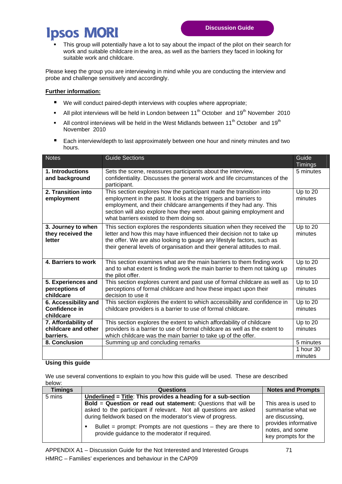This group will potentially have a lot to say about the impact of the pilot on their search for work and suitable childcare in the area, as well as the barriers they faced in looking for suitable work and childcare.

Please keep the group you are interviewing in mind while you are conducting the interview and probe and challenge sensitively and accordingly.

#### **Further information:**

- We will conduct paired-depth interviews with couples where appropriate;
- All pilot interviews will be held in London between  $11^{th}$  October and  $19^{th}$  November 2010
- All control interviews will be held in the West Midlands between  $11<sup>th</sup>$  October and  $19<sup>th</sup>$ November 2010
- **Each interview/depth to last approximately between one hour and ninety minutes and two** hours.

| <b>Notes</b>                                              | <b>Guide Sections</b>                                                                                                                                                                                                                                                                                                           | Guide<br><b>Timings</b>           |
|-----------------------------------------------------------|---------------------------------------------------------------------------------------------------------------------------------------------------------------------------------------------------------------------------------------------------------------------------------------------------------------------------------|-----------------------------------|
| 1. Introductions<br>and background                        | Sets the scene, reassures participants about the interview,<br>confidentiality. Discusses the general work and life circumstances of the<br>participant.                                                                                                                                                                        | 5 minutes                         |
| 2. Transition into<br>employment                          | This section explores how the participant made the transition into<br>employment in the past. It looks at the triggers and barriers to<br>employment, and their childcare arrangements if they had any. This<br>section will also explore how they went about gaining employment and<br>what barriers existed to them doing so. | Up to 20<br>minutes               |
| 3. Journey to when<br>they received the<br>letter         | This section explores the respondents situation when they received the<br>letter and how this may have influenced their decision not to take up<br>the offer. We are also looking to gauge any lifestyle factors, such as<br>their general levels of organisation and their general attitudes to mail.                          | Up to 20<br>minutes               |
| 4. Barriers to work                                       | This section examines what are the main barriers to them finding work<br>and to what extent is finding work the main barrier to them not taking up<br>the pilot offer.                                                                                                                                                          | Up to 20<br>minutes               |
| 5. Experiences and<br>perceptions of<br>childcare         | This section explores current and past use of formal childcare as well as<br>perceptions of formal childcare and how these impact upon their<br>decision to use it                                                                                                                                                              | Up to 10<br>minutes               |
| 6. Accessibility and<br><b>Confidence in</b><br>childcare | This section explores the extent to which accessibility and confidence in<br>childcare providers is a barrier to use of formal childcare.                                                                                                                                                                                       | Up to 20<br>minutes               |
| 7. Affordability of<br>childcare and other<br>barriers.   | This section explores the extent to which affordability of childcare<br>providers is a barrier to use of formal childcare as well as the extent to<br>which childcare was the main barrier to take up of the offer.                                                                                                             | Up to 20<br>minutes               |
| 8. Conclusion                                             | Summing up and concluding remarks                                                                                                                                                                                                                                                                                               | 5 minutes<br>1 hour 30<br>minutes |

#### **Using this guide**

We use several conventions to explain to you how this guide will be used. These are described below:

| <b>Timings</b> | Questions                                                                                                                            | <b>Notes and Prompts</b>                                       |
|----------------|--------------------------------------------------------------------------------------------------------------------------------------|----------------------------------------------------------------|
| 5 mins         | Underlined = $\overline{\text{Title}}$ : This provides a heading for a sub-section                                                   |                                                                |
|                | Bold = Question or read out statement: Questions that will be                                                                        | This area is used to                                           |
|                | asked to the participant if relevant. Not all questions are asked                                                                    | summarise what we                                              |
|                | during fieldwork based on the moderator's view of progress.                                                                          | are discussing,                                                |
|                | Bullet = prompt: Prompts are not questions $-$ they are there to<br>$\blacksquare$<br>provide guidance to the moderator if required. | provides informative<br>notes, and some<br>key prompts for the |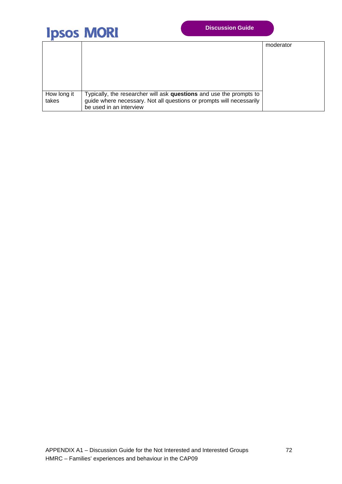

|             |                                                                      | moderator |
|-------------|----------------------------------------------------------------------|-----------|
|             |                                                                      |           |
|             |                                                                      |           |
|             |                                                                      |           |
|             |                                                                      |           |
|             |                                                                      |           |
| How long it | Typically, the researcher will ask questions and use the prompts to  |           |
| takes       | guide where necessary. Not all questions or prompts will necessarily |           |
|             | be used in an interview                                              |           |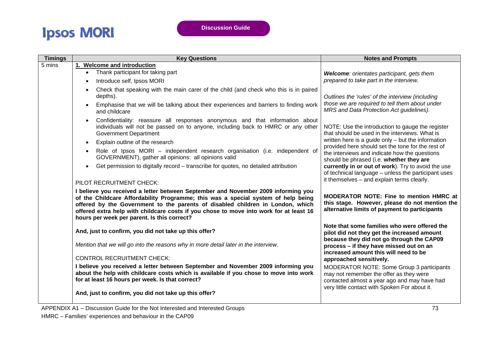| <b>Timings</b>                                                                                                                                                                                                                                                                                                                                                                                                                                                                                                                                                                                                                                                                                                                                                                                                           | <b>Key Questions</b>                                                                                                                                                                             | <b>Notes and Prompts</b>                                                                                                                                                              |
|--------------------------------------------------------------------------------------------------------------------------------------------------------------------------------------------------------------------------------------------------------------------------------------------------------------------------------------------------------------------------------------------------------------------------------------------------------------------------------------------------------------------------------------------------------------------------------------------------------------------------------------------------------------------------------------------------------------------------------------------------------------------------------------------------------------------------|--------------------------------------------------------------------------------------------------------------------------------------------------------------------------------------------------|---------------------------------------------------------------------------------------------------------------------------------------------------------------------------------------|
| 5 mins                                                                                                                                                                                                                                                                                                                                                                                                                                                                                                                                                                                                                                                                                                                                                                                                                   | 1. Welcome and introduction                                                                                                                                                                      |                                                                                                                                                                                       |
|                                                                                                                                                                                                                                                                                                                                                                                                                                                                                                                                                                                                                                                                                                                                                                                                                          | Thank participant for taking part<br>$\bullet$                                                                                                                                                   | Welcome: orientates participant, gets them                                                                                                                                            |
|                                                                                                                                                                                                                                                                                                                                                                                                                                                                                                                                                                                                                                                                                                                                                                                                                          | Introduce self, Ipsos MORI<br>$\bullet$                                                                                                                                                          | prepared to take part in the interview.                                                                                                                                               |
|                                                                                                                                                                                                                                                                                                                                                                                                                                                                                                                                                                                                                                                                                                                                                                                                                          | Check that speaking with the main carer of the child (and check who this is in paired<br>$\bullet$<br>depths).                                                                                   | Outlines the 'rules' of the interview (including                                                                                                                                      |
|                                                                                                                                                                                                                                                                                                                                                                                                                                                                                                                                                                                                                                                                                                                                                                                                                          | Emphasise that we will be talking about their experiences and barriers to finding work<br>$\bullet$<br>and childcare                                                                             | those we are required to tell them about under<br>MRS and Data Protection Act guidelines).                                                                                            |
|                                                                                                                                                                                                                                                                                                                                                                                                                                                                                                                                                                                                                                                                                                                                                                                                                          | Confidentiality: reassure all responses anonymous and that information about<br>individuals will not be passed on to anyone, including back to HMRC or any other<br><b>Government Department</b> | NOTE: Use the introduction to gauge the register<br>that should be used in the interviews. What is                                                                                    |
|                                                                                                                                                                                                                                                                                                                                                                                                                                                                                                                                                                                                                                                                                                                                                                                                                          | Explain outline of the research<br>$\bullet$                                                                                                                                                     | written here is a <i>guide</i> only $-$ but the information                                                                                                                           |
|                                                                                                                                                                                                                                                                                                                                                                                                                                                                                                                                                                                                                                                                                                                                                                                                                          | Role of Ipsos MORI - independent research organisation (i.e. independent of<br>GOVERNMENT), gather all opinions: all opinions valid                                                              | provided here should set the tone for the rest of<br>the interviews and indicate how the questions<br>should be phrased (i.e. whether they are                                        |
|                                                                                                                                                                                                                                                                                                                                                                                                                                                                                                                                                                                                                                                                                                                                                                                                                          | Get permission to digitally record - transcribe for quotes, no detailed attribution<br>$\bullet$                                                                                                 | currently in or out of work). Try to avoid the use<br>of technical language - unless the participant uses                                                                             |
|                                                                                                                                                                                                                                                                                                                                                                                                                                                                                                                                                                                                                                                                                                                                                                                                                          | PILOT RECRUITMENT CHECK:                                                                                                                                                                         | it themselves - and explain terms clearly.                                                                                                                                            |
| I believe you received a letter between September and November 2009 informing you<br>of the Childcare Affordability Programme; this was a special system of help being<br>offered by the Government to the parents of disabled children in London, which<br>offered extra help with childcare costs if you chose to move into work for at least 16<br>hours per week per parent. Is this correct?<br>And, just to confirm, you did not take up this offer?<br>Mention that we will go into the reasons why in more detail later in the interview.<br><b>CONTROL RECRUITMENT CHECK:</b><br>I believe you received a letter between September and November 2009 informing you<br>about the help with childcare costs which is available if you chose to move into work<br>for at least 16 hours per week. Is that correct? |                                                                                                                                                                                                  | <b>MODERATOR NOTE: Fine to mention HMRC at</b><br>this stage. However, please do not mention the<br>alternative limits of payment to participants                                     |
|                                                                                                                                                                                                                                                                                                                                                                                                                                                                                                                                                                                                                                                                                                                                                                                                                          | Note that some families who were offered the<br>pilot did not they get the increased amount                                                                                                      |                                                                                                                                                                                       |
|                                                                                                                                                                                                                                                                                                                                                                                                                                                                                                                                                                                                                                                                                                                                                                                                                          |                                                                                                                                                                                                  | because they did not go through the CAP09<br>process - if they have missed out on an<br>increased amount this will need to be                                                         |
|                                                                                                                                                                                                                                                                                                                                                                                                                                                                                                                                                                                                                                                                                                                                                                                                                          |                                                                                                                                                                                                  | approached sensitively.                                                                                                                                                               |
|                                                                                                                                                                                                                                                                                                                                                                                                                                                                                                                                                                                                                                                                                                                                                                                                                          |                                                                                                                                                                                                  | MODERATOR NOTE: Some Group 3 participants<br>may not remember the offer as they were<br>contacted almost a year ago and may have had<br>very little contact with Spoken For about it. |
|                                                                                                                                                                                                                                                                                                                                                                                                                                                                                                                                                                                                                                                                                                                                                                                                                          | And, just to confirm, you did not take up this offer?                                                                                                                                            |                                                                                                                                                                                       |

APPENDIX A1 – Discussion Guide for the Not Interested and Interested Groups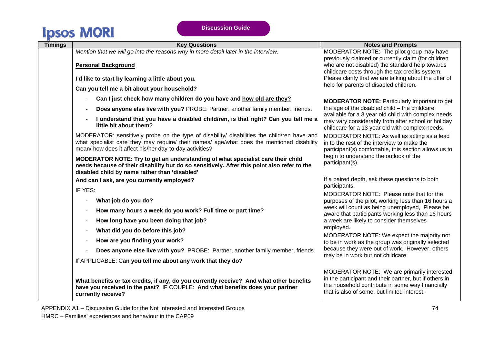| <b>Timings</b> | <b>Key Questions</b>                                                                                                                                                                                                                                 | <b>Notes and Prompts</b>                                                                                                                                                                                 |
|----------------|------------------------------------------------------------------------------------------------------------------------------------------------------------------------------------------------------------------------------------------------------|----------------------------------------------------------------------------------------------------------------------------------------------------------------------------------------------------------|
|                | Mention that we will go into the reasons why in more detail later in the interview.                                                                                                                                                                  | MODERATOR NOTE: The pilot group may have<br>previously claimed or currently claim (for children                                                                                                          |
|                | <b>Personal Background</b>                                                                                                                                                                                                                           | who are not disabled) the standard help towards<br>childcare costs through the tax credits system.                                                                                                       |
|                | I'd like to start by learning a little about you.                                                                                                                                                                                                    | Please clarify that we are talking about the offer of<br>help for parents of disabled children.                                                                                                          |
|                | Can you tell me a bit about your household?                                                                                                                                                                                                          |                                                                                                                                                                                                          |
|                | Can I just check how many children do you have and how old are they?                                                                                                                                                                                 | <b>MODERATOR NOTE:</b> Particularly important to get                                                                                                                                                     |
|                | Does anyone else live with you? PROBE: Partner, another family member, friends.                                                                                                                                                                      | the age of the disabled $child$ – the childcare                                                                                                                                                          |
|                | I understand that you have a disabled child/ren, is that right? Can you tell me a<br>little bit about them?                                                                                                                                          | available for a 3 year old child with complex needs<br>may vary considerably from after school or holiday<br>childcare for a 13 year old with complex needs.                                             |
|                | MODERATOR: sensitively probe on the type of disability/ disabilities the child/ren have and<br>what specialist care they may require/ their names/ age/what does the mentioned disability<br>mean/ how does it affect his/her day-to-day activities? | MODERATOR NOTE: As well as acting as a lead<br>in to the rest of the interview to make the<br>participant(s) comfortable, this section allows us to                                                      |
|                | MODERATOR NOTE: Try to get an understanding of what specialist care their child<br>needs because of their disability but do so sensitively. After this point also refer to the<br>disabled child by name rather than 'disabled'                      | begin to understand the outlook of the<br>participant(s).                                                                                                                                                |
|                | And can I ask, are you currently employed?                                                                                                                                                                                                           | If a paired depth, ask these questions to both<br>participants.                                                                                                                                          |
|                | IF YES:                                                                                                                                                                                                                                              | MODERATOR NOTE: Please note that for the                                                                                                                                                                 |
|                | What job do you do?                                                                                                                                                                                                                                  | purposes of the pilot, working less than 16 hours a                                                                                                                                                      |
|                | How many hours a week do you work? Full time or part time?                                                                                                                                                                                           | week will count as being unemployed, Please be<br>aware that participants working less than 16 hours                                                                                                     |
|                | How long have you been doing that job?                                                                                                                                                                                                               | a week are likely to consider themselves                                                                                                                                                                 |
|                | What did you do before this job?                                                                                                                                                                                                                     | employed.<br>MODERATOR NOTE: We expect the majority not                                                                                                                                                  |
|                | How are you finding your work?                                                                                                                                                                                                                       | to be in work as the group was originally selected                                                                                                                                                       |
|                | Does anyone else live with you? PROBE: Partner, another family member, friends.                                                                                                                                                                      | because they were out of work. However, others<br>may be in work but not childcare.                                                                                                                      |
|                | If APPLICABLE: Can you tell me about any work that they do?                                                                                                                                                                                          |                                                                                                                                                                                                          |
|                | What benefits or tax credits, if any, do you currently receive? And what other benefits<br>have you received in the past? IF COUPLE: And what benefits does your partner<br>currently receive?                                                       | MODERATOR NOTE: We are primarily interested<br>in the participant and their partner, but if others in<br>the household contribute in some way financially<br>that is also of some, but limited interest. |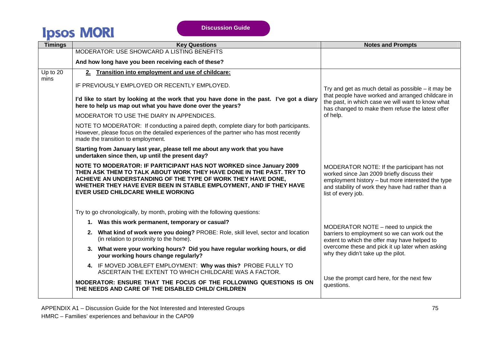| <b>Timings</b> | <b>Key Questions</b>                                                                                                                                                                                                                                                                                                         | <b>Notes and Prompts</b>                                                                                                                                                                                                  |
|----------------|------------------------------------------------------------------------------------------------------------------------------------------------------------------------------------------------------------------------------------------------------------------------------------------------------------------------------|---------------------------------------------------------------------------------------------------------------------------------------------------------------------------------------------------------------------------|
|                | MODERATOR: USE SHOWCARD A LISTING BENEFITS                                                                                                                                                                                                                                                                                   |                                                                                                                                                                                                                           |
|                | And how long have you been receiving each of these?                                                                                                                                                                                                                                                                          |                                                                                                                                                                                                                           |
| Up to 20       | 2. Transition into employment and use of childcare:                                                                                                                                                                                                                                                                          |                                                                                                                                                                                                                           |
| mins           | IF PREVIOUSLY EMPLOYED OR RECENTLY EMPLOYED.                                                                                                                                                                                                                                                                                 | Try and get as much detail as possible $-$ it may be                                                                                                                                                                      |
|                | I'd like to start by looking at the work that you have done in the past. I've got a diary<br>here to help us map out what you have done over the years?                                                                                                                                                                      | that people have worked and arranged childcare in<br>the past, in which case we will want to know what<br>has changed to make them refuse the latest offer                                                                |
|                | MODERATOR TO USE THE DIARY IN APPENDICES.                                                                                                                                                                                                                                                                                    | of help.                                                                                                                                                                                                                  |
|                | NOTE TO MODERATOR: If conducting a paired depth, complete diary for both participants.<br>However, please focus on the detailed experiences of the partner who has most recently<br>made the transition to employment.                                                                                                       |                                                                                                                                                                                                                           |
|                | Starting from January last year, please tell me about any work that you have<br>undertaken since then, up until the present day?                                                                                                                                                                                             |                                                                                                                                                                                                                           |
|                | NOTE TO MODERATOR: IF PARTICIPANT HAS NOT WORKED since January 2009<br>THEN ASK THEM TO TALK ABOUT WORK THEY HAVE DONE IN THE PAST. TRY TO<br>ACHIEVE AN UNDERSTANDING OF THE TYPE OF WORK THEY HAVE DONE,<br>WHETHER THEY HAVE EVER BEEN IN STABLE EMPLOYMENT, AND IF THEY HAVE<br><b>EVER USED CHILDCARE WHILE WORKING</b> | MODERATOR NOTE: If the participant has not<br>worked since Jan 2009 briefly discuss their<br>employment history - but more interested the type<br>and stability of work they have had rather than a<br>list of every job. |
|                | Try to go chronologically, by month, probing with the following questions:                                                                                                                                                                                                                                                   |                                                                                                                                                                                                                           |
|                | 1. Was this work permanent, temporary or casual?                                                                                                                                                                                                                                                                             | MODERATOR NOTE – need to unpick the                                                                                                                                                                                       |
|                | 2. What kind of work were you doing? PROBE: Role, skill level, sector and location<br>(in relation to proximity to the home).                                                                                                                                                                                                | barriers to employment so we can work out the<br>extent to which the offer may have helped to                                                                                                                             |
|                | 3. What were your working hours? Did you have regular working hours, or did<br>your working hours change regularly?                                                                                                                                                                                                          | overcome these and pick it up later when asking<br>why they didn't take up the pilot.                                                                                                                                     |
|                | 4. IF MOVED JOB/LEFT EMPLOYMENT: Why was this? PROBE FULLY TO<br>ASCERTAIN THE EXTENT TO WHICH CHILDCARE WAS A FACTOR.                                                                                                                                                                                                       |                                                                                                                                                                                                                           |
|                | MODERATOR: ENSURE THAT THE FOCUS OF THE FOLLOWING QUESTIONS IS ON<br>THE NEEDS AND CARE OF THE DISABLED CHILD/ CHILDREN                                                                                                                                                                                                      | Use the prompt card here, for the next few<br>questions.                                                                                                                                                                  |
|                |                                                                                                                                                                                                                                                                                                                              |                                                                                                                                                                                                                           |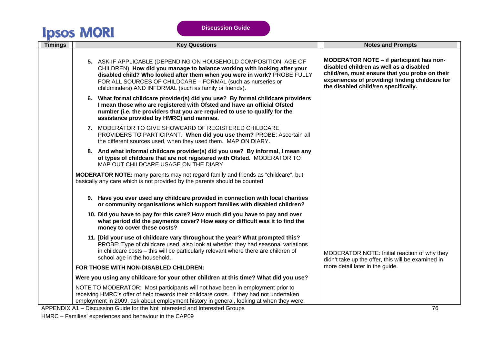| <b>Timings</b> | <b>Key Questions</b>                                                                                                                                                                                                                                                                                                                               | <b>Notes and Prompts</b>                                                                                                                                                                                                         |
|----------------|----------------------------------------------------------------------------------------------------------------------------------------------------------------------------------------------------------------------------------------------------------------------------------------------------------------------------------------------------|----------------------------------------------------------------------------------------------------------------------------------------------------------------------------------------------------------------------------------|
|                | 5. ASK IF APPLICABLE (DEPENDING ON HOUSEHOLD COMPOSITION, AGE OF<br>CHILDREN). How did you manage to balance working with looking after your<br>disabled child? Who looked after them when you were in work? PROBE FULLY<br>FOR ALL SOURCES OF CHILDCARE - FORMAL (such as nurseries or<br>childminders) AND INFORMAL (such as family or friends). | MODERATOR NOTE - if participant has non-<br>disabled children as well as a disabled<br>child/ren, must ensure that you probe on their<br>experiences of providing/ finding childcare for<br>the disabled child/ren specifically. |
|                | 6. What formal childcare provider(s) did you use? By formal childcare providers<br>I mean those who are registered with Ofsted and have an official Ofsted<br>number (i.e. the providers that you are required to use to qualify for the<br>assistance provided by HMRC) and nannies.                                                              |                                                                                                                                                                                                                                  |
|                | 7. MODERATOR TO GIVE SHOWCARD OF REGISTERED CHILDCARE<br>PROVIDERS TO PARTICIPANT. When did you use them? PROBE: Ascertain all<br>the different sources used, when they used them. MAP ON DIARY.                                                                                                                                                   |                                                                                                                                                                                                                                  |
|                | 8. And what informal childcare provider(s) did you use? By informal, I mean any<br>of types of childcare that are not registered with Ofsted. MODERATOR TO<br>MAP OUT CHILDCARE USAGE ON THE DIARY                                                                                                                                                 |                                                                                                                                                                                                                                  |
|                | <b>MODERATOR NOTE:</b> many parents may not regard family and friends as "childcare", but<br>basically any care which is not provided by the parents should be counted                                                                                                                                                                             |                                                                                                                                                                                                                                  |
|                | 9. Have you ever used any childcare provided in connection with local charities<br>or community organisations which support families with disabled children?                                                                                                                                                                                       |                                                                                                                                                                                                                                  |
|                | 10. Did you have to pay for this care? How much did you have to pay and over<br>what period did the payments cover? How easy or difficult was it to find the<br>money to cover these costs?                                                                                                                                                        |                                                                                                                                                                                                                                  |
|                | 11. [Did your use of childcare vary throughout the year? What prompted this?<br>PROBE: Type of childcare used, also look at whether they had seasonal variations<br>in childcare costs - this will be particularly relevant where there are children of<br>school age in the household.                                                            | MODERATOR NOTE: Initial reaction of why they<br>didn't take up the offer, this will be examined in                                                                                                                               |
|                | FOR THOSE WITH NON-DISABLED CHILDREN:                                                                                                                                                                                                                                                                                                              | more detail later in the guide.                                                                                                                                                                                                  |
|                | Were you using any childcare for your other children at this time? What did you use?                                                                                                                                                                                                                                                               |                                                                                                                                                                                                                                  |
|                | NOTE TO MODERATOR: Most participants will not have been in employment prior to<br>receiving HMRC's offer of help towards their childcare costs. If they had not undertaken<br>employment in 2009, ask about employment history in general, looking at when they were                                                                               |                                                                                                                                                                                                                                  |
|                | APPENDIX A1 - Discussion Guide for the Not Interested and Interested Groups                                                                                                                                                                                                                                                                        | 76                                                                                                                                                                                                                               |

HMRC – Families' experiences and behaviour in the CAP09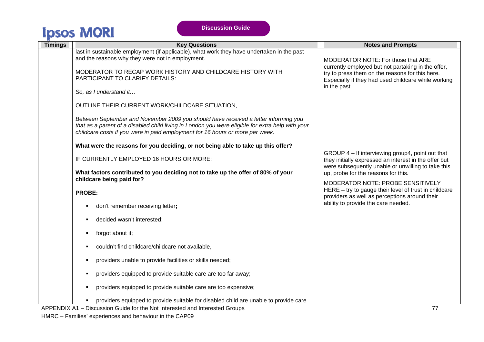| <b>Timings</b> | <b>Key Questions</b>                                                                                                                                                                    | <b>Notes and Prompts</b>                                                                                               |
|----------------|-----------------------------------------------------------------------------------------------------------------------------------------------------------------------------------------|------------------------------------------------------------------------------------------------------------------------|
|                | last in sustainable employment (if applicable), what work they have undertaken in the past<br>and the reasons why they were not in employment.                                          |                                                                                                                        |
|                |                                                                                                                                                                                         | MODERATOR NOTE: For those that ARE<br>currently employed but not partaking in the offer,                               |
|                | MODERATOR TO RECAP WORK HISTORY AND CHILDCARE HISTORY WITH<br>PARTICIPANT TO CLARIFY DETAILS:                                                                                           | try to press them on the reasons for this here.<br>Especially if they had used childcare while working<br>in the past. |
|                |                                                                                                                                                                                         |                                                                                                                        |
|                | So, as I understand it                                                                                                                                                                  |                                                                                                                        |
|                | OUTLINE THEIR CURRENT WORK/CHILDCARE SITUATION,                                                                                                                                         |                                                                                                                        |
|                | Between September and November 2009 you should have received a letter informing you<br>that as a parent of a disabled child living in London you were eligible for extra help with your |                                                                                                                        |
|                | childcare costs if you were in paid employment for 16 hours or more per week.                                                                                                           |                                                                                                                        |
|                | What were the reasons for you deciding, or not being able to take up this offer?                                                                                                        |                                                                                                                        |
|                | IF CURRENTLY EMPLOYED 16 HOURS OR MORE:                                                                                                                                                 | GROUP 4 – If interviewing group4, point out that<br>they initially expressed an interest in the offer but              |
|                | What factors contributed to you deciding not to take up the offer of 80% of your<br>childcare being paid for?                                                                           | were subsequently unable or unwilling to take this<br>up, probe for the reasons for this.                              |
|                |                                                                                                                                                                                         | MODERATOR NOTE: PROBE SENSITIVELY<br>HERE - try to gauge their level of trust in childcare                             |
|                | <b>PROBE:</b>                                                                                                                                                                           | providers as well as perceptions around their                                                                          |
|                | don't remember receiving letter;                                                                                                                                                        | ability to provide the care needed.                                                                                    |
|                | decided wasn't interested;                                                                                                                                                              |                                                                                                                        |
|                | forgot about it;<br>٠                                                                                                                                                                   |                                                                                                                        |
|                | couldn't find childcare/childcare not available,                                                                                                                                        |                                                                                                                        |
|                | providers unable to provide facilities or skills needed;                                                                                                                                |                                                                                                                        |
|                | providers equipped to provide suitable care are too far away;<br>٠                                                                                                                      |                                                                                                                        |
|                | providers equipped to provide suitable care are too expensive;<br>٠                                                                                                                     |                                                                                                                        |
|                | providers equipped to provide suitable for disabled child are unable to provide care                                                                                                    |                                                                                                                        |
|                | APPENDIX A1 - Discussion Guide for the Not Interested and Interested Groups                                                                                                             | 77                                                                                                                     |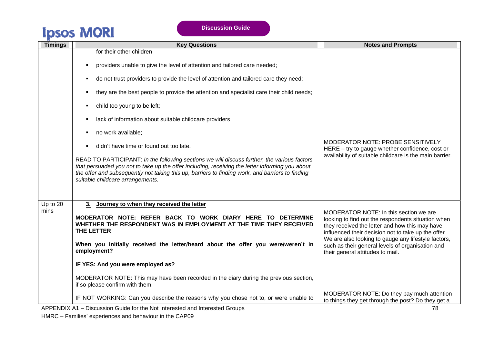| <b>Timings</b>     | <b>Key Questions</b>                                                                                                                                                                                                                                                                                                                                                                                                                                              | <b>Notes and Prompts</b>                                                                                                                                                                                                                                                                                                                             |
|--------------------|-------------------------------------------------------------------------------------------------------------------------------------------------------------------------------------------------------------------------------------------------------------------------------------------------------------------------------------------------------------------------------------------------------------------------------------------------------------------|------------------------------------------------------------------------------------------------------------------------------------------------------------------------------------------------------------------------------------------------------------------------------------------------------------------------------------------------------|
|                    | for their other children<br>providers unable to give the level of attention and tailored care needed;<br>$\blacksquare$<br>do not trust providers to provide the level of attention and tailored care they need;                                                                                                                                                                                                                                                  |                                                                                                                                                                                                                                                                                                                                                      |
|                    | they are the best people to provide the attention and specialist care their child needs;<br>child too young to be left;                                                                                                                                                                                                                                                                                                                                           |                                                                                                                                                                                                                                                                                                                                                      |
|                    | lack of information about suitable childcare providers<br>no work available;<br>didn't have time or found out too late.<br>READ TO PARTICIPANT: In the following sections we will discuss further, the various factors<br>that persuaded you not to take up the offer including, receiving the letter informing you about<br>the offer and subsequently not taking this up, barriers to finding work, and barriers to finding<br>suitable childcare arrangements. | MODERATOR NOTE: PROBE SENSITIVELY<br>HERE - try to gauge whether confidence, cost or<br>availability of suitable childcare is the main barrier.                                                                                                                                                                                                      |
| Up to $20$<br>mins | Journey to when they received the letter<br>3.<br>MODERATOR NOTE: REFER BACK TO WORK DIARY HERE TO DETERMINE<br>WHETHER THE RESPONDENT WAS IN EMPLOYMENT AT THE TIME THEY RECEIVED<br><b>THE LETTER</b><br>When you initially received the letter/heard about the offer you were/weren't in<br>employment?<br>IF YES: And you were employed as?<br>MODERATOR NOTE: This may have been recorded in the diary during the previous section,                          | MODERATOR NOTE: In this section we are<br>looking to find out the respondents situation when<br>they received the letter and how this may have<br>influenced their decision not to take up the offer.<br>We are also looking to gauge any lifestyle factors,<br>such as their general levels of organisation and<br>their general attitudes to mail. |
|                    | if so please confirm with them.<br>IF NOT WORKING: Can you describe the reasons why you chose not to, or were unable to<br>APPENDIX A1 - Discussion Guide for the Not Interested and Interested Groups                                                                                                                                                                                                                                                            | MODERATOR NOTE: Do they pay much attention<br>to things they get through the post? Do they get a<br>78                                                                                                                                                                                                                                               |

HMRC – Families' experiences and behaviour in the CAP09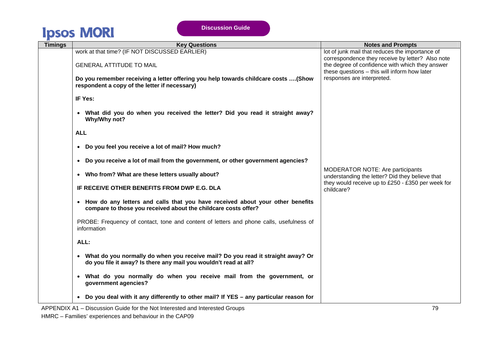| <b>Timings</b> | <b>Key Questions</b>                                                                                                                                  | <b>Notes and Prompts</b>                                                                                                                                                                               |
|----------------|-------------------------------------------------------------------------------------------------------------------------------------------------------|--------------------------------------------------------------------------------------------------------------------------------------------------------------------------------------------------------|
|                | work at that time? (IF NOT DISCUSSED EARLIER)<br><b>GENERAL ATTITUDE TO MAIL</b>                                                                      | lot of junk mail that reduces the importance of<br>correspondence they receive by letter? Also note<br>the degree of confidence with which they answer<br>these questions - this will inform how later |
|                | Do you remember receiving a letter offering you help towards childcare costs  (Show<br>respondent a copy of the letter if necessary)                  | responses are interpreted.                                                                                                                                                                             |
|                | IF Yes:                                                                                                                                               |                                                                                                                                                                                                        |
|                | • What did you do when you received the letter? Did you read it straight away?<br>Why/Why not?                                                        |                                                                                                                                                                                                        |
|                | <b>ALL</b>                                                                                                                                            |                                                                                                                                                                                                        |
|                | • Do you feel you receive a lot of mail? How much?                                                                                                    |                                                                                                                                                                                                        |
|                | • Do you receive a lot of mail from the government, or other government agencies?                                                                     |                                                                                                                                                                                                        |
|                | • Who from? What are these letters usually about?                                                                                                     | <b>MODERATOR NOTE: Are participants</b><br>understanding the letter? Did they believe that                                                                                                             |
|                | IF RECEIVE OTHER BENEFITS FROM DWP E.G. DLA                                                                                                           | they would receive up to £250 - £350 per week for<br>childcare?                                                                                                                                        |
|                | • How do any letters and calls that you have received about your other benefits<br>compare to those you received about the childcare costs offer?     |                                                                                                                                                                                                        |
|                | PROBE: Frequency of contact, tone and content of letters and phone calls, usefulness of<br>information                                                |                                                                                                                                                                                                        |
|                | ALL:                                                                                                                                                  |                                                                                                                                                                                                        |
|                | • What do you normally do when you receive mail? Do you read it straight away? Or<br>do you file it away? Is there any mail you wouldn't read at all? |                                                                                                                                                                                                        |
|                | • What do you normally do when you receive mail from the government, or<br>government agencies?                                                       |                                                                                                                                                                                                        |
|                | • Do you deal with it any differently to other mail? If YES - any particular reason for                                                               |                                                                                                                                                                                                        |

APPENDIX A1 – Discussion Guide for the Not Interested and Interested Groups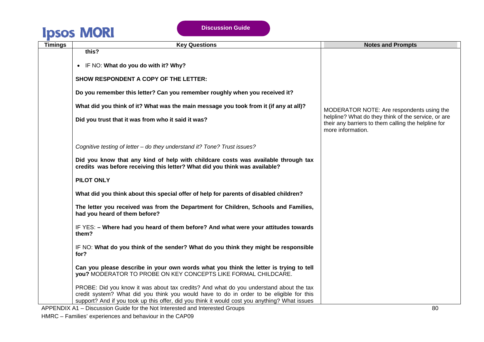| <b>Timings</b> | <b>Key Questions</b>                                                                                                                                                                                                                                                                                                                    | <b>Notes and Prompts</b>                                                                                                                                                     |
|----------------|-----------------------------------------------------------------------------------------------------------------------------------------------------------------------------------------------------------------------------------------------------------------------------------------------------------------------------------------|------------------------------------------------------------------------------------------------------------------------------------------------------------------------------|
|                | this?<br>IF NO: What do you do with it? Why?<br>$\bullet$<br><b>SHOW RESPONDENT A COPY OF THE LETTER:</b><br>Do you remember this letter? Can you remember roughly when you received it?<br>What did you think of it? What was the main message you took from it (if any at all)?<br>Did you trust that it was from who it said it was? | MODERATOR NOTE: Are respondents using the<br>helpline? What do they think of the service, or are<br>their any barriers to them calling the helpline for<br>more information. |
|                | Cognitive testing of letter - do they understand it? Tone? Trust issues?                                                                                                                                                                                                                                                                |                                                                                                                                                                              |
|                | Did you know that any kind of help with childcare costs was available through tax<br>credits was before receiving this letter? What did you think was available?                                                                                                                                                                        |                                                                                                                                                                              |
|                | PILOT ONLY                                                                                                                                                                                                                                                                                                                              |                                                                                                                                                                              |
|                | What did you think about this special offer of help for parents of disabled children?                                                                                                                                                                                                                                                   |                                                                                                                                                                              |
|                | The letter you received was from the Department for Children, Schools and Families,<br>had you heard of them before?                                                                                                                                                                                                                    |                                                                                                                                                                              |
|                | IF YES: - Where had you heard of them before? And what were your attitudes towards<br>them?                                                                                                                                                                                                                                             |                                                                                                                                                                              |
|                | IF NO: What do you think of the sender? What do you think they might be responsible<br>for?                                                                                                                                                                                                                                             |                                                                                                                                                                              |
|                | Can you please describe in your own words what you think the letter is trying to tell<br>you? MODERATOR TO PROBE ON KEY CONCEPTS LIKE FORMAL CHILDCARE.                                                                                                                                                                                 |                                                                                                                                                                              |
|                | PROBE: Did you know it was about tax credits? And what do you understand about the tax<br>credit system? What did you think you would have to do in order to be eligible for this<br>support? And if you took up this offer, did you think it would cost you anything? What issues                                                      |                                                                                                                                                                              |

APPENDIX A1 – Discussion Guide for the Not Interested and Interested Groups 80 and 100 and 100 and 100 and 100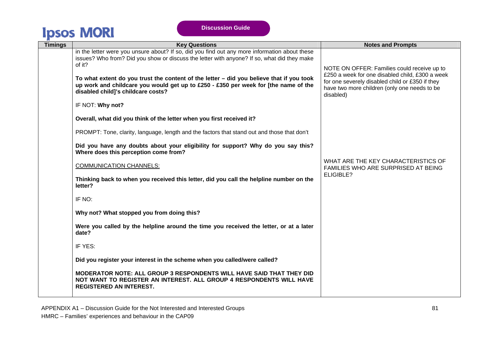| <b>Timings</b> | <b>Key Questions</b>                                                                                                                                                                                                            | <b>Notes and Prompts</b>                                                                                                                                                                                       |
|----------------|---------------------------------------------------------------------------------------------------------------------------------------------------------------------------------------------------------------------------------|----------------------------------------------------------------------------------------------------------------------------------------------------------------------------------------------------------------|
|                | in the letter were you unsure about? If so, did you find out any more information about these<br>issues? Who from? Did you show or discuss the letter with anyone? If so, what did they make                                    |                                                                                                                                                                                                                |
|                | of it?<br>To what extent do you trust the content of the letter - did you believe that if you took<br>up work and childcare you would get up to £250 - £350 per week for [the name of the<br>disabled child]'s childcare costs? | NOTE ON OFFER: Families could receive up to<br>£250 a week for one disabled child, £300 a week<br>for one severely disabled child or £350 if they<br>have two more children (only one needs to be<br>disabled) |
|                | IF NOT: Why not?                                                                                                                                                                                                                |                                                                                                                                                                                                                |
|                | Overall, what did you think of the letter when you first received it?                                                                                                                                                           |                                                                                                                                                                                                                |
|                | PROMPT: Tone, clarity, language, length and the factors that stand out and those that don't                                                                                                                                     |                                                                                                                                                                                                                |
|                | Did you have any doubts about your eligibility for support? Why do you say this?<br>Where does this perception come from?                                                                                                       |                                                                                                                                                                                                                |
|                | <b>COMMUNICATION CHANNELS:</b>                                                                                                                                                                                                  | WHAT ARE THE KEY CHARACTERISTICS OF<br>FAMILIES WHO ARE SURPRISED AT BEING                                                                                                                                     |
|                | Thinking back to when you received this letter, did you call the helpline number on the<br>letter?                                                                                                                              | ELIGIBLE?                                                                                                                                                                                                      |
|                | IF NO:                                                                                                                                                                                                                          |                                                                                                                                                                                                                |
|                | Why not? What stopped you from doing this?                                                                                                                                                                                      |                                                                                                                                                                                                                |
|                | Were you called by the helpline around the time you received the letter, or at a later<br>date?                                                                                                                                 |                                                                                                                                                                                                                |
|                | IF YES:                                                                                                                                                                                                                         |                                                                                                                                                                                                                |
|                | Did you register your interest in the scheme when you called/were called?                                                                                                                                                       |                                                                                                                                                                                                                |
|                | <b>MODERATOR NOTE: ALL GROUP 3 RESPONDENTS WILL HAVE SAID THAT THEY DID</b><br>NOT WANT TO REGISTER AN INTEREST. ALL GROUP 4 RESPONDENTS WILL HAVE<br><b>REGISTERED AN INTEREST.</b>                                            |                                                                                                                                                                                                                |

APPENDIX A1 – Discussion Guide for the Not Interested and Interested Groups HMRC – Families' experiences and behaviour in the CAP09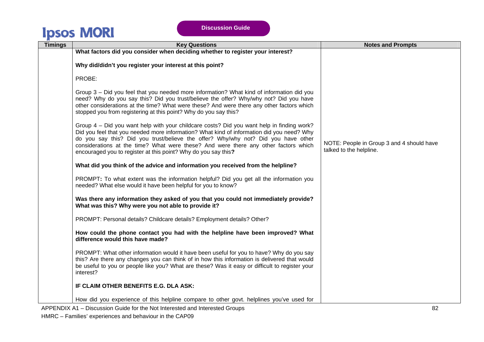**Discussion Guide** 

| <b>Timings</b> | <b>Key Questions</b>                                                                                                                                                                                                                                                                                                                                                                                                                 | <b>Notes and Prompts</b>                                             |
|----------------|--------------------------------------------------------------------------------------------------------------------------------------------------------------------------------------------------------------------------------------------------------------------------------------------------------------------------------------------------------------------------------------------------------------------------------------|----------------------------------------------------------------------|
|                | What factors did you consider when deciding whether to register your interest?                                                                                                                                                                                                                                                                                                                                                       |                                                                      |
|                | Why did/didn't you register your interest at this point?                                                                                                                                                                                                                                                                                                                                                                             |                                                                      |
|                | PROBE:                                                                                                                                                                                                                                                                                                                                                                                                                               |                                                                      |
|                | Group 3 - Did you feel that you needed more information? What kind of information did you<br>need? Why do you say this? Did you trust/believe the offer? Why/why not? Did you have<br>other considerations at the time? What were these? And were there any other factors which<br>stopped you from registering at this point? Why do you say this?                                                                                  |                                                                      |
|                | Group 4 – Did you want help with your childcare costs? Did you want help in finding work?<br>Did you feel that you needed more information? What kind of information did you need? Why<br>do you say this? Did you trust/believe the offer? Why/why not? Did you have other<br>considerations at the time? What were these? And were there any other factors which<br>encouraged you to register at this point? Why do you say this? | NOTE: People in Group 3 and 4 should have<br>talked to the helpline. |
|                | What did you think of the advice and information you received from the helpline?                                                                                                                                                                                                                                                                                                                                                     |                                                                      |
|                | PROMPT: To what extent was the information helpful? Did you get all the information you<br>needed? What else would it have been helpful for you to know?                                                                                                                                                                                                                                                                             |                                                                      |
|                | Was there any information they asked of you that you could not immediately provide?<br>What was this? Why were you not able to provide it?                                                                                                                                                                                                                                                                                           |                                                                      |
|                | PROMPT: Personal details? Childcare details? Employment details? Other?                                                                                                                                                                                                                                                                                                                                                              |                                                                      |
|                | How could the phone contact you had with the helpline have been improved? What<br>difference would this have made?                                                                                                                                                                                                                                                                                                                   |                                                                      |
|                | PROMPT: What other information would it have been useful for you to have? Why do you say<br>this? Are there any changes you can think of in how this information is delivered that would<br>be useful to you or people like you? What are these? Was it easy or difficult to register your<br>interest?                                                                                                                              |                                                                      |
|                | IF CLAIM OTHER BENEFITS E.G. DLA ASK:                                                                                                                                                                                                                                                                                                                                                                                                |                                                                      |
|                | How did you experience of this helpline compare to other govt. helplines you've used for                                                                                                                                                                                                                                                                                                                                             |                                                                      |

APPENDIX A1 – Discussion Guide for the Not Interested and Interested Groups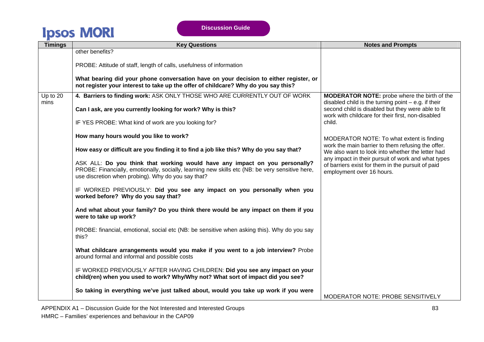| <b>Timings</b>   | <b>Key Questions</b>                                                                                                                                                                                                                 | <b>Notes and Prompts</b>                                                                                                             |
|------------------|--------------------------------------------------------------------------------------------------------------------------------------------------------------------------------------------------------------------------------------|--------------------------------------------------------------------------------------------------------------------------------------|
|                  | other benefits?                                                                                                                                                                                                                      |                                                                                                                                      |
|                  | PROBE: Attitude of staff, length of calls, usefulness of information                                                                                                                                                                 |                                                                                                                                      |
|                  | What bearing did your phone conversation have on your decision to either register, or<br>not register your interest to take up the offer of childcare? Why do you say this?                                                          |                                                                                                                                      |
| Up to 20<br>mins | 4. Barriers to finding work: ASK ONLY THOSE WHO ARE CURRENTLY OUT OF WORK                                                                                                                                                            | <b>MODERATOR NOTE:</b> probe where the birth of the<br>disabled child is the turning point $-$ e.g. if their                         |
|                  | Can I ask, are you currently looking for work? Why is this?                                                                                                                                                                          | second child is disabled but they were able to fit<br>work with childcare for their first, non-disabled                              |
|                  | IF YES PROBE: What kind of work are you looking for?                                                                                                                                                                                 | child.                                                                                                                               |
|                  | How many hours would you like to work?                                                                                                                                                                                               | MODERATOR NOTE: To what extent is finding                                                                                            |
|                  | How easy or difficult are you finding it to find a job like this? Why do you say that?                                                                                                                                               | work the main barrier to them refusing the offer.<br>We also want to look into whether the letter had                                |
|                  | ASK ALL: Do you think that working would have any impact on you personally?<br>PROBE: Financially, emotionally, socially, learning new skills etc (NB: be very sensitive here,<br>use discretion when probing). Why do you say that? | any impact in their pursuit of work and what types<br>of barriers exist for them in the pursuit of paid<br>employment over 16 hours. |
|                  | IF WORKED PREVIOUSLY: Did you see any impact on you personally when you<br>worked before? Why do you say that?                                                                                                                       |                                                                                                                                      |
|                  | And what about your family? Do you think there would be any impact on them if you<br>were to take up work?                                                                                                                           |                                                                                                                                      |
|                  | PROBE: financial, emotional, social etc (NB: be sensitive when asking this). Why do you say<br>this?                                                                                                                                 |                                                                                                                                      |
|                  | What childcare arrangements would you make if you went to a job interview? Probe<br>around formal and informal and possible costs                                                                                                    |                                                                                                                                      |
|                  | IF WORKED PREVIOUSLY AFTER HAVING CHILDREN: Did you see any impact on your<br>child(ren) when you used to work? Why/Why not? What sort of impact did you see?                                                                        |                                                                                                                                      |
|                  | So taking in everything we've just talked about, would you take up work if you were                                                                                                                                                  |                                                                                                                                      |
|                  |                                                                                                                                                                                                                                      | MODERATOR NOTE: PROBE SENSITIVELY                                                                                                    |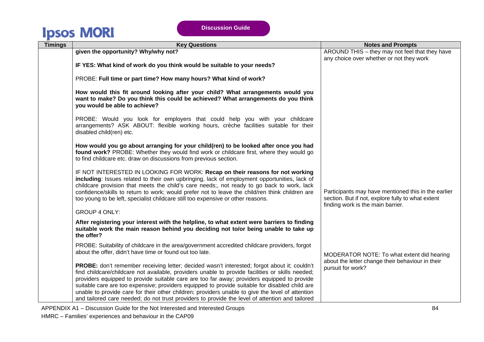| <b>Timings</b> | <b>Key Questions</b>                                                                                                                                                                                                                                                                                                                                                                                                                                                                                                                                                                                     | <b>Notes and Prompts</b>                                                                                                                      |  |  |  |
|----------------|----------------------------------------------------------------------------------------------------------------------------------------------------------------------------------------------------------------------------------------------------------------------------------------------------------------------------------------------------------------------------------------------------------------------------------------------------------------------------------------------------------------------------------------------------------------------------------------------------------|-----------------------------------------------------------------------------------------------------------------------------------------------|--|--|--|
|                | given the opportunity? Why/why not?                                                                                                                                                                                                                                                                                                                                                                                                                                                                                                                                                                      | AROUND THIS - they may not feel that they have                                                                                                |  |  |  |
|                |                                                                                                                                                                                                                                                                                                                                                                                                                                                                                                                                                                                                          | any choice over whether or not they work                                                                                                      |  |  |  |
|                | IF YES: What kind of work do you think would be suitable to your needs?                                                                                                                                                                                                                                                                                                                                                                                                                                                                                                                                  |                                                                                                                                               |  |  |  |
|                | PROBE: Full time or part time? How many hours? What kind of work?                                                                                                                                                                                                                                                                                                                                                                                                                                                                                                                                        |                                                                                                                                               |  |  |  |
|                | How would this fit around looking after your child? What arrangements would you<br>want to make? Do you think this could be achieved? What arrangements do you think<br>you would be able to achieve?                                                                                                                                                                                                                                                                                                                                                                                                    |                                                                                                                                               |  |  |  |
|                | PROBE: Would you look for employers that could help you with your childcare<br>arrangements? ASK ABOUT: flexible working hours, crèche facilities suitable for their<br>disabled child(ren) etc.                                                                                                                                                                                                                                                                                                                                                                                                         |                                                                                                                                               |  |  |  |
|                | How would you go about arranging for your child(ren) to be looked after once you had<br>found work? PROBE: Whether they would find work or childcare first, where they would go<br>to find childcare etc. draw on discussions from previous section.                                                                                                                                                                                                                                                                                                                                                     |                                                                                                                                               |  |  |  |
|                | IF NOT INTERESTED IN LOOKING FOR WORK: Recap on their reasons for not working<br>including: Issues related to their own upbringing, lack of employment opportunities, lack of<br>childcare provision that meets the child's care needs;, not ready to go back to work, lack<br>confidence/skills to return to work; would prefer not to leave the child/ren think children are<br>too young to be left, specialist childcare still too expensive or other reasons.<br><b>GROUP 4 ONLY:</b>                                                                                                               | Participants may have mentioned this in the earlier<br>section. But if not, explore fully to what extent<br>finding work is the main barrier. |  |  |  |
|                | After registering your interest with the helpline, to what extent were barriers to finding<br>suitable work the main reason behind you deciding not to/or being unable to take up<br>the offer?                                                                                                                                                                                                                                                                                                                                                                                                          |                                                                                                                                               |  |  |  |
|                | PROBE: Suitability of childcare in the area/government accredited childcare providers, forgot<br>about the offer, didn't have time or found out too late.                                                                                                                                                                                                                                                                                                                                                                                                                                                | MODERATOR NOTE: To what extent did hearing                                                                                                    |  |  |  |
|                | PROBE: don't remember receiving letter; decided wasn't interested; forgot about it; couldn't<br>find childcare/childcare not available, providers unable to provide facilities or skills needed;<br>providers equipped to provide suitable care are too far away; providers equipped to provide<br>suitable care are too expensive; providers equipped to provide suitable for disabled child are<br>unable to provide care for their other children; providers unable to give the level of attention<br>and tailored care needed; do not trust providers to provide the level of attention and tailored | about the letter change their behaviour in their<br>pursuit for work?                                                                         |  |  |  |

APPENDIX A1 – Discussion Guide for the Not Interested and Interested Groups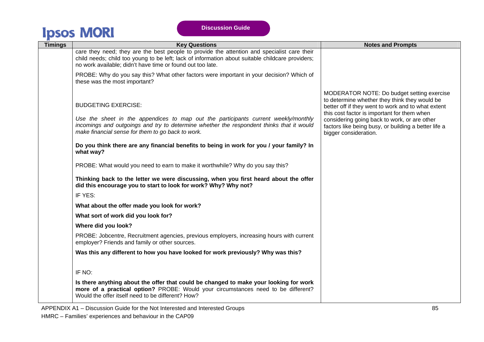| <b>Timings</b> | <b>Key Questions</b>                                                                                                                                                                                                                                              | <b>Notes and Prompts</b>                                                                                                                                                                                                                                                                                                          |
|----------------|-------------------------------------------------------------------------------------------------------------------------------------------------------------------------------------------------------------------------------------------------------------------|-----------------------------------------------------------------------------------------------------------------------------------------------------------------------------------------------------------------------------------------------------------------------------------------------------------------------------------|
|                | care they need; they are the best people to provide the attention and specialist care their<br>child needs; child too young to be left; lack of information about suitable childcare providers;<br>no work available; didn't have time or found out too late.     |                                                                                                                                                                                                                                                                                                                                   |
|                | PROBE: Why do you say this? What other factors were important in your decision? Which of<br>these was the most important?                                                                                                                                         |                                                                                                                                                                                                                                                                                                                                   |
|                | <b>BUDGETING EXERCISE:</b><br>Use the sheet in the appendices to map out the participants current weekly/monthly<br>incomings and outgoings and try to determine whether the respondent thinks that it would<br>make financial sense for them to go back to work. | MODERATOR NOTE: Do budget setting exercise<br>to determine whether they think they would be<br>better off if they went to work and to what extent<br>this cost factor is important for them when<br>considering going back to work, or are other<br>factors like being busy, or building a better life a<br>bigger consideration. |
|                | Do you think there are any financial benefits to being in work for you / your family? In<br>what way?                                                                                                                                                             |                                                                                                                                                                                                                                                                                                                                   |
|                | PROBE: What would you need to earn to make it worthwhile? Why do you say this?                                                                                                                                                                                    |                                                                                                                                                                                                                                                                                                                                   |
|                | Thinking back to the letter we were discussing, when you first heard about the offer<br>did this encourage you to start to look for work? Why? Why not?                                                                                                           |                                                                                                                                                                                                                                                                                                                                   |
|                | IF YES:                                                                                                                                                                                                                                                           |                                                                                                                                                                                                                                                                                                                                   |
|                | What about the offer made you look for work?                                                                                                                                                                                                                      |                                                                                                                                                                                                                                                                                                                                   |
|                | What sort of work did you look for?                                                                                                                                                                                                                               |                                                                                                                                                                                                                                                                                                                                   |
|                | Where did you look?                                                                                                                                                                                                                                               |                                                                                                                                                                                                                                                                                                                                   |
|                | PROBE: Jobcentre, Recruitment agencies, previous employers, increasing hours with current<br>employer? Friends and family or other sources.                                                                                                                       |                                                                                                                                                                                                                                                                                                                                   |
|                | Was this any different to how you have looked for work previously? Why was this?                                                                                                                                                                                  |                                                                                                                                                                                                                                                                                                                                   |
|                | IF NO:                                                                                                                                                                                                                                                            |                                                                                                                                                                                                                                                                                                                                   |
|                | Is there anything about the offer that could be changed to make your looking for work<br>more of a practical option? PROBE: Would your circumstances need to be different?<br>Would the offer itself need to be different? How?                                   |                                                                                                                                                                                                                                                                                                                                   |
|                | APPENDIX A1 – Discussion Guide for the Not Interested and Interested Groups                                                                                                                                                                                       | 85                                                                                                                                                                                                                                                                                                                                |

HMRC – Families' experiences and behaviour in the CAP09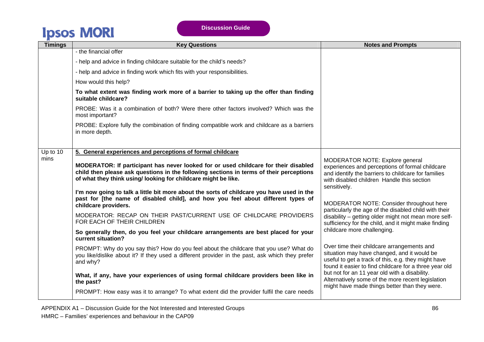| <b>Timings</b> | <b>Key Questions</b>                                                                                                                                                                                                                            | <b>Notes and Prompts</b>                                                                                                                                                                                   |
|----------------|-------------------------------------------------------------------------------------------------------------------------------------------------------------------------------------------------------------------------------------------------|------------------------------------------------------------------------------------------------------------------------------------------------------------------------------------------------------------|
|                | - the financial offer                                                                                                                                                                                                                           |                                                                                                                                                                                                            |
|                | - help and advice in finding childcare suitable for the child's needs?                                                                                                                                                                          |                                                                                                                                                                                                            |
|                | - help and advice in finding work which fits with your responsibilities.                                                                                                                                                                        |                                                                                                                                                                                                            |
|                | How would this help?                                                                                                                                                                                                                            |                                                                                                                                                                                                            |
|                | To what extent was finding work more of a barrier to taking up the offer than finding<br>suitable childcare?                                                                                                                                    |                                                                                                                                                                                                            |
|                | PROBE: Was it a combination of both? Were there other factors involved? Which was the<br>most important?                                                                                                                                        |                                                                                                                                                                                                            |
|                | PROBE: Explore fully the combination of finding compatible work and childcare as a barriers<br>in more depth.                                                                                                                                   |                                                                                                                                                                                                            |
| Up to 10       | 5. General experiences and perceptions of formal childcare                                                                                                                                                                                      |                                                                                                                                                                                                            |
| mins           | MODERATOR: If participant has never looked for or used childcare for their disabled<br>child then please ask questions in the following sections in terms of their perceptions<br>of what they think using/looking for childcare might be like. | MODERATOR NOTE: Explore general<br>experiences and perceptions of formal childcare<br>and identify the barriers to childcare for families<br>with disabled children Handle this section<br>sensitively.    |
|                | I'm now going to talk a little bit more about the sorts of childcare you have used in the<br>past for [the name of disabled child], and how you feel about different types of<br>childcare providers.                                           | MODERATOR NOTE: Consider throughout here<br>particularly the age of the disabled child with their                                                                                                          |
|                | MODERATOR: RECAP ON THEIR PAST/CURRENT USE OF CHILDCARE PROVIDERS<br>FOR EACH OF THEIR CHILDREN                                                                                                                                                 | disability - getting older might not mean more self-<br>sufficiency for the child, and it might make finding                                                                                               |
|                | So generally then, do you feel your childcare arrangements are best placed for your<br>current situation?                                                                                                                                       | childcare more challenging.                                                                                                                                                                                |
|                | PROMPT: Why do you say this? How do you feel about the childcare that you use? What do<br>you like/dislike about it? If they used a different provider in the past, ask which they prefer<br>and why?                                           | Over time their childcare arrangements and<br>situation may have changed, and it would be<br>useful to get a track of this, e.g. they might have<br>found it easier to find childcare for a three year old |
|                | What, if any, have your experiences of using formal childcare providers been like in<br>the past?                                                                                                                                               | but not for an 11 year old with a disability.<br>Alternatively some of the more recent legislation<br>might have made things better than they were.                                                        |
|                | PROMPT: How easy was it to arrange? To what extent did the provider fulfil the care needs                                                                                                                                                       |                                                                                                                                                                                                            |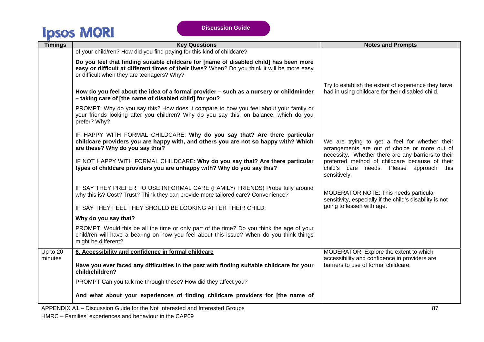| <b>Timings</b> | <b>Key Questions</b>                                                                                                                                                                                                                 | <b>Notes and Prompts</b>                                                                                                                             |
|----------------|--------------------------------------------------------------------------------------------------------------------------------------------------------------------------------------------------------------------------------------|------------------------------------------------------------------------------------------------------------------------------------------------------|
|                | of your child/ren? How did you find paying for this kind of childcare?                                                                                                                                                               |                                                                                                                                                      |
|                | Do you feel that finding suitable childcare for [name of disabled child] has been more<br>easy or difficult at different times of their lives? When? Do you think it will be more easy<br>or difficult when they are teenagers? Why? |                                                                                                                                                      |
|                | How do you feel about the idea of a formal provider - such as a nursery or childminder<br>- taking care of [the name of disabled child] for you?                                                                                     | Try to establish the extent of experience they have<br>had in using childcare for their disabled child.                                              |
|                | PROMPT: Why do you say this? How does it compare to how you feel about your family or<br>your friends looking after you children? Why do you say this, on balance, which do you<br>prefer? Why?                                      |                                                                                                                                                      |
|                | IF HAPPY WITH FORMAL CHILDCARE: Why do you say that? Are there particular<br>childcare providers you are happy with, and others you are not so happy with? Which<br>are these? Why do you say this?                                  | We are trying to get a feel for whether their<br>arrangements are out of choice or more out of<br>necessity. Whether there are any barriers to their |
|                | IF NOT HAPPY WITH FORMAL CHILDCARE: Why do you say that? Are there particular<br>types of childcare providers you are unhappy with? Why do you say this?                                                                             | preferred method of childcare because of their<br>child's care needs. Please approach this<br>sensitively.                                           |
|                | IF SAY THEY PREFER TO USE INFORMAL CARE (FAMILY/ FRIENDS) Probe fully around<br>why this is? Cost? Trust? Think they can provide more tailored care? Convenience?                                                                    | MODERATOR NOTE: This needs particular<br>sensitivity, especially if the child's disability is not                                                    |
|                | IF SAY THEY FEEL THEY SHOULD BE LOOKING AFTER THEIR CHILD:                                                                                                                                                                           | going to lessen with age.                                                                                                                            |
|                | Why do you say that?                                                                                                                                                                                                                 |                                                                                                                                                      |
|                | PROMPT: Would this be all the time or only part of the time? Do you think the age of your<br>child/ren will have a bearing on how you feel about this issue? When do you think things<br>might be different?                         |                                                                                                                                                      |
| Up to 20       | 6. Accessibility and confidence in formal childcare                                                                                                                                                                                  | MODERATOR: Explore the extent to which                                                                                                               |
| minutes        | Have you ever faced any difficulties in the past with finding suitable childcare for your<br>child/children?                                                                                                                         | accessibility and confidence in providers are<br>barriers to use of formal childcare.                                                                |
|                | PROMPT Can you talk me through these? How did they affect you?                                                                                                                                                                       |                                                                                                                                                      |
|                | And what about your experiences of finding childcare providers for [the name of<br><b>DOFUBIVAL BL.</b>                                                                                                                              |                                                                                                                                                      |

APPENDIX A1 – Discussion Guide for the Not Interested and Interested Groups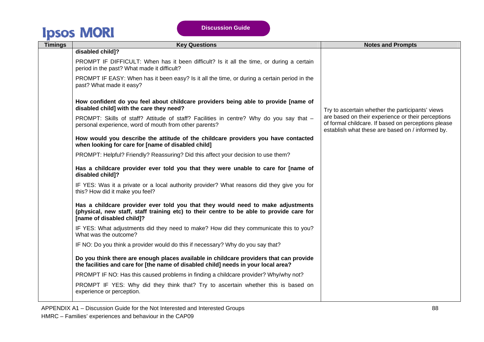| <b>Timings</b> | <b>Key Questions</b>                                                                                                                                                                                     | <b>Notes and Prompts</b>                                                                                                                                      |
|----------------|----------------------------------------------------------------------------------------------------------------------------------------------------------------------------------------------------------|---------------------------------------------------------------------------------------------------------------------------------------------------------------|
|                | disabled child]?                                                                                                                                                                                         |                                                                                                                                                               |
|                | PROMPT IF DIFFICULT: When has it been difficult? Is it all the time, or during a certain<br>period in the past? What made it difficult?                                                                  |                                                                                                                                                               |
|                | PROMPT IF EASY: When has it been easy? Is it all the time, or during a certain period in the<br>past? What made it easy?                                                                                 |                                                                                                                                                               |
|                | How confident do you feel about childcare providers being able to provide [name of<br>disabled child] with the care they need?                                                                           | Try to ascertain whether the participants' views                                                                                                              |
|                | PROMPT: Skills of staff? Attitude of staff? Facilities in centre? Why do you say that -<br>personal experience, word of mouth from other parents?                                                        | are based on their experience or their perceptions<br>of formal childcare. If based on perceptions please<br>establish what these are based on / informed by. |
|                | How would you describe the attitude of the childcare providers you have contacted<br>when looking for care for [name of disabled child]                                                                  |                                                                                                                                                               |
|                | PROMPT: Helpful? Friendly? Reassuring? Did this affect your decision to use them?                                                                                                                        |                                                                                                                                                               |
|                | Has a childcare provider ever told you that they were unable to care for [name of<br>disabled child]?                                                                                                    |                                                                                                                                                               |
|                | IF YES: Was it a private or a local authority provider? What reasons did they give you for<br>this? How did it make you feel?                                                                            |                                                                                                                                                               |
|                | Has a childcare provider ever told you that they would need to make adjustments<br>(physical, new staff, staff training etc) to their centre to be able to provide care for<br>[name of disabled child]? |                                                                                                                                                               |
|                | IF YES: What adjustments did they need to make? How did they communicate this to you?<br>What was the outcome?                                                                                           |                                                                                                                                                               |
|                | IF NO: Do you think a provider would do this if necessary? Why do you say that?                                                                                                                          |                                                                                                                                                               |
|                | Do you think there are enough places available in childcare providers that can provide<br>the facilities and care for [the name of disabled child] needs in your local area?                             |                                                                                                                                                               |
|                | PROMPT IF NO: Has this caused problems in finding a childcare provider? Why/why not?                                                                                                                     |                                                                                                                                                               |
|                | PROMPT IF YES: Why did they think that? Try to ascertain whether this is based on<br>experience or perception.                                                                                           |                                                                                                                                                               |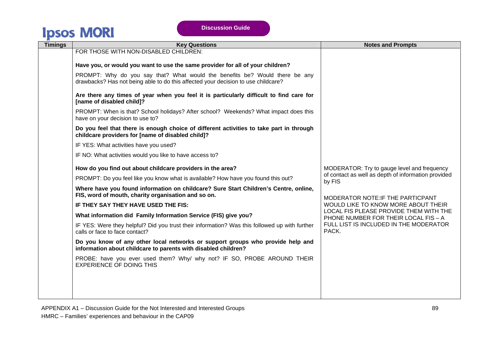| <b>Timings</b> | <b>Key Questions</b>                                                                                                                                             | <b>Notes and Prompts</b>                                                       |
|----------------|------------------------------------------------------------------------------------------------------------------------------------------------------------------|--------------------------------------------------------------------------------|
|                | FOR THOSE WITH NON-DISABLED CHILDREN:                                                                                                                            |                                                                                |
|                | Have you, or would you want to use the same provider for all of your children?                                                                                   |                                                                                |
|                | PROMPT: Why do you say that? What would the benefits be? Would there be any<br>drawbacks? Has not being able to do this affected your decision to use childcare? |                                                                                |
|                | Are there any times of year when you feel it is particularly difficult to find care for<br>[name of disabled child]?                                             |                                                                                |
|                | PROMPT: When is that? School holidays? After school? Weekends? What impact does this<br>have on your decision to use to?                                         |                                                                                |
|                | Do you feel that there is enough choice of different activities to take part in through<br>childcare providers for [name of disabled child]?                     |                                                                                |
|                | IF YES: What activities have you used?                                                                                                                           |                                                                                |
|                | IF NO: What activities would you like to have access to?                                                                                                         |                                                                                |
|                | How do you find out about childcare providers in the area?                                                                                                       | MODERATOR: Try to gauge level and frequency                                    |
|                | PROMPT: Do you feel like you know what is available? How have you found this out?                                                                                | of contact as well as depth of information provided<br>by FIS                  |
|                | Where have you found information on childcare? Sure Start Children's Centre, online,<br>FIS, word of mouth, charity organisation and so on.                      | MODERATOR NOTE: IF THE PARTICPANT                                              |
|                | IF THEY SAY THEY HAVE USED THE FIS:                                                                                                                              | WOULD LIKE TO KNOW MORE ABOUT THEIR                                            |
|                | What information did Family Information Service (FIS) give you?                                                                                                  | LOCAL FIS PLEASE PROVIDE THEM WITH THE<br>PHONE NUMBER FOR THEIR LOCAL FIS - A |
|                | IF YES: Were they helpful? Did you trust their information? Was this followed up with further<br>calls or face to face contact?                                  | FULL LIST IS INCLUDED IN THE MODERATOR<br>PACK.                                |
|                | Do you know of any other local networks or support groups who provide help and<br>information about childcare to parents with disabled children?                 |                                                                                |
|                | PROBE: have you ever used them? Why/ why not? IF SO, PROBE AROUND THEIR<br><b>EXPERIENCE OF DOING THIS</b>                                                       |                                                                                |
|                |                                                                                                                                                                  |                                                                                |
|                |                                                                                                                                                                  |                                                                                |
|                |                                                                                                                                                                  |                                                                                |

APPENDIX A1 – Discussion Guide for the Not Interested and Interested Groups HMRC – Families' experiences and behaviour in the CAP09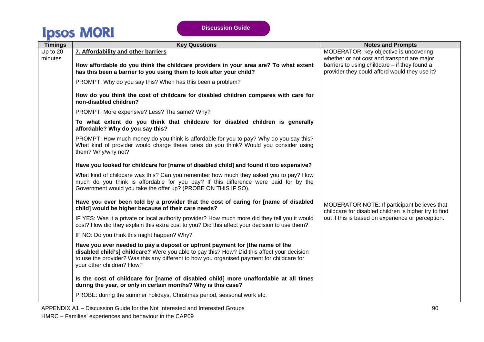| <b>Timings</b> | <b>Key Questions</b>                                                                                                                                                                                                                                                                                   | <b>Notes and Prompts</b>                                                                              |
|----------------|--------------------------------------------------------------------------------------------------------------------------------------------------------------------------------------------------------------------------------------------------------------------------------------------------------|-------------------------------------------------------------------------------------------------------|
| Up to 20       | 7. Affordability and other barriers                                                                                                                                                                                                                                                                    | MODERATOR: key objective is uncovering                                                                |
| minutes        |                                                                                                                                                                                                                                                                                                        | whether or not cost and transport are major                                                           |
|                | How affordable do you think the childcare providers in your area are? To what extent<br>has this been a barrier to you using them to look after your child?                                                                                                                                            | barriers to using childcare - if they found a<br>provider they could afford would they use it?        |
|                | PROMPT: Why do you say this? When has this been a problem?                                                                                                                                                                                                                                             |                                                                                                       |
|                | How do you think the cost of childcare for disabled children compares with care for<br>non-disabled children?                                                                                                                                                                                          |                                                                                                       |
|                | PROMPT: More expensive? Less? The same? Why?                                                                                                                                                                                                                                                           |                                                                                                       |
|                | To what extent do you think that childcare for disabled children is generally<br>affordable? Why do you say this?                                                                                                                                                                                      |                                                                                                       |
|                | PROMPT: How much money do you think is affordable for you to pay? Why do you say this?<br>What kind of provider would charge these rates do you think? Would you consider using<br>them? Why/why not?                                                                                                  |                                                                                                       |
|                | Have you looked for childcare for [name of disabled child] and found it too expensive?                                                                                                                                                                                                                 |                                                                                                       |
|                | What kind of childcare was this? Can you remember how much they asked you to pay? How<br>much do you think is affordable for you pay? If this difference were paid for by the<br>Government would you take the offer up? (PROBE ON THIS IF SO).                                                        |                                                                                                       |
|                | Have you ever been told by a provider that the cost of caring for [name of disabled<br>child] would be higher because of their care needs?                                                                                                                                                             | MODERATOR NOTE: If participant believes that<br>childcare for disabled children is higher try to find |
|                | IF YES: Was it a private or local authority provider? How much more did they tell you it would<br>cost? How did they explain this extra cost to you? Did this affect your decision to use them?                                                                                                        | out if this is based on experience or perception.                                                     |
|                | IF NO: Do you think this might happen? Why?                                                                                                                                                                                                                                                            |                                                                                                       |
|                | Have you ever needed to pay a deposit or upfront payment for [the name of the<br>disabled child's] childcare? Were you able to pay this? How? Did this affect your decision<br>to use the provider? Was this any different to how you organised payment for childcare for<br>your other children? How? |                                                                                                       |
|                | Is the cost of childcare for [name of disabled child] more unaffordable at all times<br>during the year, or only in certain months? Why is this case?                                                                                                                                                  |                                                                                                       |
|                | PROBE: during the summer holidays, Christmas period, seasonal work etc.                                                                                                                                                                                                                                |                                                                                                       |

APPENDIX A1 – Discussion Guide for the Not Interested and Interested Groups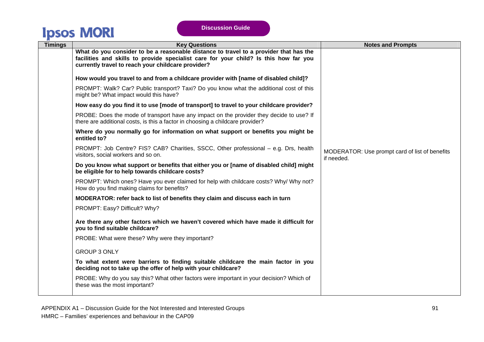| <b>Timings</b> | <b>Key Questions</b>                                                                                                                                                                                                                | <b>Notes and Prompts</b>                                     |
|----------------|-------------------------------------------------------------------------------------------------------------------------------------------------------------------------------------------------------------------------------------|--------------------------------------------------------------|
|                | What do you consider to be a reasonable distance to travel to a provider that has the<br>facilities and skills to provide specialist care for your child? Is this how far you<br>currently travel to reach your childcare provider? |                                                              |
|                | How would you travel to and from a childcare provider with [name of disabled child]?                                                                                                                                                |                                                              |
|                | PROMPT: Walk? Car? Public transport? Taxi? Do you know what the additional cost of this<br>might be? What impact would this have?                                                                                                   |                                                              |
|                | How easy do you find it to use [mode of transport] to travel to your childcare provider?                                                                                                                                            |                                                              |
|                | PROBE: Does the mode of transport have any impact on the provider they decide to use? If<br>there are additional costs, is this a factor in choosing a childcare provider?                                                          |                                                              |
|                | Where do you normally go for information on what support or benefits you might be<br>entitled to?                                                                                                                                   |                                                              |
|                | PROMPT: Job Centre? FIS? CAB? Charities, SSCC, Other professional - e.g. Drs, health<br>visitors, social workers and so on.                                                                                                         | MODERATOR: Use prompt card of list of benefits<br>if needed. |
|                | Do you know what support or benefits that either you or [name of disabled child] might<br>be eligible for to help towards childcare costs?                                                                                          |                                                              |
|                | PROMPT: Which ones? Have you ever claimed for help with childcare costs? Why/ Why not?<br>How do you find making claims for benefits?                                                                                               |                                                              |
|                | MODERATOR: refer back to list of benefits they claim and discuss each in turn                                                                                                                                                       |                                                              |
|                | PROMPT: Easy? Difficult? Why?                                                                                                                                                                                                       |                                                              |
|                | Are there any other factors which we haven't covered which have made it difficult for<br>you to find suitable childcare?                                                                                                            |                                                              |
|                | PROBE: What were these? Why were they important?                                                                                                                                                                                    |                                                              |
|                | <b>GROUP 3 ONLY</b>                                                                                                                                                                                                                 |                                                              |
|                | To what extent were barriers to finding suitable childcare the main factor in you<br>deciding not to take up the offer of help with your childcare?                                                                                 |                                                              |
|                | PROBE: Why do you say this? What other factors were important in your decision? Which of<br>these was the most important?                                                                                                           |                                                              |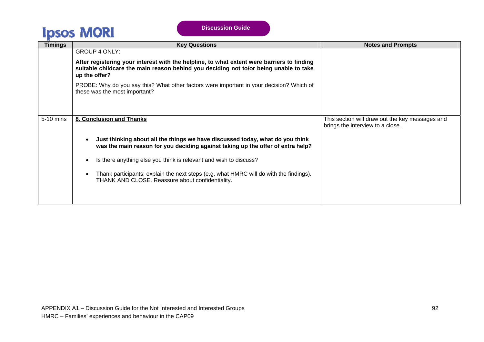| Timings   | <b>Key Questions</b>                                                                                                                                                                                 | <b>Notes and Prompts</b>                                                            |
|-----------|------------------------------------------------------------------------------------------------------------------------------------------------------------------------------------------------------|-------------------------------------------------------------------------------------|
|           | <b>GROUP 4 ONLY:</b>                                                                                                                                                                                 |                                                                                     |
|           | After registering your interest with the helpline, to what extent were barriers to finding<br>suitable childcare the main reason behind you deciding not to/or being unable to take<br>up the offer? |                                                                                     |
|           | PROBE: Why do you say this? What other factors were important in your decision? Which of<br>these was the most important?                                                                            |                                                                                     |
| 5-10 mins | 8. Conclusion and Thanks                                                                                                                                                                             | This section will draw out the key messages and<br>brings the interview to a close. |
|           | Just thinking about all the things we have discussed today, what do you think<br>was the main reason for you deciding against taking up the offer of extra help?                                     |                                                                                     |
|           | Is there anything else you think is relevant and wish to discuss?                                                                                                                                    |                                                                                     |
|           | Thank participants; explain the next steps (e.g. what HMRC will do with the findings).<br>THANK AND CLOSE. Reassure about confidentiality.                                                           |                                                                                     |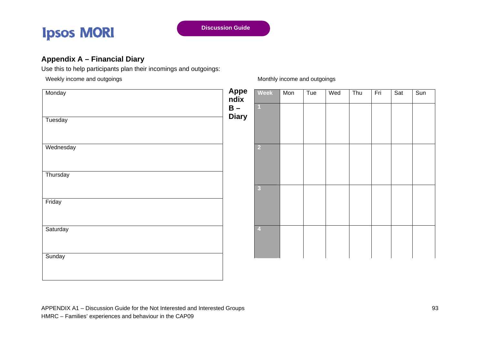

#### **Appendix A – Financial Diary**

Use this to help participants plan their incomings and outgoings:

Weekly income and outgoings

**Monday** 

**Tuesday** 

**Wednesday** 

**Thursday** 

Friday

**Saturday** 

**Sunday** 

| Appe<br>ndix<br>B –<br>Diary | Week<br>$\overline{1}$  | Mon | Tue | Wed | Thu | Fri | Sat | Sun |
|------------------------------|-------------------------|-----|-----|-----|-----|-----|-----|-----|
|                              | $\overline{2}$          |     |     |     |     |     |     |     |
|                              | $\overline{\mathbf{3}}$ |     |     |     |     |     |     |     |
|                              | $\overline{4}$          |     |     |     |     |     |     |     |

#### Monthly income and outgoings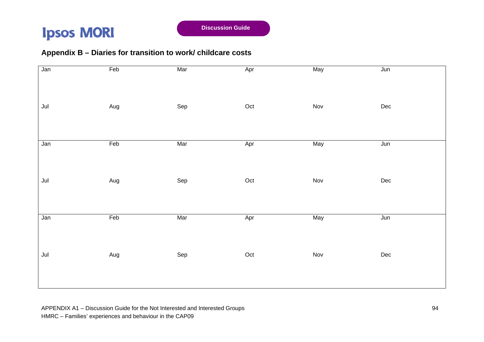#### **Appendix B – Diaries for transition to work/ childcare costs**

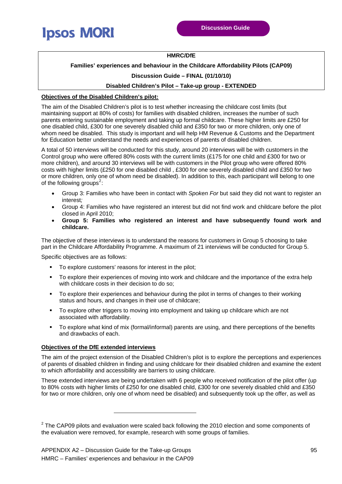<span id="page-27-0"></span>

#### **HMRC/DfE**

#### **Families' experiences and behaviour in the Childcare Affordability Pilots (CAP09)**

#### **Discussion Guide – FINAL (01/10/10)**

#### **Disabled Children's Pilot – Take-up group - EXTENDED**

#### **Objectives of the Disabled Children's pilot:**

The aim of the Disabled Children's pilot is to test whether increasing the childcare cost limits (but maintaining support at 80% of costs) for families with disabled children, increases the number of such parents entering sustainable employment and taking up formal childcare. These higher limits are £250 for one disabled child, £300 for one severely disabled child and £350 for two or more children, only one of whom need be disabled. This study is important and will help HM Revenue & Customs and the Department for Education better understand the needs and experiences of parents of disabled children.

A total of 50 interviews will be conducted for this study, around 20 interviews will be with customers in the Control group who were offered 80% costs with the current limits (£175 for one child and £300 for two or more children), and around 30 interviews will be with customers in the Pilot group who were offered 80% costs with higher limits (£250 for one disabled child , £300 for one severely disabled child and £350 for two or more children, only one of whom need be disabled). In addition to this, each participant will belong to one of the following groups<sup>[2](#page-27-0)</sup>:

- Group 3: Families who have been in contact with *Spoken For* but said they did not want to register an interest*;*
- Group 4: Families who have registered an interest but did not find work and childcare before the pilot closed in April 2010;
- **Group 5: Families who registered an interest and have subsequently found work and childcare.**

The objective of these interviews is to understand the reasons for customers in Group 5 choosing to take part in the Childcare Affordability Programme. A maximum of 21 interviews will be conducted for Group 5.

Specific objectives are as follows:

- To explore customers' reasons for interest in the pilot;
- To explore their experiences of moving into work and childcare and the importance of the extra help with childcare costs in their decision to do so;
- To explore their experiences and behaviour during the pilot in terms of changes to their working status and hours, and changes in their use of childcare;
- To explore other triggers to moving into employment and taking up childcare which are not associated with affordability.
- To explore what kind of mix (formal/informal) parents are using, and there perceptions of the benefits and drawbacks of each.

#### **Objectives of the DfE extended interviews**

The aim of the project extension of the Disabled Children's pilot is to explore the perceptions and experiences of parents of disabled children in finding and using childcare for their disabled children and examine the extent to which affordability and accessibility are barriers to using childcare.

These extended interviews are being undertaken with 6 people who received notification of the pilot offer (up to 80% costs with higher limits of £250 for one disabled child, £300 for one severely disabled child and £350 for two or more children, only one of whom need be disabled) and subsequently took up the offer, as well as

-

 $2$  The CAP09 pilots and evaluation were scaled back following the 2010 election and some components of the evaluation were removed, for example, research with some groups of families.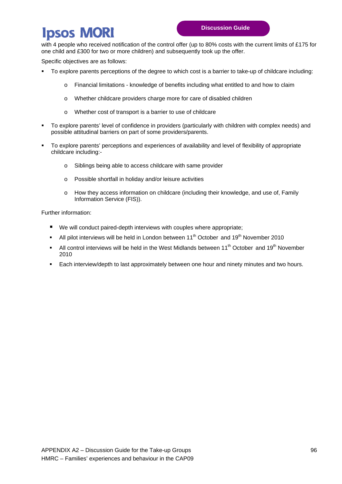with 4 people who received notification of the control offer (up to 80% costs with the current limits of £175 for one child and £300 for two or more children) and subsequently took up the offer.

Specific objectives are as follows:

- To explore parents perceptions of the degree to which cost is a barrier to take-up of childcare including:
	- o Financial limitations knowledge of benefits including what entitled to and how to claim
	- o Whether childcare providers charge more for care of disabled children
	- o Whether cost of transport is a barrier to use of childcare
- To explore parents' level of confidence in providers (particularly with children with complex needs) and possible attitudinal barriers on part of some providers/parents.
- To explore parents' perceptions and experiences of availability and level of flexibility of appropriate childcare including:
	- o Siblings being able to access childcare with same provider
	- o Possible shortfall in holiday and/or leisure activities
	- o How they access information on childcare (including their knowledge, and use of, Family Information Service (FIS)).

Further information:

- We will conduct paired-depth interviews with couples where appropriate;
- All pilot interviews will be held in London between  $11<sup>th</sup>$  October and  $19<sup>th</sup>$  November 2010
- All control interviews will be held in the West Midlands between  $11<sup>th</sup>$  October and  $19<sup>th</sup>$  November 2010
- Each interview/depth to last approximately between one hour and ninety minutes and two hours.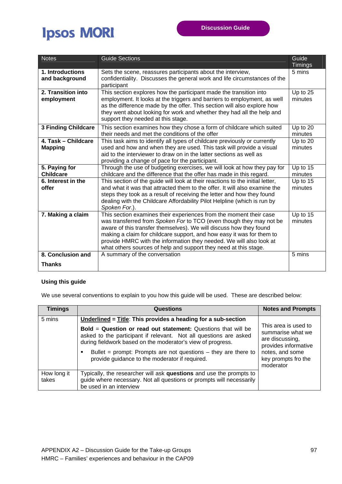| <b>Notes</b>                          | <b>Guide Sections</b>                                                                                                                                                                                                                                                                                                                                                                                                               | Guide<br><b>Timings</b> |
|---------------------------------------|-------------------------------------------------------------------------------------------------------------------------------------------------------------------------------------------------------------------------------------------------------------------------------------------------------------------------------------------------------------------------------------------------------------------------------------|-------------------------|
| 1. Introductions<br>and background    | Sets the scene, reassures participants about the interview,<br>confidentiality. Discusses the general work and life circumstances of the<br>participant                                                                                                                                                                                                                                                                             | 5 mins                  |
| 2. Transition into<br>employment      | This section explores how the participant made the transition into<br>employment. It looks at the triggers and barriers to employment, as well<br>as the difference made by the offer. This section will also explore how<br>they went about looking for work and whether they had all the help and<br>support they needed at this stage.                                                                                           | Up to 25<br>minutes     |
| <b>3 Finding Childcare</b>            | This section examines how they chose a form of childcare which suited<br>their needs and met the conditions of the offer                                                                                                                                                                                                                                                                                                            | Up to 20<br>minutes     |
| 4. Task - Childcare<br><b>Mapping</b> | This task aims to identify all types of childcare previously or currently<br>used and how and when they are used. This task will provide a visual<br>aid to the interviewer to draw on in the latter sections as well as<br>providing a change of pace for the participant.                                                                                                                                                         | Up to 20<br>minutes     |
| 5. Paying for<br><b>Childcare</b>     | Through the use of budgeting exercises, we will look at how they pay for<br>childcare and the difference that the offer has made in this regard.                                                                                                                                                                                                                                                                                    | Up to 15<br>minutes     |
| 6. Interest in the<br>offer           | This section of the guide will look at their reactions to the initial letter,<br>and what it was that attracted them to the offer. It will also examine the<br>steps they took as a result of receiving the letter and how they found<br>dealing with the Childcare Affordability Pilot Helpline (which is run by<br>Spoken For.).                                                                                                  | Up to 15<br>minutes     |
| 7. Making a claim                     | This section examines their experiences from the moment their case<br>was transferred from Spoken For to TCO (even though they may not be<br>aware of this transfer themselves). We will discuss how they found<br>making a claim for childcare support, and how easy it was for them to<br>provide HMRC with the information they needed. We will also look at<br>what others sources of help and support they need at this stage. | Up to 15<br>minutes     |
| 8. Conclusion and<br><b>Thanks</b>    | A summary of the conversation                                                                                                                                                                                                                                                                                                                                                                                                       | 5 mins                  |
|                                       |                                                                                                                                                                                                                                                                                                                                                                                                                                     |                         |

#### **Using this guide**

We use several conventions to explain to you how this guide will be used. These are described below:

| <b>Timings</b>       | <b>Questions</b>                                                                                                                                                                                                                                                                                                                    | <b>Notes and Prompts</b>                                                                                                                    |
|----------------------|-------------------------------------------------------------------------------------------------------------------------------------------------------------------------------------------------------------------------------------------------------------------------------------------------------------------------------------|---------------------------------------------------------------------------------------------------------------------------------------------|
| 5 mins               | Underlined = $\overline{\text{Title}}$ : This provides a heading for a sub-section                                                                                                                                                                                                                                                  |                                                                                                                                             |
|                      | <b>Bold = Question or read out statement:</b> Questions that will be<br>asked to the participant if relevant. Not all questions are asked<br>during fieldwork based on the moderator's view of progress.<br>Bullet = prompt: Prompts are not questions $-$ they are there to<br>٠<br>provide guidance to the moderator if required. | This area is used to<br>summarise what we<br>are discussing,<br>provides informative<br>notes, and some<br>key prompts fro the<br>moderator |
| How long it<br>takes | Typically, the researcher will ask questions and use the prompts to<br>guide where necessary. Not all questions or prompts will necessarily<br>be used in an interview                                                                                                                                                              |                                                                                                                                             |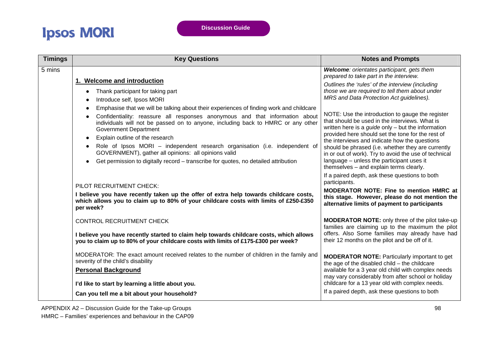| <b>Timings</b> | <b>Key Questions</b>                                                                                                                                                                                                                                                                                                                                                                                                                                                                                                                                                      | <b>Notes and Prompts</b>                                                                                                                                                                                                                                                                                                                                                                                                                                                       |
|----------------|---------------------------------------------------------------------------------------------------------------------------------------------------------------------------------------------------------------------------------------------------------------------------------------------------------------------------------------------------------------------------------------------------------------------------------------------------------------------------------------------------------------------------------------------------------------------------|--------------------------------------------------------------------------------------------------------------------------------------------------------------------------------------------------------------------------------------------------------------------------------------------------------------------------------------------------------------------------------------------------------------------------------------------------------------------------------|
| 5 mins         |                                                                                                                                                                                                                                                                                                                                                                                                                                                                                                                                                                           | Welcome: orientates participant, gets them<br>prepared to take part in the interview.                                                                                                                                                                                                                                                                                                                                                                                          |
|                | 1. Welcome and introduction<br>Thank participant for taking part<br>$\bullet$<br>Introduce self, Ipsos MORI                                                                                                                                                                                                                                                                                                                                                                                                                                                               | Outlines the 'rules' of the interview (including<br>those we are required to tell them about under<br>MRS and Data Protection Act guidelines).                                                                                                                                                                                                                                                                                                                                 |
|                | Emphasise that we will be talking about their experiences of finding work and childcare<br>$\bullet$<br>Confidentiality: reassure all responses anonymous and that information about<br>individuals will not be passed on to anyone, including back to HMRC or any other<br><b>Government Department</b><br>Explain outline of the research<br>Role of Ipsos MORI - independent research organisation (i.e. independent of<br>GOVERNMENT), gather all opinions: all opinions valid<br>Get permission to digitally record – transcribe for quotes, no detailed attribution | NOTE: Use the introduction to gauge the register<br>that should be used in the interviews. What is<br>written here is a <i>guide</i> only $-$ but the information<br>provided here should set the tone for the rest of<br>the interviews and indicate how the questions<br>should be phrased (i.e. whether they are currently<br>in or out of work). Try to avoid the use of technical<br>language - unless the participant uses it<br>themselves - and explain terms clearly. |
|                | PILOT RECRUITMENT CHECK:<br>I believe you have recently taken up the offer of extra help towards childcare costs,<br>which allows you to claim up to 80% of your childcare costs with limits of £250-£350<br>per week?                                                                                                                                                                                                                                                                                                                                                    | If a paired depth, ask these questions to both<br>participants.<br><b>MODERATOR NOTE: Fine to mention HMRC at</b><br>this stage. However, please do not mention the<br>alternative limits of payment to participants                                                                                                                                                                                                                                                           |
|                | <b>CONTROL RECRUITMENT CHECK</b>                                                                                                                                                                                                                                                                                                                                                                                                                                                                                                                                          | <b>MODERATOR NOTE:</b> only three of the pilot take-up<br>families are claiming up to the maximum the pilot                                                                                                                                                                                                                                                                                                                                                                    |
|                | I believe you have recently started to claim help towards childcare costs, which allows<br>you to claim up to 80% of your childcare costs with limits of £175-£300 per week?                                                                                                                                                                                                                                                                                                                                                                                              | offers. Also Some families may already have had<br>their 12 months on the pilot and be off of it.                                                                                                                                                                                                                                                                                                                                                                              |
|                | MODERATOR: The exact amount received relates to the number of children in the family and<br>severity of the child's disability                                                                                                                                                                                                                                                                                                                                                                                                                                            | <b>MODERATOR NOTE:</b> Particularly important to get<br>the age of the disabled $child$ – the childcare<br>available for a 3 year old child with complex needs                                                                                                                                                                                                                                                                                                                 |
|                | <b>Personal Background</b><br>I'd like to start by learning a little about you.                                                                                                                                                                                                                                                                                                                                                                                                                                                                                           | may vary considerably from after school or holiday<br>childcare for a 13 year old with complex needs.                                                                                                                                                                                                                                                                                                                                                                          |
|                | Can you tell me a bit about your household?                                                                                                                                                                                                                                                                                                                                                                                                                                                                                                                               | If a paired depth, ask these questions to both                                                                                                                                                                                                                                                                                                                                                                                                                                 |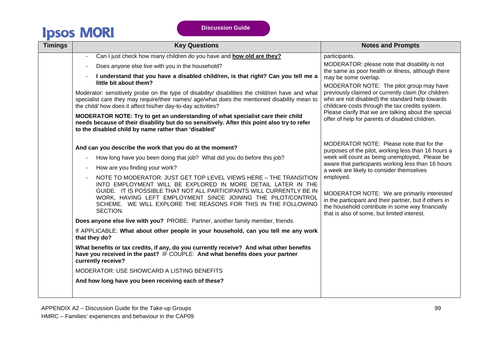| <b>Timings</b> | <b>Key Questions</b>                                                                                                                                                                                                                                                                                                                                   | <b>Notes and Prompts</b>                                                                                                                                                                                                                                                                                                                                                                                                                        |
|----------------|--------------------------------------------------------------------------------------------------------------------------------------------------------------------------------------------------------------------------------------------------------------------------------------------------------------------------------------------------------|-------------------------------------------------------------------------------------------------------------------------------------------------------------------------------------------------------------------------------------------------------------------------------------------------------------------------------------------------------------------------------------------------------------------------------------------------|
|                | Can I just check how many children do you have and how old are they?                                                                                                                                                                                                                                                                                   | participants.                                                                                                                                                                                                                                                                                                                                                                                                                                   |
|                | Does anyone else live with you in the household?                                                                                                                                                                                                                                                                                                       | MODERATOR: please note that disability is not<br>the same as poor health or illness, although there<br>may be some overlap.<br>MODERATOR NOTE: The pilot group may have<br>previously claimed or currently claim (for children<br>who are not disabled) the standard help towards<br>childcare costs through the tax credits system.<br>Please clarify that we are talking about the special<br>offer of help for parents of disabled children. |
|                | I understand that you have a disabled child/ren, is that right? Can you tell me a<br>little bit about them?                                                                                                                                                                                                                                            |                                                                                                                                                                                                                                                                                                                                                                                                                                                 |
|                | Moderator: sensitively probe on the type of disability/ disabilities the child/ren have and what<br>specialist care they may require/their names/ age/what does the mentioned disability mean to<br>the child/ how does it affect his/her day-to-day activities?                                                                                       |                                                                                                                                                                                                                                                                                                                                                                                                                                                 |
|                | MODERATOR NOTE: Try to get an understanding of what specialist care their child<br>needs because of their disability but do so sensitively. After this point also try to refer<br>to the disabled child by name rather than 'disabled'                                                                                                                 |                                                                                                                                                                                                                                                                                                                                                                                                                                                 |
|                | And can you describe the work that you do at the moment?                                                                                                                                                                                                                                                                                               | MODERATOR NOTE: Please note that for the<br>purposes of the pilot, working less than 16 hours a                                                                                                                                                                                                                                                                                                                                                 |
|                | How long have you been doing that job? What did you do before this job?                                                                                                                                                                                                                                                                                | week will count as being unemployed, Please be                                                                                                                                                                                                                                                                                                                                                                                                  |
|                | How are you finding your work?                                                                                                                                                                                                                                                                                                                         | aware that participants working less than 16 hours<br>a week are likely to consider themselves                                                                                                                                                                                                                                                                                                                                                  |
|                | NOTE TO MODERATOR: JUST GET TOP LEVEL VIEWS HERE - THE TRANSITION<br>INTO EMPLOYMENT WILL BE EXPLORED IN MORE DETAIL LATER IN THE<br>GUIDE. IT IS POSSIBLE THAT NOT ALL PARTICIPANTS WILL CURRENTLY BE IN<br>WORK, HAVING LEFT EMPLOYMENT SINCE JOINING THE PILOT/CONTROL<br>SCHEME. WE WILL EXPLORE THE REASONS FOR THIS IN THE FOLLOWING<br>SECTION. | employed.<br>MODERATOR NOTE: We are primarily interested<br>in the participant and their partner, but if others in<br>the household contribute in some way financially<br>that is also of some, but limited interest.                                                                                                                                                                                                                           |
|                | Does anyone else live with you? PROBE: Partner, another family member, friends.                                                                                                                                                                                                                                                                        |                                                                                                                                                                                                                                                                                                                                                                                                                                                 |
|                | If APPLICABLE: What about other people in your household, can you tell me any work<br>that they do?                                                                                                                                                                                                                                                    |                                                                                                                                                                                                                                                                                                                                                                                                                                                 |
|                | What benefits or tax credits, if any, do you currently receive? And what other benefits<br>have you received in the past? IF COUPLE: And what benefits does your partner<br>currently receive?                                                                                                                                                         |                                                                                                                                                                                                                                                                                                                                                                                                                                                 |
|                | MODERATOR: USE SHOWCARD A LISTING BENEFITS                                                                                                                                                                                                                                                                                                             |                                                                                                                                                                                                                                                                                                                                                                                                                                                 |
|                | And how long have you been receiving each of these?                                                                                                                                                                                                                                                                                                    |                                                                                                                                                                                                                                                                                                                                                                                                                                                 |
|                |                                                                                                                                                                                                                                                                                                                                                        |                                                                                                                                                                                                                                                                                                                                                                                                                                                 |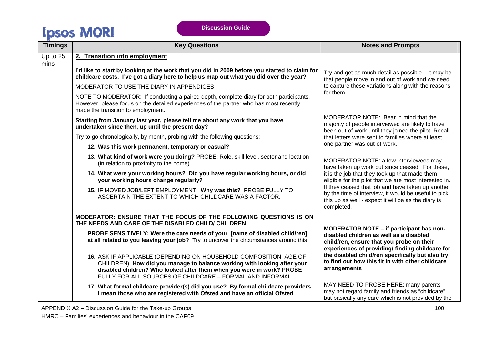| <b>Timings</b> | <b>Key Questions</b>                                                                                                                                                                                                                                                                | <b>Notes and Prompts</b>                                                                                                                                                                                                                                                                                    |
|----------------|-------------------------------------------------------------------------------------------------------------------------------------------------------------------------------------------------------------------------------------------------------------------------------------|-------------------------------------------------------------------------------------------------------------------------------------------------------------------------------------------------------------------------------------------------------------------------------------------------------------|
| Up to 25       | 2. Transition into employment                                                                                                                                                                                                                                                       |                                                                                                                                                                                                                                                                                                             |
| mins           | I'd like to start by looking at the work that you did in 2009 before you started to claim for<br>childcare costs. I've got a diary here to help us map out what you did over the year?                                                                                              | Try and get as much detail as possible $-$ it may be<br>that people move in and out of work and we need                                                                                                                                                                                                     |
|                | MODERATOR TO USE THE DIARY IN APPENDICES.                                                                                                                                                                                                                                           | to capture these variations along with the reasons                                                                                                                                                                                                                                                          |
|                | NOTE TO MODERATOR: If conducting a paired depth, complete diary for both participants.<br>However, please focus on the detailed experiences of the partner who has most recently<br>made the transition to employment.                                                              | for them.                                                                                                                                                                                                                                                                                                   |
|                | Starting from January last year, please tell me about any work that you have<br>undertaken since then, up until the present day?                                                                                                                                                    | MODERATOR NOTE: Bear in mind that the<br>majority of people interviewed are likely to have<br>been out-of-work until they joined the pilot. Recall                                                                                                                                                          |
|                | Try to go chronologically, by month, probing with the following questions:                                                                                                                                                                                                          | that letters were sent to families where at least                                                                                                                                                                                                                                                           |
|                | 12. Was this work permanent, temporary or casual?                                                                                                                                                                                                                                   | one partner was out-of-work.                                                                                                                                                                                                                                                                                |
|                | 13. What kind of work were you doing? PROBE: Role, skill level, sector and location<br>(in relation to proximity to the home).                                                                                                                                                      | MODERATOR NOTE: a few interviewees may<br>have taken up work but since ceased. For these,                                                                                                                                                                                                                   |
|                | 14. What were your working hours? Did you have regular working hours, or did<br>your working hours change regularly?                                                                                                                                                                | it is the job that they took up that made them<br>eligible for the pilot that we are most interested in.                                                                                                                                                                                                    |
|                | 15. IF MOVED JOB/LEFT EMPLOYMENT: Why was this? PROBE FULLY TO<br>ASCERTAIN THE EXTENT TO WHICH CHILDCARE WAS A FACTOR.                                                                                                                                                             | If they ceased that job and have taken up another<br>by the time of interview, it would be useful to pick<br>this up as well - expect it will be as the diary is<br>completed.                                                                                                                              |
|                | MODERATOR: ENSURE THAT THE FOCUS OF THE FOLLOWING QUESTIONS IS ON<br>THE NEEDS AND CARE OF THE DISABLED CHILD/ CHILDREN                                                                                                                                                             |                                                                                                                                                                                                                                                                                                             |
|                | PROBE SENSITIVELY: Were the care needs of your [name of disabled child/ren]<br>at all related to you leaving your job? Try to uncover the circumstances around this                                                                                                                 | MODERATOR NOTE - if participant has non-<br>disabled children as well as a disabled<br>child/ren, ensure that you probe on their<br>experiences of providing/ finding childcare for<br>the disabled child/ren specifically but also try<br>to find out how this fit in with other childcare<br>arrangements |
|                | 16. ASK IF APPLICABLE (DEPENDING ON HOUSEHOLD COMPOSITION, AGE OF<br>CHILDREN). How did you manage to balance working with looking after your<br>disabled children? Who looked after them when you were in work? PROBE<br>FULLY FOR ALL SOURCES OF CHILDCARE - FORMAL AND INFORMAL. |                                                                                                                                                                                                                                                                                                             |
|                | 17. What formal childcare provider(s) did you use? By formal childcare providers<br>I mean those who are registered with Ofsted and have an official Ofsted                                                                                                                         | MAY NEED TO PROBE HERE: many parents<br>may not regard family and friends as "childcare",<br>but basically any care which is not provided by the                                                                                                                                                            |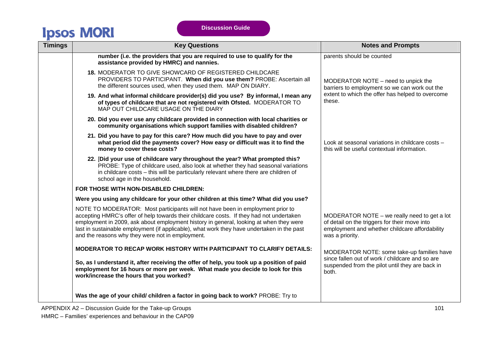| <b>Timings</b> | <b>Key Questions</b>                                                                                                                                                                                                                                                                                                                                                                                                   | <b>Notes and Prompts</b>                                                                                                                                             |
|----------------|------------------------------------------------------------------------------------------------------------------------------------------------------------------------------------------------------------------------------------------------------------------------------------------------------------------------------------------------------------------------------------------------------------------------|----------------------------------------------------------------------------------------------------------------------------------------------------------------------|
|                | number (i.e. the providers that you are required to use to qualify for the<br>assistance provided by HMRC) and nannies.                                                                                                                                                                                                                                                                                                | parents should be counted                                                                                                                                            |
|                | 18. MODERATOR TO GIVE SHOWCARD OF REGISTERED CHILDCARE<br>PROVIDERS TO PARTICIPANT. When did you use them? PROBE: Ascertain all<br>the different sources used, when they used them. MAP ON DIARY.                                                                                                                                                                                                                      | MODERATOR NOTE – need to unpick the<br>barriers to employment so we can work out the                                                                                 |
|                | 19. And what informal childcare provider(s) did you use? By informal, I mean any<br>of types of childcare that are not registered with Ofsted. MODERATOR TO<br>MAP OUT CHILDCARE USAGE ON THE DIARY                                                                                                                                                                                                                    | extent to which the offer has helped to overcome<br>these.                                                                                                           |
|                | 20. Did you ever use any childcare provided in connection with local charities or<br>community organisations which support families with disabled children?                                                                                                                                                                                                                                                            |                                                                                                                                                                      |
|                | 21. Did you have to pay for this care? How much did you have to pay and over<br>what period did the payments cover? How easy or difficult was it to find the<br>money to cover these costs?                                                                                                                                                                                                                            | Look at seasonal variations in childcare costs -<br>this will be useful contextual information.                                                                      |
|                | 22. [Did your use of childcare vary throughout the year? What prompted this?<br>PROBE: Type of childcare used, also look at whether they had seasonal variations<br>in childcare costs - this will be particularly relevant where there are children of<br>school age in the household.                                                                                                                                |                                                                                                                                                                      |
|                | FOR THOSE WITH NON-DISABLED CHILDREN:                                                                                                                                                                                                                                                                                                                                                                                  |                                                                                                                                                                      |
|                | Were you using any childcare for your other children at this time? What did you use?                                                                                                                                                                                                                                                                                                                                   |                                                                                                                                                                      |
|                | NOTE TO MODERATOR: Most participants will not have been in employment prior to<br>accepting HMRC's offer of help towards their childcare costs. If they had not undertaken<br>employment in 2009, ask about employment history in general, looking at when they were<br>last in sustainable employment (if applicable), what work they have undertaken in the past<br>and the reasons why they were not in employment. | MODERATOR NOTE $-$ we really need to get a lot<br>of detail on the triggers for their move into<br>employment and whether childcare affordability<br>was a priority. |
|                | <b>MODERATOR TO RECAP WORK HISTORY WITH PARTICIPANT TO CLARIFY DETAILS:</b>                                                                                                                                                                                                                                                                                                                                            | MODERATOR NOTE: some take-up families have                                                                                                                           |
|                | So, as I understand it, after receiving the offer of help, you took up a position of paid<br>employment for 16 hours or more per week. What made you decide to look for this<br>work/increase the hours that you worked?                                                                                                                                                                                               | since fallen out of work / childcare and so are<br>suspended from the pilot until they are back in<br>both.                                                          |
|                | Was the age of your child/ children a factor in going back to work? PROBE: Try to                                                                                                                                                                                                                                                                                                                                      |                                                                                                                                                                      |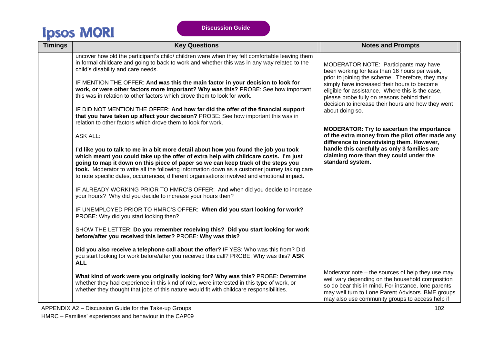| <b>Timings</b> | <b>Key Questions</b>                                                                                                                                                                                                                                                                                                                                                                                                                                              | <b>Notes and Prompts</b>                                                                                                                                                                                                                                               |
|----------------|-------------------------------------------------------------------------------------------------------------------------------------------------------------------------------------------------------------------------------------------------------------------------------------------------------------------------------------------------------------------------------------------------------------------------------------------------------------------|------------------------------------------------------------------------------------------------------------------------------------------------------------------------------------------------------------------------------------------------------------------------|
|                | uncover how old the participant's child/ children were when they felt comfortable leaving them<br>in formal childcare and going to back to work and whether this was in any way related to the<br>child's disability and care needs.                                                                                                                                                                                                                              | MODERATOR NOTE: Participants may have<br>been working for less than 16 hours per week,                                                                                                                                                                                 |
|                | IF MENTION THE OFFER: And was this the main factor in your decision to look for<br>work, or were other factors more important? Why was this? PROBE: See how important<br>this was in relation to other factors which drove them to look for work.                                                                                                                                                                                                                 | prior to joining the scheme. Therefore, they may<br>simply have increased their hours to become<br>eligible for assistance. Where this is the case,<br>please probe fully on reasons behind their                                                                      |
|                | IF DID NOT MENTION THE OFFER: And how far did the offer of the financial support<br>that you have taken up affect your decision? PROBE: See how important this was in<br>relation to other factors which drove them to look for work.                                                                                                                                                                                                                             | decision to increase their hours and how they went<br>about doing so.                                                                                                                                                                                                  |
|                | <b>ASK ALL:</b>                                                                                                                                                                                                                                                                                                                                                                                                                                                   | <b>MODERATOR: Try to ascertain the importance</b><br>of the extra money from the pilot offer made any<br>difference to incentivising them. However,                                                                                                                    |
|                | I'd like you to talk to me in a bit more detail about how you found the job you took<br>which meant you could take up the offer of extra help with childcare costs. I'm just<br>going to map it down on this piece of paper so we can keep track of the steps you<br>took. Moderator to write all the following information down as a customer journey taking care<br>to note specific dates, occurrences, different organisations involved and emotional impact. | handle this carefully as only 3 families are<br>claiming more than they could under the<br>standard system.                                                                                                                                                            |
|                | IF ALREADY WORKING PRIOR TO HMRC'S OFFER: And when did you decide to increase<br>your hours? Why did you decide to increase your hours then?                                                                                                                                                                                                                                                                                                                      |                                                                                                                                                                                                                                                                        |
|                | IF UNEMPLOYED PRIOR TO HMRC'S OFFER: When did you start looking for work?<br>PROBE: Why did you start looking then?                                                                                                                                                                                                                                                                                                                                               |                                                                                                                                                                                                                                                                        |
|                | SHOW THE LETTER: Do you remember receiving this? Did you start looking for work<br>before/after you received this letter? PROBE: Why was this?                                                                                                                                                                                                                                                                                                                    |                                                                                                                                                                                                                                                                        |
|                | Did you also receive a telephone call about the offer? IF YES: Who was this from? Did<br>you start looking for work before/after you received this call? PROBE: Why was this? ASK<br><b>ALL</b>                                                                                                                                                                                                                                                                   |                                                                                                                                                                                                                                                                        |
|                | What kind of work were you originally looking for? Why was this? PROBE: Determine<br>whether they had experience in this kind of role, were interested in this type of work, or<br>whether they thought that jobs of this nature would fit with childcare responsibilities.                                                                                                                                                                                       | Moderator note $-$ the sources of help they use may<br>well vary depending on the household composition<br>so do bear this in mind. For instance, lone parents<br>may well turn to Lone Parent Advisors. BME groups<br>may also use community groups to access help if |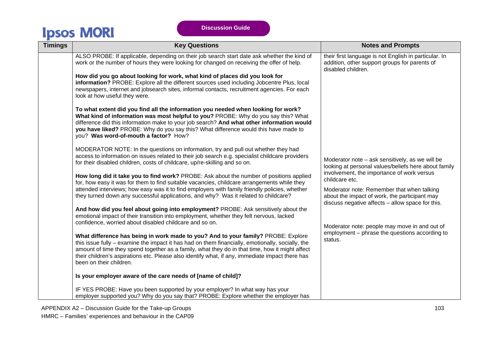| <b>Timings</b> | <b>Key Questions</b>                                                                                                                                                                                                                                                                                                                                                                                                  | <b>Notes and Prompts</b>                                                                                                                                                                                        |
|----------------|-----------------------------------------------------------------------------------------------------------------------------------------------------------------------------------------------------------------------------------------------------------------------------------------------------------------------------------------------------------------------------------------------------------------------|-----------------------------------------------------------------------------------------------------------------------------------------------------------------------------------------------------------------|
|                | ALSO PROBE: If applicable, depending on their job search start date ask whether the kind of<br>work or the number of hours they were looking for changed on receiving the offer of help.                                                                                                                                                                                                                              | their first language is not English in particular. In<br>addition, other support groups for parents of<br>disabled children.                                                                                    |
|                | How did you go about looking for work, what kind of places did you look for<br>information? PROBE: Explore all the different sources used including Jobcentre Plus, local<br>newspapers, internet and jobsearch sites, informal contacts, recruitment agencies. For each<br>look at how useful they were.                                                                                                             |                                                                                                                                                                                                                 |
|                | To what extent did you find all the information you needed when looking for work?<br>What kind of information was most helpful to you? PROBE: Why do you say this? What<br>difference did this information make to your job search? And what other information would<br>you have liked? PROBE: Why do you say this? What difference would this have made to<br>you? Was word-of-mouth a factor? How?                  |                                                                                                                                                                                                                 |
|                | MODERATOR NOTE: In the questions on information, try and pull out whether they had<br>access to information on issues related to their job search e.g. specialist childcare providers<br>for their disabled children, costs of childcare, up/re-skilling and so on.                                                                                                                                                   | Moderator note - ask sensitively, as we will be<br>looking at personal values/beliefs here about family                                                                                                         |
|                | How long did it take you to find work? PROBE: Ask about the number of positions applied<br>for, how easy it was for them to find suitable vacancies, childcare arrangements while they<br>attended interviews; how easy was it to find employers with family friendly policies, whether<br>they turned down any successful applications, and why? Was it related to childcare?                                        | involvement, the importance of work versus<br>childcare etc.<br>Moderator note: Remember that when talking<br>about the impact of work, the participant may<br>discuss negative affects - allow space for this. |
|                | And how did you feel about going into employment? PROBE: Ask sensitively about the<br>emotional impact of their transition into employment, whether they felt nervous, lacked<br>confidence, worried about disabled childcare and so on.                                                                                                                                                                              | Moderator note: people may move in and out of<br>employment - phrase the questions according to<br>status.                                                                                                      |
|                | What difference has being in work made to you? And to your family? PROBE: Explore<br>this issue fully – examine the impact it has had on them financially, emotionally, socially, the<br>amount of time they spend together as a family, what they do in that time, how it might affect<br>their children's aspirations etc. Please also identify what, if any, immediate impact there has<br>been on their children. |                                                                                                                                                                                                                 |
|                | Is your employer aware of the care needs of [name of child]?                                                                                                                                                                                                                                                                                                                                                          |                                                                                                                                                                                                                 |
|                | IF YES PROBE: Have you been supported by your employer? In what way has your<br>employer supported you? Why do you say that? PROBE: Explore whether the employer has                                                                                                                                                                                                                                                  |                                                                                                                                                                                                                 |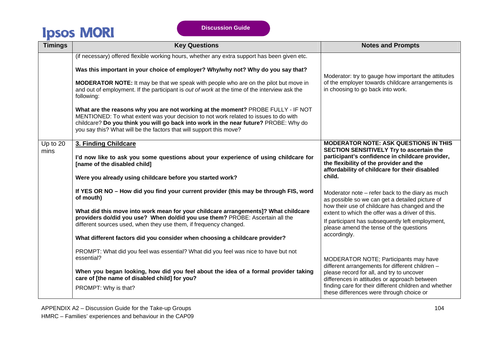| <b>Timings</b>   | <b>Key Questions</b>                                                                                                                                                                                                                                                                                                                    | <b>Notes and Prompts</b>                                                                                                                    |
|------------------|-----------------------------------------------------------------------------------------------------------------------------------------------------------------------------------------------------------------------------------------------------------------------------------------------------------------------------------------|---------------------------------------------------------------------------------------------------------------------------------------------|
|                  | (if necessary) offered flexible working hours, whether any extra support has been given etc.                                                                                                                                                                                                                                            |                                                                                                                                             |
|                  | Was this important in your choice of employer? Why/why not? Why do you say that?                                                                                                                                                                                                                                                        | Moderator: try to gauge how important the attitudes                                                                                         |
|                  | <b>MODERATOR NOTE:</b> It may be that we speak with people who are on the pilot but move in<br>and out of employment. If the participant is out of work at the time of the interview ask the<br>following:                                                                                                                              | of the employer towards childcare arrangements is<br>in choosing to go back into work.                                                      |
|                  | What are the reasons why you are not working at the moment? PROBE FULLY - IF NOT<br>MENTIONED: To what extent was your decision to not work related to issues to do with<br>childcare? Do you think you will go back into work in the near future? PROBE: Why do<br>you say this? What will be the factors that will support this move? |                                                                                                                                             |
| Up to 20<br>mins | 3. Finding Childcare                                                                                                                                                                                                                                                                                                                    | <b>MODERATOR NOTE: ASK QUESTIONS IN THIS</b><br>SECTION SENSITIVELY Try to ascertain the                                                    |
|                  | I'd now like to ask you some questions about your experience of using childcare for<br>[name of the disabled child]                                                                                                                                                                                                                     | participant's confidence in childcare provider,<br>the flexibility of the provider and the<br>affordability of childcare for their disabled |
|                  | Were you already using childcare before you started work?                                                                                                                                                                                                                                                                               | child.                                                                                                                                      |
|                  | If YES OR NO - How did you find your current provider (this may be through FIS, word<br>of mouth)                                                                                                                                                                                                                                       | Moderator note - refer back to the diary as much<br>as possible so we can get a detailed picture of                                         |
|                  | What did this move into work mean for your childcare arrangements]? What childcare<br>providers do/did you use? When do/did you use them? PROBE: Ascertain all the                                                                                                                                                                      | how their use of childcare has changed and the<br>extent to which the offer was a driver of this.                                           |
|                  | different sources used, when they use them, if frequency changed.                                                                                                                                                                                                                                                                       | If participant has subsequently left employment,<br>please amend the tense of the questions                                                 |
|                  | What different factors did you consider when choosing a childcare provider?                                                                                                                                                                                                                                                             | accordingly.                                                                                                                                |
|                  | PROMPT: What did you feel was essential? What did you feel was nice to have but not<br>essential?                                                                                                                                                                                                                                       |                                                                                                                                             |
|                  |                                                                                                                                                                                                                                                                                                                                         | MODERATOR NOTE; Participants may have<br>different arrangements for different children -                                                    |
|                  | When you began looking, how did you feel about the idea of a formal provider taking<br>care of [the name of disabled child] for you?                                                                                                                                                                                                    | please record for all, and try to uncover<br>differences in attitudes or approach between                                                   |
|                  | PROMPT: Why is that?                                                                                                                                                                                                                                                                                                                    | finding care for their different children and whether<br>these differences were through choice or                                           |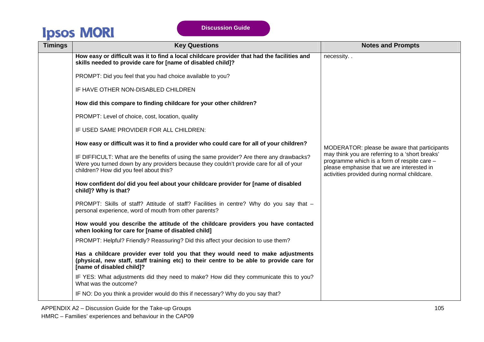**Discussion Guide** 

| <b>Timings</b> | <b>Key Questions</b>                                                                                                                                                                                                           | <b>Notes and Prompts</b>                                                                                                                                                                     |
|----------------|--------------------------------------------------------------------------------------------------------------------------------------------------------------------------------------------------------------------------------|----------------------------------------------------------------------------------------------------------------------------------------------------------------------------------------------|
|                | How easy or difficult was it to find a local childcare provider that had the facilities and<br>skills needed to provide care for [name of disabled child]?                                                                     | necessity                                                                                                                                                                                    |
|                | PROMPT: Did you feel that you had choice available to you?                                                                                                                                                                     |                                                                                                                                                                                              |
|                | IF HAVE OTHER NON-DISABLED CHILDREN                                                                                                                                                                                            |                                                                                                                                                                                              |
|                | How did this compare to finding childcare for your other children?                                                                                                                                                             |                                                                                                                                                                                              |
|                | PROMPT: Level of choice, cost, location, quality                                                                                                                                                                               |                                                                                                                                                                                              |
|                | IF USED SAME PROVIDER FOR ALL CHILDREN:                                                                                                                                                                                        |                                                                                                                                                                                              |
|                | How easy or difficult was it to find a provider who could care for all of your children?                                                                                                                                       | MODERATOR: please be aware that participants                                                                                                                                                 |
|                | IF DIFFICULT: What are the benefits of using the same provider? Are there any drawbacks?<br>Were you turned down by any providers because they couldn't provide care for all of your<br>children? How did you feel about this? | may think you are referring to a 'short breaks'<br>programme which is a form of respite care -<br>please emphasise that we are interested in<br>activities provided during normal childcare. |
|                | How confident do/ did you feel about your childcare provider for [name of disabled<br>child]? Why is that?                                                                                                                     |                                                                                                                                                                                              |
|                | PROMPT: Skills of staff? Attitude of staff? Facilities in centre? Why do you say that -<br>personal experience, word of mouth from other parents?                                                                              |                                                                                                                                                                                              |
|                | How would you describe the attitude of the childcare providers you have contacted<br>when looking for care for [name of disabled child]                                                                                        |                                                                                                                                                                                              |
|                | PROMPT: Helpful? Friendly? Reassuring? Did this affect your decision to use them?                                                                                                                                              |                                                                                                                                                                                              |
|                | Has a childcare provider ever told you that they would need to make adjustments<br>(physical, new staff, staff training etc) to their centre to be able to provide care for<br>[name of disabled child]?                       |                                                                                                                                                                                              |
|                | IF YES: What adjustments did they need to make? How did they communicate this to you?<br>What was the outcome?                                                                                                                 |                                                                                                                                                                                              |
|                | IF NO: Do you think a provider would do this if necessary? Why do you say that?                                                                                                                                                |                                                                                                                                                                                              |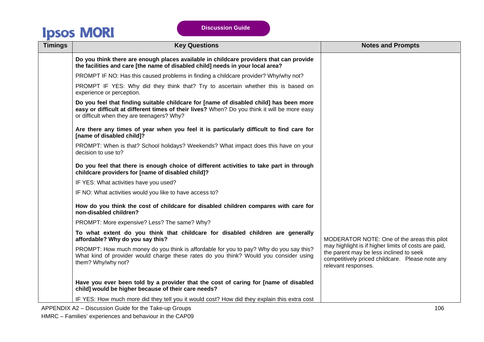| <b>Timings</b> | <b>Key Questions</b>                                                                                                                                                                                                                 | <b>Notes and Prompts</b>                                                                                                                                                  |
|----------------|--------------------------------------------------------------------------------------------------------------------------------------------------------------------------------------------------------------------------------------|---------------------------------------------------------------------------------------------------------------------------------------------------------------------------|
|                | Do you think there are enough places available in childcare providers that can provide<br>the facilities and care [the name of disabled child] needs in your local area?                                                             |                                                                                                                                                                           |
|                | PROMPT IF NO: Has this caused problems in finding a childcare provider? Why/why not?                                                                                                                                                 |                                                                                                                                                                           |
|                | PROMPT IF YES: Why did they think that? Try to ascertain whether this is based on<br>experience or perception.                                                                                                                       |                                                                                                                                                                           |
|                | Do you feel that finding suitable childcare for [name of disabled child] has been more<br>easy or difficult at different times of their lives? When? Do you think it will be more easy<br>or difficult when they are teenagers? Why? |                                                                                                                                                                           |
|                | Are there any times of year when you feel it is particularly difficult to find care for<br>[name of disabled child]?                                                                                                                 |                                                                                                                                                                           |
|                | PROMPT: When is that? School holidays? Weekends? What impact does this have on your<br>decision to use to?                                                                                                                           |                                                                                                                                                                           |
|                | Do you feel that there is enough choice of different activities to take part in through<br>childcare providers for [name of disabled child]?                                                                                         |                                                                                                                                                                           |
|                | IF YES: What activities have you used?                                                                                                                                                                                               |                                                                                                                                                                           |
|                | IF NO: What activities would you like to have access to?                                                                                                                                                                             |                                                                                                                                                                           |
|                | How do you think the cost of childcare for disabled children compares with care for<br>non-disabled children?                                                                                                                        |                                                                                                                                                                           |
|                | PROMPT: More expensive? Less? The same? Why?                                                                                                                                                                                         |                                                                                                                                                                           |
|                | To what extent do you think that childcare for disabled children are generally<br>affordable? Why do you say this?                                                                                                                   | MODERATOR NOTE: One of the areas this pilot                                                                                                                               |
|                | PROMPT: How much money do you think is affordable for you to pay? Why do you say this?<br>What kind of provider would charge these rates do you think? Would you consider using<br>them? Why/why not?                                | may highlight is if higher limits of costs are paid,<br>the parent may be less inclined to seek<br>competitively priced childcare. Please note any<br>relevant responses. |
|                | Have you ever been told by a provider that the cost of caring for [name of disabled<br>child] would be higher because of their care needs?                                                                                           |                                                                                                                                                                           |
|                | IF YES: How much more did they tell you it would cost? How did they explain this extra cost                                                                                                                                          |                                                                                                                                                                           |

APPENDIX A2 – Discussion Guide for the Take-up Groups 106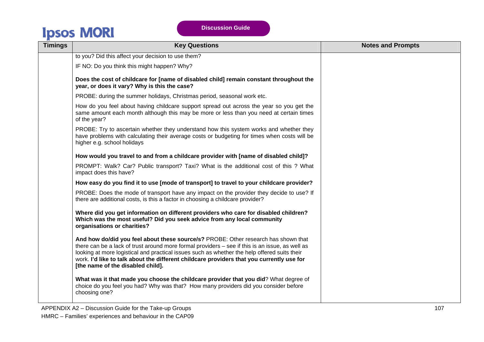| <b>Timings</b> | <b>Key Questions</b>                                                                                                                                                                                                                                                                                                                                                                                                    | <b>Notes and Prompts</b> |
|----------------|-------------------------------------------------------------------------------------------------------------------------------------------------------------------------------------------------------------------------------------------------------------------------------------------------------------------------------------------------------------------------------------------------------------------------|--------------------------|
|                | to you? Did this affect your decision to use them?                                                                                                                                                                                                                                                                                                                                                                      |                          |
|                | IF NO: Do you think this might happen? Why?                                                                                                                                                                                                                                                                                                                                                                             |                          |
|                | Does the cost of childcare for [name of disabled child] remain constant throughout the<br>year, or does it vary? Why is this the case?                                                                                                                                                                                                                                                                                  |                          |
|                | PROBE: during the summer holidays, Christmas period, seasonal work etc.                                                                                                                                                                                                                                                                                                                                                 |                          |
|                | How do you feel about having childcare support spread out across the year so you get the<br>same amount each month although this may be more or less than you need at certain times<br>of the year?                                                                                                                                                                                                                     |                          |
|                | PROBE: Try to ascertain whether they understand how this system works and whether they<br>have problems with calculating their average costs or budgeting for times when costs will be<br>higher e.g. school holidays                                                                                                                                                                                                   |                          |
|                | How would you travel to and from a childcare provider with [name of disabled child]?                                                                                                                                                                                                                                                                                                                                    |                          |
|                | PROMPT: Walk? Car? Public transport? Taxi? What is the additional cost of this ? What<br>impact does this have?                                                                                                                                                                                                                                                                                                         |                          |
|                | How easy do you find it to use [mode of transport] to travel to your childcare provider?                                                                                                                                                                                                                                                                                                                                |                          |
|                | PROBE: Does the mode of transport have any impact on the provider they decide to use? If<br>there are additional costs, is this a factor in choosing a childcare provider?                                                                                                                                                                                                                                              |                          |
|                | Where did you get information on different providers who care for disabled children?<br>Which was the most useful? Did you seek advice from any local community<br>organisations or charities?                                                                                                                                                                                                                          |                          |
|                | And how do/did you feel about these source/s? PROBE: Other research has shown that<br>there can be a lack of trust around more formal providers – see if this is an issue, as well as<br>looking at more logistical and practical issues such as whether the help offered suits their<br>work. I'd like to talk about the different childcare providers that you currently use for<br>[the name of the disabled child]. |                          |
|                | What was it that made you choose the childcare provider that you did? What degree of<br>choice do you feel you had? Why was that? How many providers did you consider before<br>choosing one?                                                                                                                                                                                                                           |                          |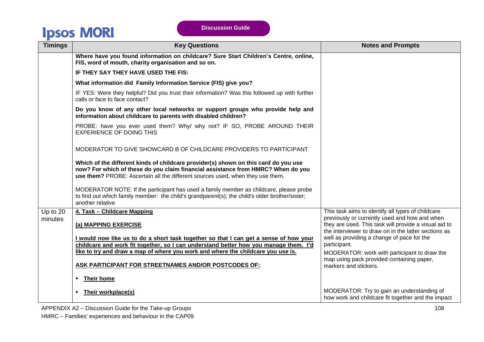| <b>Timings</b>      | <b>Key Questions</b>                                                                                                                                                                                                                                      | <b>Notes and Prompts</b>                                                                                                                                                                                                                                                                                                          |
|---------------------|-----------------------------------------------------------------------------------------------------------------------------------------------------------------------------------------------------------------------------------------------------------|-----------------------------------------------------------------------------------------------------------------------------------------------------------------------------------------------------------------------------------------------------------------------------------------------------------------------------------|
|                     | Where have you found information on childcare? Sure Start Children's Centre, online,<br>FIS, word of mouth, charity organisation and so on.                                                                                                               |                                                                                                                                                                                                                                                                                                                                   |
|                     | IF THEY SAY THEY HAVE USED THE FIS:                                                                                                                                                                                                                       |                                                                                                                                                                                                                                                                                                                                   |
|                     | What information did Family Information Service (FIS) give you?                                                                                                                                                                                           |                                                                                                                                                                                                                                                                                                                                   |
|                     | IF YES: Were they helpful? Did you trust their information? Was this followed up with further<br>calls or face to face contact?                                                                                                                           |                                                                                                                                                                                                                                                                                                                                   |
|                     | Do you know of any other local networks or support groups who provide help and<br>information about childcare to parents with disabled children?                                                                                                          |                                                                                                                                                                                                                                                                                                                                   |
|                     | PROBE: have you ever used them? Why/ why not? IF SO, PROBE AROUND THEIR<br><b>EXPERIENCE OF DOING THIS</b>                                                                                                                                                |                                                                                                                                                                                                                                                                                                                                   |
|                     | MODERATOR TO GIVE SHOWCARD B OF CHILDCARE PROVIDERS TO PARTICIPANT                                                                                                                                                                                        |                                                                                                                                                                                                                                                                                                                                   |
|                     | Which of the different kinds of childcare provider(s) shown on this card do you use<br>now? For which of these do you claim financial assistance from HMRC? When do you<br>use them? PROBE: Ascertain all the different sources used, when they use them. |                                                                                                                                                                                                                                                                                                                                   |
|                     | MODERATOR NOTE: If the participant has used a family member as childcare, please probe<br>to find out which family member: the child's grandparent(s); the child's older brother/sister;<br>another relative                                              |                                                                                                                                                                                                                                                                                                                                   |
| Up to 20<br>minutes | 4. Task - Childcare Mapping<br>(a) MAPPING EXERCISE                                                                                                                                                                                                       | This task aims to identify all types of childcare<br>previously or currently used and how and when<br>they are used. This task will provide a visual aid to<br>the interviewer to draw on in the latter sections as<br>well as providing a change of pace for the<br>participant.<br>MODERATOR: work with participant to draw the |
|                     | I would now like us to do a short task together so that I can get a sense of how your                                                                                                                                                                     |                                                                                                                                                                                                                                                                                                                                   |
|                     | childcare and work fit together, so I can understand better how you manage them. I'd<br>like to try and draw a map of where you work and where the childcare you use is.                                                                                  |                                                                                                                                                                                                                                                                                                                                   |
|                     | ASK PARTICIPANT FOR STREETNAMES AND/OR POSTCODES OF:                                                                                                                                                                                                      | map using pack provided containing paper,<br>markers and stickers.                                                                                                                                                                                                                                                                |
|                     | Their home<br>٠                                                                                                                                                                                                                                           |                                                                                                                                                                                                                                                                                                                                   |
|                     | Their workplace(s)                                                                                                                                                                                                                                        | MODERATOR: Try to gain an understanding of<br>how work and childcare fit together and the impact                                                                                                                                                                                                                                  |

APPENDIX A2 – Discussion Guide for the Take-up Groups 108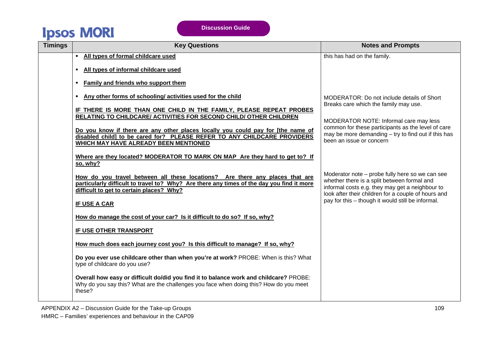| <b>Timings</b> | <b>Key Questions</b>                                                                                                                                                                                                  | <b>Notes and Prompts</b>                                                                                                                                                                                 |
|----------------|-----------------------------------------------------------------------------------------------------------------------------------------------------------------------------------------------------------------------|----------------------------------------------------------------------------------------------------------------------------------------------------------------------------------------------------------|
|                | All types of formal childcare used<br>$\blacksquare$                                                                                                                                                                  | this has had on the family.                                                                                                                                                                              |
|                | All types of informal childcare used<br>٠                                                                                                                                                                             |                                                                                                                                                                                                          |
|                | Family and friends who support them<br>٠                                                                                                                                                                              |                                                                                                                                                                                                          |
|                | Any other forms of schooling/activities used for the child<br>٠                                                                                                                                                       | MODERATOR: Do not include details of Short<br>Breaks care which the family may use.                                                                                                                      |
|                | IF THERE IS MORE THAN ONE CHILD IN THE FAMILY, PLEASE REPEAT PROBES<br>RELATING TO CHILDCARE/ ACTIVITIES FOR SECOND CHILD/ OTHER CHILDREN                                                                             |                                                                                                                                                                                                          |
|                |                                                                                                                                                                                                                       | MODERATOR NOTE: Informal care may less<br>common for these participants as the level of care                                                                                                             |
|                | Do you know if there are any other places locally you could pay for [the name of<br>disabled child] to be cared for? PLEASE REFER TO ANY CHILDCARE PROVIDERS<br>WHICH MAY HAVE ALREADY BEEN MENTIONED                 | may be more demanding $-$ try to find out if this has<br>been an issue or concern                                                                                                                        |
|                | Where are they located? MODERATOR TO MARK ON MAP Are they hard to get to? If<br>so, why?                                                                                                                              |                                                                                                                                                                                                          |
|                | How do you travel between all these locations? Are there any places that are<br>particularly difficult to travel to? Why? Are there any times of the day you find it more<br>difficult to get to certain places? Why? | Moderator note – probe fully here so we can see<br>whether there is a split between formal and<br>informal costs e.g. they may get a neighbour to<br>look after their children for a couple of hours and |
|                | IF USE A CAR                                                                                                                                                                                                          | pay for this - though it would still be informal.                                                                                                                                                        |
|                | How do manage the cost of your car? Is it difficult to do so? If so, why?                                                                                                                                             |                                                                                                                                                                                                          |
|                | IF USE OTHER TRANSPORT                                                                                                                                                                                                |                                                                                                                                                                                                          |
|                | How much does each journey cost you? Is this difficult to manage? If so, why?                                                                                                                                         |                                                                                                                                                                                                          |
|                | Do you ever use childcare other than when you're at work? PROBE: When is this? What<br>type of childcare do you use?                                                                                                  |                                                                                                                                                                                                          |
|                | Overall how easy or difficult do/did you find it to balance work and childcare? PROBE:<br>Why do you say this? What are the challenges you face when doing this? How do you meet<br>these?                            |                                                                                                                                                                                                          |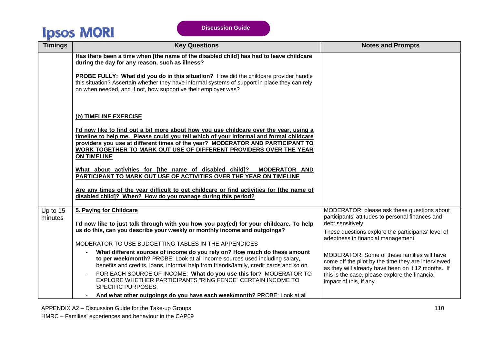| <b>Timings</b>        | <b>Key Questions</b>                                                                                                                                                                                                                                                                                                                                           | <b>Notes and Prompts</b>                                                                                                                                 |
|-----------------------|----------------------------------------------------------------------------------------------------------------------------------------------------------------------------------------------------------------------------------------------------------------------------------------------------------------------------------------------------------------|----------------------------------------------------------------------------------------------------------------------------------------------------------|
|                       | Has there been a time when [the name of the disabled child] has had to leave childcare<br>during the day for any reason, such as illness?                                                                                                                                                                                                                      |                                                                                                                                                          |
|                       | PROBE FULLY: What did you do in this situation? How did the childcare provider handle<br>this situation? Ascertain whether they have informal systems of support in place they can rely<br>on when needed, and if not, how supportive their employer was?                                                                                                      |                                                                                                                                                          |
|                       | (b) TIMELINE EXERCISE                                                                                                                                                                                                                                                                                                                                          |                                                                                                                                                          |
|                       | I'd now like to find out a bit more about how you use childcare over the year, using a<br>timeline to help me. Please could you tell which of your informal and formal childcare<br>providers you use at different times of the year? MODERATOR AND PARTICIPANT TO<br>WORK TOGETHER TO MARK OUT USE OF DIFFERENT PROVIDERS OVER THE YEAR<br><b>ON TIMELINE</b> |                                                                                                                                                          |
|                       | What about activities for [the name of disabled child]? MODERATOR AND<br>PARTICIPANT TO MARK OUT USE OF ACTIVITIES OVER THE YEAR ON TIMELINE                                                                                                                                                                                                                   |                                                                                                                                                          |
|                       | Are any times of the year difficult to get childcare or find activities for [the name of<br>disabled child]? When? How do you manage during this period?                                                                                                                                                                                                       |                                                                                                                                                          |
| Up to $15$<br>minutes | 5. Paying for Childcare<br>I'd now like to just talk through with you how you pay(ed) for your childcare. To help                                                                                                                                                                                                                                              | MODERATOR: please ask these questions about<br>participants' attitudes to personal finances and<br>debt sensitively.                                     |
|                       | us do this, can you describe your weekly or monthly income and outgoings?                                                                                                                                                                                                                                                                                      | These questions explore the participants' level of<br>adeptness in financial management.                                                                 |
|                       | MODERATOR TO USE BUDGETTING TABLES IN THE APPENDICES                                                                                                                                                                                                                                                                                                           |                                                                                                                                                          |
|                       | What different sources of income do you rely on? How much do these amount<br>to per week/month? PROBE: Look at all income sources used including salary,<br>benefits and credits, loans, informal help from friends/family, credit cards and so on.                                                                                                            | MODERATOR: Some of these families will have<br>come off the pilot by the time they are interviewed<br>as they will already have been on it 12 months. If |
|                       | FOR EACH SOURCE OF INCOME: What do you use this for? MODERATOR TO<br>EXPLORE WHETHER PARTICIPANTS "RING FENCE" CERTAIN INCOME TO<br><b>SPECIFIC PURPOSES,</b>                                                                                                                                                                                                  | this is the case, please explore the financial<br>impact of this, if any.                                                                                |
|                       | And what other outgoings do you have each week/month? PROBE: Look at all                                                                                                                                                                                                                                                                                       |                                                                                                                                                          |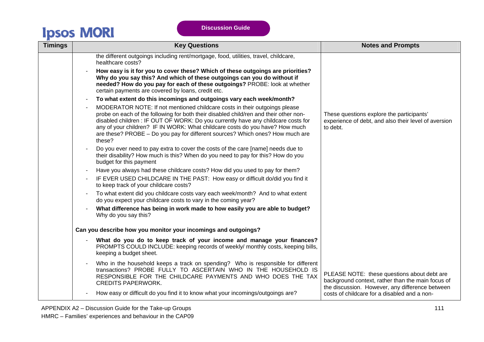| <b>Timings</b> | <b>Key Questions</b>                                                                                                                                                                                                                                                                                                                                                                                                                | <b>Notes and Prompts</b>                                                                                                                            |
|----------------|-------------------------------------------------------------------------------------------------------------------------------------------------------------------------------------------------------------------------------------------------------------------------------------------------------------------------------------------------------------------------------------------------------------------------------------|-----------------------------------------------------------------------------------------------------------------------------------------------------|
|                | the different outgoings including rent/mortgage, food, utilities, travel, childcare,<br>healthcare costs?                                                                                                                                                                                                                                                                                                                           |                                                                                                                                                     |
|                | How easy is it for you to cover these? Which of these outgoings are priorities?<br>Why do you say this? And which of these outgoings can you do without if<br>needed? How do you pay for each of these outgoings? PROBE: look at whether<br>certain payments are covered by loans, credit etc.                                                                                                                                      |                                                                                                                                                     |
|                | To what extent do this incomings and outgoings vary each week/month?<br>$\blacksquare$                                                                                                                                                                                                                                                                                                                                              |                                                                                                                                                     |
|                | MODERATOR NOTE: If not mentioned childcare costs in their outgoings please<br>probe on each of the following for both their disabled child/ren and their other non-<br>disabled children : IF OUT OF WORK: Do you currently have any childcare costs for<br>any of your children? IF IN WORK: What childcare costs do you have? How much<br>are these? PROBE - Do you pay for different sources? Which ones? How much are<br>these? | These questions explore the participants'<br>experience of debt, and also their level of aversion<br>to debt.                                       |
|                | Do you ever need to pay extra to cover the costs of the care [name] needs due to<br>their disability? How much is this? When do you need to pay for this? How do you<br>budget for this payment                                                                                                                                                                                                                                     |                                                                                                                                                     |
|                | Have you always had these childcare costs? How did you used to pay for them?<br>$\overline{\phantom{a}}$                                                                                                                                                                                                                                                                                                                            |                                                                                                                                                     |
|                | IF EVER USED CHILDCARE IN THE PAST: How easy or difficult do/did you find it<br>to keep track of your childcare costs?                                                                                                                                                                                                                                                                                                              |                                                                                                                                                     |
|                | To what extent did you childcare costs vary each week/month? And to what extent<br>do you expect your childcare costs to vary in the coming year?                                                                                                                                                                                                                                                                                   |                                                                                                                                                     |
|                | What difference has being in work made to how easily you are able to budget?<br>Why do you say this?                                                                                                                                                                                                                                                                                                                                |                                                                                                                                                     |
|                | Can you describe how you monitor your incomings and outgoings?                                                                                                                                                                                                                                                                                                                                                                      |                                                                                                                                                     |
|                | What do you do to keep track of your income and manage your finances?<br>PROMPTS COULD INCLUDE: keeping records of weekly/ monthly costs, keeping bills,<br>keeping a budget sheet.                                                                                                                                                                                                                                                 |                                                                                                                                                     |
|                | Who in the household keeps a track on spending? Who is responsible for different<br>transactions? PROBE FULLY TO ASCERTAIN WHO IN THE HOUSEHOLD IS<br>RESPONSIBLE FOR THE CHILDCARE PAYMENTS AND WHO DOES THE TAX<br><b>CREDITS PAPERWORK.</b>                                                                                                                                                                                      | PLEASE NOTE: these questions about debt are<br>background context, rather than the main focus of<br>the discussion. However, any difference between |
|                | How easy or difficult do you find it to know what your incomings/outgoings are?                                                                                                                                                                                                                                                                                                                                                     | costs of childcare for a disabled and a non-                                                                                                        |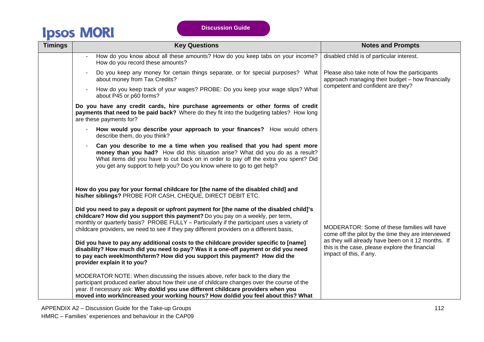| <b>Timings</b> | <b>Key Questions</b>                                                                                                                                                                                                                                                                                                                                                  | <b>Notes and Prompts</b>                                                                                                        |
|----------------|-----------------------------------------------------------------------------------------------------------------------------------------------------------------------------------------------------------------------------------------------------------------------------------------------------------------------------------------------------------------------|---------------------------------------------------------------------------------------------------------------------------------|
|                | How do you know about all these amounts? How do you keep tabs on your income?<br>How do you record these amounts?                                                                                                                                                                                                                                                     | disabled child is of particular interest.                                                                                       |
|                | Do you keep any money for certain things separate, or for special purposes? What<br>about money from Tax Credits?                                                                                                                                                                                                                                                     | Please also take note of how the participants<br>approach managing their budget - how financially                               |
|                | How do you keep track of your wages? PROBE: Do you keep your wage slips? What<br>about P45 or p60 forms?                                                                                                                                                                                                                                                              | competent and confident are they?                                                                                               |
|                | Do you have any credit cards, hire purchase agreements or other forms of credit<br>payments that need to be paid back? Where do they fit into the budgeting tables? How long<br>are these payments for?                                                                                                                                                               |                                                                                                                                 |
|                | How would you describe your approach to your finances? How would others<br>describe them, do you think?                                                                                                                                                                                                                                                               |                                                                                                                                 |
|                | Can you describe to me a time when you realised that you had spent more<br>money than you had? How did this situation arise? What did you do as a result?<br>What items did you have to cut back on in order to pay off the extra you spent? Did<br>you get any support to help you? Do you know where to go to get help?                                             |                                                                                                                                 |
|                | How do you pay for your formal childcare for [the name of the disabled child] and<br>his/her siblings? PROBE FOR CASH, CHEQUE, DIRECT DEBIT ETC.                                                                                                                                                                                                                      |                                                                                                                                 |
|                | Did you need to pay a deposit or upfront payment for [the name of the disabled child]'s<br>childcare? How did you support this payment? Do you pay on a weekly, per term,<br>monthly or quarterly basis? PROBE FULLY – Particularly if the participant uses a variety of<br>childcare providers, we need to see if they pay different providers on a different basis, | MODERATOR: Some of these families will have<br>come off the pilot by the time they are interviewed                              |
|                | Did you have to pay any additional costs to the childcare provider specific to [name]<br>disability? How much did you need to pay? Was it a one-off payment or did you need<br>to pay each week/month/term? How did you support this payment? How did the<br>provider explain it to you?                                                                              | as they will already have been on it 12 months. If<br>this is the case, please explore the financial<br>impact of this, if any. |
|                | MODERATOR NOTE: When discussing the issues above, refer back to the diary the<br>participant produced earlier about how their use of childcare changes over the course of the<br>year. If necessary ask: Why do/did you use different childcare providers when you<br>moved into work/increased your working hours? How do/did you feel about this? What              |                                                                                                                                 |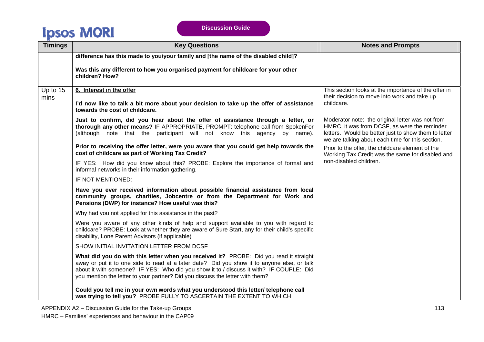| <b>Timings</b> | <b>Key Questions</b>                                                                                                                                                                                                                                                                                                                                              | <b>Notes and Prompts</b>                                                                                                                                                                                     |
|----------------|-------------------------------------------------------------------------------------------------------------------------------------------------------------------------------------------------------------------------------------------------------------------------------------------------------------------------------------------------------------------|--------------------------------------------------------------------------------------------------------------------------------------------------------------------------------------------------------------|
|                | difference has this made to you/your family and [the name of the disabled child]?                                                                                                                                                                                                                                                                                 |                                                                                                                                                                                                              |
|                | Was this any different to how you organised payment for childcare for your other<br>children? How?                                                                                                                                                                                                                                                                |                                                                                                                                                                                                              |
| Up to 15       | 6. Interest in the offer                                                                                                                                                                                                                                                                                                                                          | This section looks at the importance of the offer in                                                                                                                                                         |
| mins           | I'd now like to talk a bit more about your decision to take up the offer of assistance<br>towards the cost of childcare.                                                                                                                                                                                                                                          | their decision to move into work and take up<br>childcare.                                                                                                                                                   |
|                | Just to confirm, did you hear about the offer of assistance through a letter, or<br>thorough any other means? IF APPROPRIATE, PROMPT: telephone call from SpokenFor<br>(although note that the participant will not know this agency by name).                                                                                                                    | Moderator note: the original letter was not from<br>HMRC, it was from DCSF, as were the reminder<br>letters. Would be better just to show them to letter<br>we are talking about each time for this section. |
|                | Prior to receiving the offer letter, were you aware that you could get help towards the<br>cost of childcare as part of Working Tax Credit?                                                                                                                                                                                                                       | Prior to the offer, the childcare element of the<br>Working Tax Credit was the same for disabled and                                                                                                         |
|                | IF YES: How did you know about this? PROBE: Explore the importance of formal and<br>informal networks in their information gathering.                                                                                                                                                                                                                             | non-disabled children.                                                                                                                                                                                       |
|                | IF NOT MENTIONED:                                                                                                                                                                                                                                                                                                                                                 |                                                                                                                                                                                                              |
|                | Have you ever received information about possible financial assistance from local<br>community groups, charities, Jobcentre or from the Department for Work and<br>Pensions (DWP) for instance? How useful was this?                                                                                                                                              |                                                                                                                                                                                                              |
|                | Why had you not applied for this assistance in the past?                                                                                                                                                                                                                                                                                                          |                                                                                                                                                                                                              |
|                | Were you aware of any other kinds of help and support available to you with regard to<br>childcare? PROBE: Look at whether they are aware of Sure Start, any for their child's specific<br>disability, Lone Parent Advisors (if applicable)                                                                                                                       |                                                                                                                                                                                                              |
|                | SHOW INITIAL INVITATION LETTER FROM DCSF                                                                                                                                                                                                                                                                                                                          |                                                                                                                                                                                                              |
|                | What did you do with this letter when you received it? PROBE: Did you read it straight<br>away or put it to one side to read at a later date? Did you show it to anyone else, or talk<br>about it with someone? IF YES: Who did you show it to / discuss it with? IF COUPLE: Did<br>you mention the letter to your partner? Did you discuss the letter with them? |                                                                                                                                                                                                              |
|                | Could you tell me in your own words what you understood this letter/ telephone call<br>was trying to tell you? PROBE FULLY TO ASCERTAIN THE EXTENT TO WHICH                                                                                                                                                                                                       |                                                                                                                                                                                                              |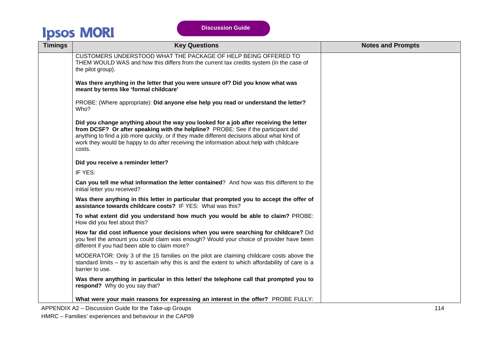| <b>Timings</b> | <b>Key Questions</b>                                                                                                                                                                                                                                                                                                                                                            | <b>Notes and Prompts</b> |
|----------------|---------------------------------------------------------------------------------------------------------------------------------------------------------------------------------------------------------------------------------------------------------------------------------------------------------------------------------------------------------------------------------|--------------------------|
|                | CUSTOMERS UNDERSTOOD WHAT THE PACKAGE OF HELP BEING OFFERED TO<br>THEM WOULD WAS and how this differs from the current tax credits system (in the case of<br>the pilot group).                                                                                                                                                                                                  |                          |
|                | Was there anything in the letter that you were unsure of? Did you know what was<br>meant by terms like 'formal childcare'                                                                                                                                                                                                                                                       |                          |
|                | PROBE: (Where appropriate): Did anyone else help you read or understand the letter?<br>Who?                                                                                                                                                                                                                                                                                     |                          |
|                | Did you change anything about the way you looked for a job after receiving the letter<br>from DCSF? Or after speaking with the helpline? PROBE: See if the participant did<br>anything to find a job more quickly, or if they made different decisions about what kind of<br>work they would be happy to do after receiving the information about help with childcare<br>costs. |                          |
|                | Did you receive a reminder letter?                                                                                                                                                                                                                                                                                                                                              |                          |
|                | IF YES:                                                                                                                                                                                                                                                                                                                                                                         |                          |
|                | Can you tell me what information the letter contained? And how was this different to the<br>initial letter you received?                                                                                                                                                                                                                                                        |                          |
|                | Was there anything in this letter in particular that prompted you to accept the offer of<br>assistance towards childcare costs? IF YES: What was this?                                                                                                                                                                                                                          |                          |
|                | To what extent did you understand how much you would be able to claim? PROBE:<br>How did you feel about this?                                                                                                                                                                                                                                                                   |                          |
|                | How far did cost influence your decisions when you were searching for childcare? Did<br>you feel the amount you could claim was enough? Would your choice of provider have been<br>different if you had been able to claim more?                                                                                                                                                |                          |
|                | MODERATOR: Only 3 of the 15 families on the pilot are claiming childcare costs above the<br>standard limits – try to ascertain why this is and the extent to which affordability of care is a<br>barrier to use.                                                                                                                                                                |                          |
|                | Was there anything in particular in this letter/ the telephone call that prompted you to<br>respond? Why do you say that?                                                                                                                                                                                                                                                       |                          |
|                | What were your main reasons for expressing an interest in the offer? PROBE FULLY:                                                                                                                                                                                                                                                                                               |                          |

APPENDIX A2 – Discussion Guide for the Take-up Groups 114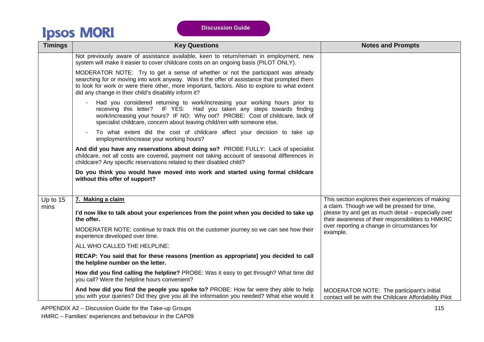| <b>Timings</b> | <b>Key Questions</b>                                                                                                                                                                                                                                                                                                                      | <b>Notes and Prompts</b>                                                                                  |
|----------------|-------------------------------------------------------------------------------------------------------------------------------------------------------------------------------------------------------------------------------------------------------------------------------------------------------------------------------------------|-----------------------------------------------------------------------------------------------------------|
|                | Not previously aware of assistance available, keen to return/remain in employment, new<br>system will make it easier to cover childcare costs on an ongoing basis (PILOT ONLY).                                                                                                                                                           |                                                                                                           |
|                | MODERATOR NOTE: Try to get a sense of whether or not the participant was already<br>searching for or moving into work anyway. Was it the offer of assistance that prompted them<br>to look for work or were there other, more important, factors. Also to explore to what extent<br>did any change in their child's disability inform it? |                                                                                                           |
|                | Had you considered returning to work/increasing your working hours prior to<br>receiving this letter? IF YES: Had you taken any steps towards finding<br>work/increasing your hours? IF NO: Why not? PROBE: Cost of childcare, lack of<br>specialist childcare, concern about leaving child/ren with someone else.                        |                                                                                                           |
|                | To what extent did the cost of childcare affect your decision to take up<br>employment/increase your working hours?                                                                                                                                                                                                                       |                                                                                                           |
|                | And did you have any reservations about doing so? PROBE FULLY: Lack of specialist<br>childcare, not all costs are covered, payment not taking account of seasonal differences in<br>childcare? Any specific reservations related to their disabled child?                                                                                 |                                                                                                           |
|                | Do you think you would have moved into work and started using formal childcare<br>without this offer of support?                                                                                                                                                                                                                          |                                                                                                           |
| Up to 15       | 7. Making a claim                                                                                                                                                                                                                                                                                                                         | This section explores their experiences of making<br>a claim. Though we will be pressed for time,         |
| mins           | I'd now like to talk about your experiences from the point when you decided to take up<br>the offer.                                                                                                                                                                                                                                      | please try and get as much detail - especially over<br>their awareness of their responsibilities to HMKRC |
|                | MODERATER NOTE: continue to track this on the customer journey so we can see how their<br>experience developed over time.                                                                                                                                                                                                                 | over reporting a change in circumstances for<br>example.                                                  |
|                | ALL WHO CALLED THE HELPLINE:                                                                                                                                                                                                                                                                                                              |                                                                                                           |
|                | RECAP: You said that for these reasons [mention as appropriate] you decided to call<br>the helpline number on the letter.                                                                                                                                                                                                                 |                                                                                                           |
|                | How did you find calling the helpline? PROBE: Was it easy to get through? What time did<br>you call? Were the helpline hours convenient?                                                                                                                                                                                                  |                                                                                                           |
|                | And how did you find the people you spoke to? PROBE: How far were they able to help<br>you with your queries? Did they give you all the information you needed? What else would it                                                                                                                                                        | MODERATOR NOTE: The participant's initial<br>contact will be with the Childcare Affordability Pilot       |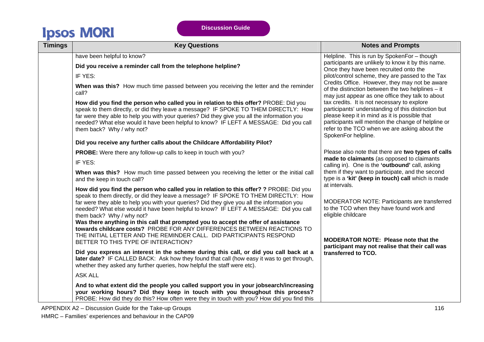| <b>Timings</b> | <b>Key Questions</b>                                                                                                                                                                                                                                                                                                                                                                                                                                                                                                                                                                                                                                                                                                                                                                                                                                                                                                                                                                                                                                                                                                                                                                                                                                                     | <b>Notes and Prompts</b>                                                                                                                                                                                                                                                                                                                                                                                                                                                                                                  |
|----------------|--------------------------------------------------------------------------------------------------------------------------------------------------------------------------------------------------------------------------------------------------------------------------------------------------------------------------------------------------------------------------------------------------------------------------------------------------------------------------------------------------------------------------------------------------------------------------------------------------------------------------------------------------------------------------------------------------------------------------------------------------------------------------------------------------------------------------------------------------------------------------------------------------------------------------------------------------------------------------------------------------------------------------------------------------------------------------------------------------------------------------------------------------------------------------------------------------------------------------------------------------------------------------|---------------------------------------------------------------------------------------------------------------------------------------------------------------------------------------------------------------------------------------------------------------------------------------------------------------------------------------------------------------------------------------------------------------------------------------------------------------------------------------------------------------------------|
|                | have been helpful to know?<br>Did you receive a reminder call from the telephone helpline?<br>IF YES:<br>When was this? How much time passed between you receiving the letter and the reminder<br>call?                                                                                                                                                                                                                                                                                                                                                                                                                                                                                                                                                                                                                                                                                                                                                                                                                                                                                                                                                                                                                                                                  | Helpline. This is run by SpokenFor - though<br>participants are unlikely to know it by this name.<br>Once they have been recruited onto the<br>pilot/control scheme, they are passed to the Tax<br>Credits Office. However, they may not be aware<br>of the distinction between the two helplines - it<br>may just appear as one office they talk to about                                                                                                                                                                |
|                | How did you find the person who called you in relation to this offer? PROBE: Did you<br>speak to them directly, or did they leave a message? IF SPOKE TO THEM DIRECTLY: How<br>far were they able to help you with your queries? Did they give you all the information you<br>needed? What else would it have been helpful to know? IF LEFT A MESSAGE: Did you call<br>them back? Why / why not?<br>Did you receive any further calls about the Childcare Affordability Pilot?                                                                                                                                                                                                                                                                                                                                                                                                                                                                                                                                                                                                                                                                                                                                                                                           | tax credits. It is not necessary to explore<br>participants' understanding of this distinction but<br>please keep it in mind as it is possible that<br>participants will mention the change of helpline or<br>refer to the TCO when we are asking about the<br>SpokenFor helpline.                                                                                                                                                                                                                                        |
|                | PROBE: Were there any follow-up calls to keep in touch with you?<br>IF YES:<br>When was this? How much time passed between you receiving the letter or the initial call<br>and the keep in touch call?<br>How did you find the person who called you in relation to this offer? ? PROBE: Did you<br>speak to them directly, or did they leave a message? IF SPOKE TO THEM DIRECTLY: How<br>far were they able to help you with your queries? Did they give you all the information you<br>needed? What else would it have been helpful to know? IF LEFT A MESSAGE: Did you call<br>them back? Why / why not?<br>Was there anything in this call that prompted you to accept the offer of assistance<br>towards childcare costs? PROBE FOR ANY DIFFERENCES BETWEEN REACTIONS TO<br>THE INITIAL LETTER AND THE REMINDER CALL. DID PARTICIPANTS RESPOND<br>BETTER TO THIS TYPE OF INTERACTION?<br>Did you express an interest in the scheme during this call, or did you call back at a<br>later date? IF CALLED BACK: Ask how they found that call (how easy it was to get through,<br>whether they asked any further queries, how helpful the staff were etc).<br><b>ASK ALL</b><br>And to what extent did the people you called support you in your jobsearch/increasing | Please also note that there are two types of calls<br>made to claimants (as opposed to claimants<br>calling in). One is the 'outbound' call, asking<br>them if they want to participate, and the second<br>type is a 'kit' (keep in touch) call which is made<br>at intervals.<br>MODERATOR NOTE: Participants are transferred<br>to the TCO when they have found work and<br>eligible childcare<br><b>MODERATOR NOTE: Please note that the</b><br>participant may not realise that their call was<br>transferred to TCO. |
|                | your working hours? Did they keep in touch with you throughout this process?<br>PROBE: How did they do this? How often were they in touch with you? How did you find this                                                                                                                                                                                                                                                                                                                                                                                                                                                                                                                                                                                                                                                                                                                                                                                                                                                                                                                                                                                                                                                                                                |                                                                                                                                                                                                                                                                                                                                                                                                                                                                                                                           |

APPENDIX A2 – Discussion Guide for the Take-up Groups 10 and 10 and 10 and 10 and 116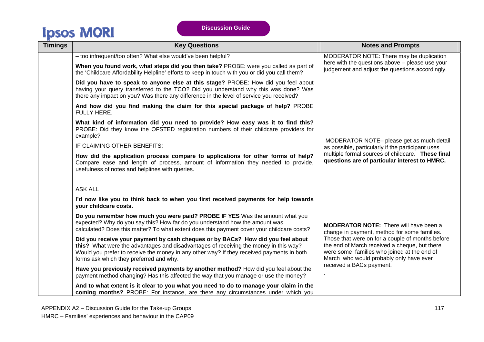| <b>Timings</b> | <b>Key Questions</b>                                                                                                                                                                                                                                                                                            | <b>Notes and Prompts</b>                                                                                                                                                                    |  |  |
|----------------|-----------------------------------------------------------------------------------------------------------------------------------------------------------------------------------------------------------------------------------------------------------------------------------------------------------------|---------------------------------------------------------------------------------------------------------------------------------------------------------------------------------------------|--|--|
|                | - too infrequent/too often? What else would've been helpful?                                                                                                                                                                                                                                                    | MODERATOR NOTE: There may be duplication                                                                                                                                                    |  |  |
|                | When you found work, what steps did you then take? PROBE: were you called as part of<br>the 'Childcare Affordability Helpline' efforts to keep in touch with you or did you call them?                                                                                                                          | here with the questions above - please use your<br>judgement and adjust the questions accordingly.                                                                                          |  |  |
|                | Did you have to speak to anyone else at this stage? PROBE: How did you feel about<br>having your query transferred to the TCO? Did you understand why this was done? Was<br>there any impact on you? Was there any difference in the level of service you received?                                             |                                                                                                                                                                                             |  |  |
|                | And how did you find making the claim for this special package of help? PROBE<br><b>FULLY HERE.</b>                                                                                                                                                                                                             |                                                                                                                                                                                             |  |  |
|                | What kind of information did you need to provide? How easy was it to find this?<br>PROBE: Did they know the OFSTED registration numbers of their childcare providers for<br>example?                                                                                                                            |                                                                                                                                                                                             |  |  |
|                | IF CLAIMING OTHER BENEFITS:                                                                                                                                                                                                                                                                                     | MODERATOR NOTE- please get as much detail<br>as possible, particularly if the participant uses                                                                                              |  |  |
|                | How did the application process compare to applications for other forms of help?<br>Compare ease and length of process, amount of information they needed to provide,<br>usefulness of notes and helplines with queries.                                                                                        | multiple formal sources of childcare. These final<br>questions are of particular interest to HMRC.                                                                                          |  |  |
|                | <b>ASK ALL</b>                                                                                                                                                                                                                                                                                                  |                                                                                                                                                                                             |  |  |
|                | I'd now like you to think back to when you first received payments for help towards<br>your childcare costs.                                                                                                                                                                                                    |                                                                                                                                                                                             |  |  |
|                | Do you remember how much you were paid? PROBE IF YES Was the amount what you<br>expected? Why do you say this? How far do you understand how the amount was<br>calculated? Does this matter? To what extent does this payment cover your childcare costs?                                                       | <b>MODERATOR NOTE:</b> There will have been a<br>change in payment, method for some families.                                                                                               |  |  |
|                | Did you receive your payment by cash cheques or by BACs? How did you feel about<br>this? What were the advantages and disadvantages of receiving the money in this way?<br>Would you prefer to receive the money in any other way? If they received payments in both<br>forms ask which they preferred and why. | Those that were on for a couple of months before<br>the end of March received a cheque, but there<br>were some families who joined at the end of<br>March who would probably only have ever |  |  |
|                | Have you previously received payments by another method? How did you feel about the<br>payment method changing? Has this affected the way that you manage or use the money?                                                                                                                                     | received a BACs payment.                                                                                                                                                                    |  |  |
|                | And to what extent is it clear to you what you need to do to manage your claim in the<br>coming months? PROBE: For instance, are there any circumstances under which you                                                                                                                                        |                                                                                                                                                                                             |  |  |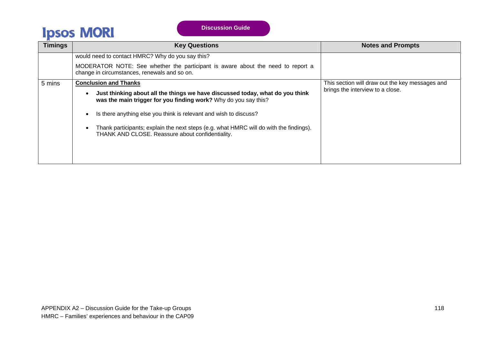| <b>Timings</b> | <b>Key Questions</b>                                                                                                                             | <b>Notes and Prompts</b>                        |  |  |
|----------------|--------------------------------------------------------------------------------------------------------------------------------------------------|-------------------------------------------------|--|--|
|                | would need to contact HMRC? Why do you say this?                                                                                                 |                                                 |  |  |
|                | MODERATOR NOTE: See whether the participant is aware about the need to report a<br>change in circumstances, renewals and so on.                  |                                                 |  |  |
| 5 mins         | <b>Conclusion and Thanks</b>                                                                                                                     | This section will draw out the key messages and |  |  |
|                | Just thinking about all the things we have discussed today, what do you think<br>was the main trigger for you finding work? Why do you say this? | brings the interview to a close.                |  |  |
|                | Is there anything else you think is relevant and wish to discuss?                                                                                |                                                 |  |  |
|                | Thank participants; explain the next steps (e.g. what HMRC will do with the findings).<br>THANK AND CLOSE. Reassure about confidentiality.       |                                                 |  |  |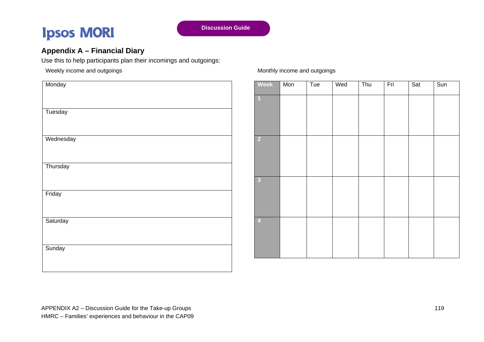## **Appendix A – Financial Diary**

Use this to help participants plan their incomings and outgoings:

Weekly income and outgoings

| Monday    |
|-----------|
| Tuesday   |
| Wednesday |
|           |
| Thursday  |
| Friday    |
| Saturday  |
| Sunday    |
|           |

### Monthly income and outgoings

| <b>Week</b>     | Mon | Tue | Wed | Thu | Fri | Sat | Sun |
|-----------------|-----|-----|-----|-----|-----|-----|-----|
|                 |     |     |     |     |     |     |     |
| $\vert$ 2       |     |     |     |     |     |     |     |
| $\bullet$       |     |     |     |     |     |     |     |
| $\vert 4 \vert$ |     |     |     |     |     |     |     |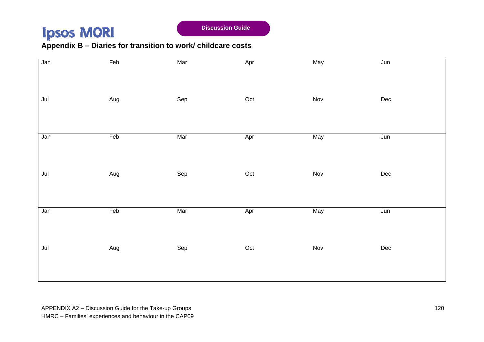**Discussion Guide** 

## **Appendix B – Diaries for transition to work/ childcare costs**

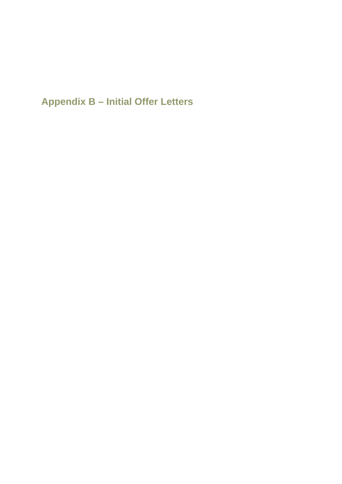**Appendix B – Initial Offer Letters**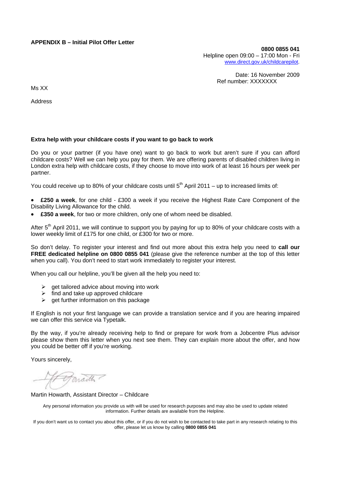### **APPENDIX B – Initial Pilot Offer Letter**

**0800 0855 041**  Helpline open 09:00 – 17:00 Mon - Fri [www.direct.gov.uk/childcarepilot](http://www.direct.gov.uk/childcarepilot).

> Date: 16 November 2009 Ref number: XXXXXXX

Ms XX

Address

#### **Extra help with your childcare costs if you want to go back to work**

Do you or your partner (if you have one) want to go back to work but aren't sure if you can afford childcare costs? Well we can help you pay for them. We are offering parents of disabled children living in London extra help with childcare costs, if they choose to move into work of at least 16 hours per week per partner.

You could receive up to 80% of your childcare costs until  $5<sup>th</sup>$  April 2011 – up to increased limits of:

- **£250 a week**, for one child £300 a week if you receive the Highest Rate Care Component of the Disability Living Allowance for the child.
- **£350 a week**, for two or more children, only one of whom need be disabled.

After 5<sup>th</sup> April 2011, we will continue to support you by paying for up to 80% of your childcare costs with a lower weekly limit of £175 for one child, or £300 for two or more.

So don't delay. To register your interest and find out more about this extra help you need to **call our FREE dedicated helpline on 0800 0855 041** (please give the reference number at the top of this letter when you call). You don't need to start work immediately to register your interest.

When you call our helpline, you'll be given all the help you need to:

- $\triangleright$  get tailored advice about moving into work
- find and take up approved childcare
- $\triangleright$  get further information on this package

If English is not your first language we can provide a translation service and if you are hearing impaired we can offer this service via Typetalk.

By the way, if you're already receiving help to find or prepare for work from a Jobcentre Plus advisor please show them this letter when you next see them. They can explain more about the offer, and how you could be better off if you're working.

Yours sincerely,

maille -

Martin Howarth, Assistant Director – Childcare

Any personal information you provide us with will be used for research purposes and may also be used to update related information. Further details are available from the Helpline.

If you don't want us to contact you about this offer, or if you do not wish to be contacted to take part in any research relating to this offer, please let us know by calling **0800 0855 041**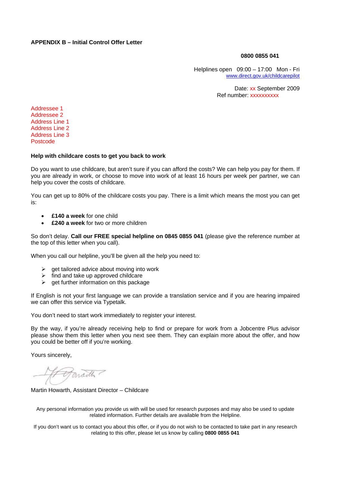### **APPENDIX B – Initial Control Offer Letter**

#### **0800 0855 041**

Helplines open 09:00 – 17:00 Mon - Fri [www.direct.gov.uk/childcarepilot](http://www.direct.gov.uk/childcarepilot)

> Date: xx September 2009 Ref number: xxxxxxxxxx

Addressee 1 Addressee 2 Address Line 1 Address Line 2 Address Line 3 Postcode

#### **Help with childcare costs to get you back to work**

Do you want to use childcare, but aren't sure if you can afford the costs? We can help you pay for them. If you are already in work, or choose to move into work of at least 16 hours per week per partner, we can help you cover the costs of childcare.

You can get up to 80% of the childcare costs you pay. There is a limit which means the most you can get is:

- **£140 a week** for one child
- **£240 a week** for two or more children

So don't delay. **Call our FREE special helpline on 0845 0855 041** (please give the reference number at the top of this letter when you call).

When you call our helpline, you'll be given all the help you need to:

- $\triangleright$  get tailored advice about moving into work
- $\triangleright$  find and take up approved childcare
- $\triangleright$  get further information on this package

If English is not your first language we can provide a translation service and if you are hearing impaired we can offer this service via Typetalk.

You don't need to start work immediately to register your interest.

By the way, if you're already receiving help to find or prepare for work from a Jobcentre Plus advisor please show them this letter when you next see them. They can explain more about the offer, and how you could be better off if you're working.

Yours sincerely,

Martin Howarth, Assistant Director – Childcare

Any personal information you provide us with will be used for research purposes and may also be used to update related information. Further details are available from the Helpline.

If you don't want us to contact you about this offer, or if you do not wish to be contacted to take part in any research relating to this offer, please let us know by calling **0800 0855 041**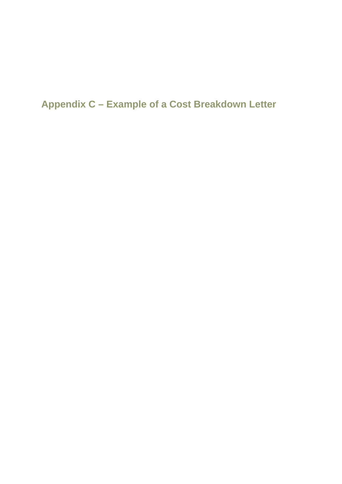**Appendix C – Example of a Cost Breakdown Letter**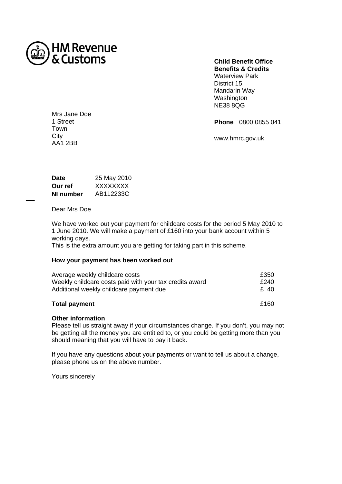

**Child Benefit Office Benefits & Credits**  Waterview Park District 15 Mandarin Way Washington NE38 8QG

**Phone** 0800 0855 041

www.hmrc.gov.uk

Mrs Jane Doe 1 Street Town **City** AA1 2BB

| <b>Date</b> | 25 May 2010 |
|-------------|-------------|
| Our ref     | XXXXXXXX    |
| NI number   | AB112233C   |

Dear Mrs Doe

We have worked out your payment for childcare costs for the period 5 May 2010 to 1 June 2010. We will make a payment of £160 into your bank account within 5 working days.

This is the extra amount you are getting for taking part in this scheme.

### **How your payment has been worked out**

| <b>Total payment</b>                                    | £160 |
|---------------------------------------------------------|------|
| Additional weekly childcare payment due                 | £ 40 |
| Weekly childcare costs paid with your tax credits award | £240 |
| Average weekly childcare costs                          | £350 |

## **Other information**

Please tell us straight away if your circumstances change. If you don't, you may not be getting all the money you are entitled to, or you could be getting more than you should meaning that you will have to pay it back.

If you have any questions about your payments or want to tell us about a change, please phone us on the above number.

Yours sincerely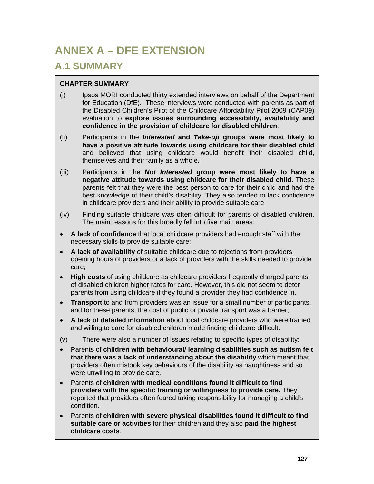## **ANNEX A – DFE EXTENSION**

## **A.1 SUMMARY**

### **CHAPTER SUMMARY**

- (i) Ipsos MORI conducted thirty extended interviews on behalf of the Department for Education (DfE). These interviews were conducted with parents as part of the Disabled Children's Pilot of the Childcare Affordability Pilot 2009 (CAP09) evaluation to **explore issues surrounding accessibility, availability and confidence in the provision of childcare for disabled children**.
- (ii) Participants in the *Interested* **and** *Take-up* **groups were most likely to have a positive attitude towards using childcare for their disabled child** and believed that using childcare would benefit their disabled child, themselves and their family as a whole.
- (iii) Participants in the *Not Interested* **group were most likely to have a negative attitude towards using childcare for their disabled child**. These parents felt that they were the best person to care for their child and had the best knowledge of their child's disability. They also tended to lack confidence in childcare providers and their ability to provide suitable care.
- (iv) Finding suitable childcare was often difficult for parents of disabled children. The main reasons for this broadly fell into five main areas:
- **A lack of confidence** that local childcare providers had enough staff with the necessary skills to provide suitable care;
- **A lack of availability** of suitable childcare due to rejections from providers, opening hours of providers or a lack of providers with the skills needed to provide care;
- **High costs** of using childcare as childcare providers frequently charged parents of disabled children higher rates for care. However, this did not seem to deter parents from using childcare if they found a provider they had confidence in.
- **Transport** to and from providers was an issue for a small number of participants, and for these parents, the cost of public or private transport was a barrier;
- **A lack of detailed information** about local childcare providers who were trained and willing to care for disabled children made finding childcare difficult.
- (v) There were also a number of issues relating to specific types of disability:
- Parents of **children with behavioural/ learning disabilities such as autism felt that there was a lack of understanding about the disability** which meant that providers often mistook key behaviours of the disability as naughtiness and so were unwilling to provide care.
- Parents of **children with medical conditions found it difficult to find providers with the specific training or willingness to provide care.** They reported that providers often feared taking responsibility for managing a child's condition.
- Parents of **children with severe physical disabilities found it difficult to find suitable care or activities** for their children and they also **paid the highest childcare costs**.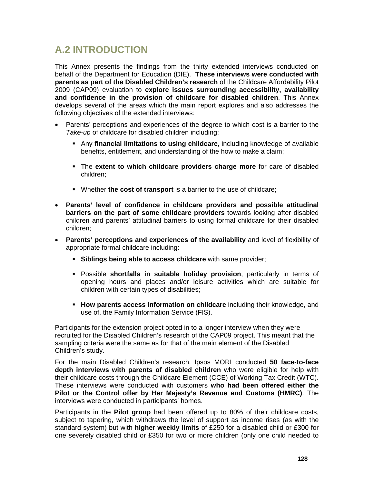## **A.2 INTRODUCTION**

This Annex presents the findings from the thirty extended interviews conducted on behalf of the Department for Education (DfE). **These interviews were conducted with parents as part of the Disabled Children's research** of the Childcare Affordability Pilot 2009 (CAP09) evaluation to **explore issues surrounding accessibility, availability and confidence in the provision of childcare for disabled children**. This Annex develops several of the areas which the main report explores and also addresses the following objectives of the extended interviews:

- Parents' perceptions and experiences of the degree to which cost is a barrier to the *Take-up* of childcare for disabled children including:
	- Any **financial limitations to using childcare**, including knowledge of available benefits, entitlement, and understanding of the how to make a claim;
	- The **extent to which childcare providers charge more** for care of disabled children;
	- Whether **the cost of transport** is a barrier to the use of childcare;
- **Parents' level of confidence in childcare providers and possible attitudinal barriers on the part of some childcare providers** towards looking after disabled children and parents' attitudinal barriers to using formal childcare for their disabled children;
- **Parents' perceptions and experiences of the availability** and level of flexibility of appropriate formal childcare including:
	- **Siblings being able to access childcare** with same provider;
	- Possible **shortfalls in suitable holiday provision**, particularly in terms of opening hours and places and/or leisure activities which are suitable for children with certain types of disabilities;
	- **How parents access information on childcare** including their knowledge, and use of, the Family Information Service (FIS).

Participants for the extension project opted in to a longer interview when they were recruited for the Disabled Children's research of the CAP09 project. This meant that the sampling criteria were the same as for that of the main element of the Disabled Children's study.

For the main Disabled Children's research, Ipsos MORI conducted **50 face-to-face depth interviews with parents of disabled children** who were eligible for help with their childcare costs through the Childcare Element (CCE) of Working Tax Credit (WTC). These interviews were conducted with customers **who had been offered either the Pilot or the Control offer by Her Majesty's Revenue and Customs (HMRC)**. The interviews were conducted in participants' homes.

Participants in the **Pilot group** had been offered up to 80% of their childcare costs, subject to tapering, which withdraws the level of support as income rises (as with the standard system) but with **higher weekly limits** of £250 for a disabled child or £300 for one severely disabled child or £350 for two or more children (only one child needed to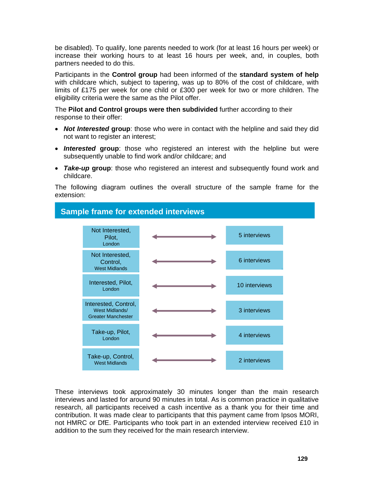be disabled). To qualify, lone parents needed to work (for at least 16 hours per week) or increase their working hours to at least 16 hours per week, and, in couples, both partners needed to do this.

Participants in the **Control group** had been informed of the **standard system of help** with childcare which, subject to tapering, was up to 80% of the cost of childcare, with limits of £175 per week for one child or £300 per week for two or more children. The eligibility criteria were the same as the Pilot offer.

The **Pilot and Control groups were then subdivided** further according to their response to their offer:

- *Not Interested* **group**: those who were in contact with the helpline and said they did not want to register an interest;
- *Interested* **group**: those who registered an interest with the helpline but were subsequently unable to find work and/or childcare; and
- *Take-up* **group**: those who registered an interest and subsequently found work and childcare.

The following diagram outlines the overall structure of the sample frame for the extension:



These interviews took approximately 30 minutes longer than the main research interviews and lasted for around 90 minutes in total. As is common practice in qualitative research, all participants received a cash incentive as a thank you for their time and contribution. It was made clear to participants that this payment came from Ipsos MORI, not HMRC or DfE. Participants who took part in an extended interview received £10 in addition to the sum they received for the main research interview.

**129**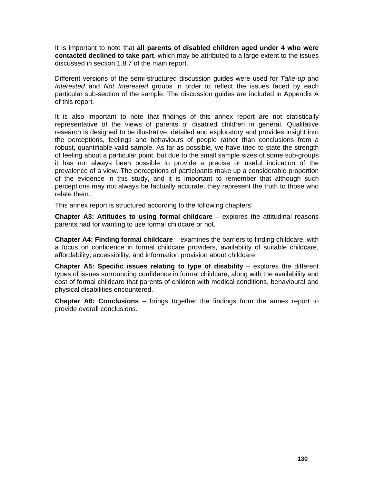It is important to note that **all parents of disabled children aged under 4 who were contacted declined to take part**, which may be attributed to a large extent to the issues discussed in section 1.8.7 of the main report.

Different versions of the semi-structured discussion guides were used for *Take-up* and *Interested* and *Not Interested* groups in order to reflect the issues faced by each particular sub-section of the sample. The discussion guides are included in Appendix A of this report.

It is also important to note that findings of this annex report are not statistically representative of the views of parents of disabled children in general. Qualitative research is designed to be illustrative, detailed and exploratory and provides insight into the perceptions, feelings and behaviours of people rather than conclusions from a robust, quantifiable valid sample. As far as possible, we have tried to state the strength of feeling about a particular point, but due to the small sample sizes of some sub-groups it has not always been possible to provide a precise or useful indication of the prevalence of a view. The perceptions of participants make up a considerable proportion of the evidence in this study, and it is important to remember that although such perceptions may not always be factually accurate, they represent the truth to those who relate them.

This annex report is structured according to the following chapters:

**Chapter A3: Attitudes to using formal childcare** – explores the attitudinal reasons parents had for wanting to use formal childcare or not.

**Chapter A4: Finding formal childcare** – examines the barriers to finding childcare, with a focus on confidence in formal childcare providers, availability of suitable childcare, affordability, accessibility, and information provision about childcare.

**Chapter A5: Specific issues relating to type of disability – explores the different** types of issues surrounding confidence in formal childcare, along with the availability and cost of formal childcare that parents of children with medical conditions, behavioural and physical disabilities encountered.

**Chapter A6: Conclusions** – brings together the findings from the annex report to provide overall conclusions.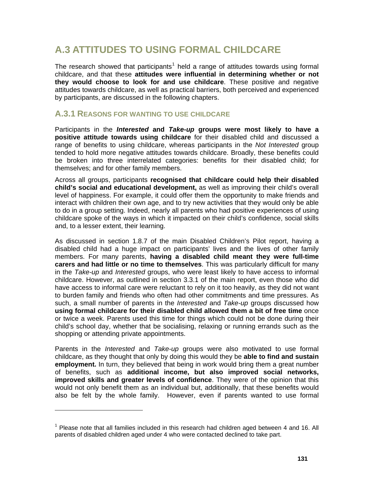## **A.3 ATTITUDES TO USING FORMAL CHILDCARE**

The research showed that participants<sup>[1](#page-62-0)</sup> held a range of attitudes towards using formal childcare, and that these **attitudes were influential in determining whether or not they would choose to look for and use childcare**. These positive and negative attitudes towards childcare, as well as practical barriers, both perceived and experienced by participants, are discussed in the following chapters.

### **A.3.1 REASONS FOR WANTING TO USE CHILDCARE**

Participants in the *Interested* **and** *Take-up* **groups were most likely to have a positive attitude towards using childcare** for their disabled child and discussed a range of benefits to using childcare, whereas participants in the *Not Interested* group tended to hold more negative attitudes towards childcare. Broadly, these benefits could be broken into three interrelated categories: benefits for their disabled child; for themselves; and for other family members.

Across all groups, participants **recognised that childcare could help their disabled child's social and educational development,** as well as improving their child's overall level of happiness. For example, it could offer them the opportunity to make friends and interact with children their own age, and to try new activities that they would only be able to do in a group setting. Indeed, nearly all parents who had positive experiences of using childcare spoke of the ways in which it impacted on their child's confidence, social skills and, to a lesser extent, their learning.

As discussed in section 1.8.7 of the main Disabled Children's Pilot report, having a disabled child had a huge impact on participants' lives and the lives of other family members. For many parents, **having a disabled child meant they were full-time carers and had little or no time to themselves**. This was particularly difficult for many in the *Take-up* and *Interested* groups, who were least likely to have access to informal childcare. However, as outlined in section 3.3.1 of the main report, even those who did have access to informal care were reluctant to rely on it too heavily, as they did not want to burden family and friends who often had other commitments and time pressures. As such, a small number of parents in the *Interested* and *Take-up* groups discussed how **using formal childcare for their disabled child allowed them a bit of free time** once or twice a week. Parents used this time for things which could not be done during their child's school day, whether that be socialising, relaxing or running errands such as the shopping or attending private appointments.

Parents in the *Interested* and *Take-up* groups were also motivated to use formal childcare, as they thought that only by doing this would they be **able to find and sustain employment.** In turn, they believed that being in work would bring them a great number of benefits, such as **additional income, but also improved social networks, improved skills and greater levels of confidence**. They were of the opinion that this would not only benefit them as an individual but, additionally, that these benefits would also be felt by the whole family. However, even if parents wanted to use formal

<span id="page-62-0"></span> $1$  Please note that all families included in this research had children aged between 4 and 16. All parents of disabled children aged under 4 who were contacted declined to take part.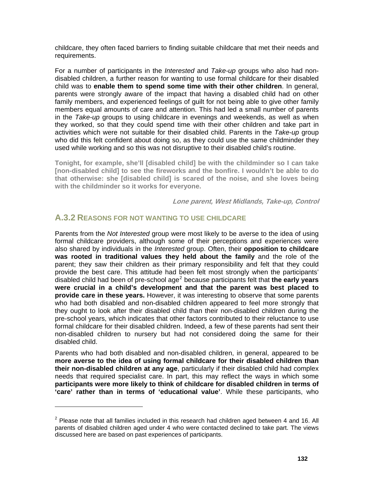childcare, they often faced barriers to finding suitable childcare that met their needs and requirements.

For a number of participants in the *Interested* and *Take-up* groups who also had nondisabled children, a further reason for wanting to use formal childcare for their disabled child was to **enable them to spend some time with their other children**. In general, parents were strongly aware of the impact that having a disabled child had on other family members, and experienced feelings of guilt for not being able to give other family members equal amounts of care and attention. This had led a small number of parents in the *Take-up* groups to using childcare in evenings and weekends, as well as when they worked, so that they could spend time with their other children and take part in activities which were not suitable for their disabled child. Parents in the *Take-up* group who did this felt confident about doing so, as they could use the same childminder they used while working and so this was not disruptive to their disabled child's routine.

**Tonight, for example, she'll [disabled child] be with the childminder so I can take [non-disabled child] to see the fireworks and the bonfire. I wouldn't be able to do that otherwise: she [disabled child] is scared of the noise, and she loves being with the childminder so it works for everyone.** 

**Lone parent, West Midlands, Take-up, Control** 

### **A.3.2 REASONS FOR NOT WANTING TO USE CHILDCARE**

Parents from the *Not Interested* group were most likely to be averse to the idea of using formal childcare providers, although some of their perceptions and experiences were also shared by individuals in the *Interested* group. Often, their **opposition to childcare was rooted in traditional values they held about the family** and the role of the parent; they saw their children as their primary responsibility and felt that they could provide the best care. This attitude had been felt most strongly when the participants' disabled child had been of pre-school age<sup>[2](#page-63-0)</sup> because participants felt that **the early years were crucial in a child's development and that the parent was best placed to provide care in these years.** However, it was interesting to observe that some parents who had both disabled and non-disabled children appeared to feel more strongly that they ought to look after their disabled child than their non-disabled children during the pre-school years, which indicates that other factors contributed to their reluctance to use formal childcare for their disabled children. Indeed, a few of these parents had sent their non-disabled children to nursery but had not considered doing the same for their disabled child.

Parents who had both disabled and non-disabled children, in general, appeared to be **more averse to the idea of using formal childcare for their disabled children than their non-disabled children at any age**, particularly if their disabled child had complex needs that required specialist care. In part, this may reflect the ways in which some **participants were more likely to think of childcare for disabled children in terms of 'care' rather than in terms of 'educational value'**. While these participants, who

<span id="page-63-0"></span> $2$  Please note that all families included in this research had children aged between 4 and 16. All parents of disabled children aged under 4 who were contacted declined to take part. The views discussed here are based on past experiences of participants.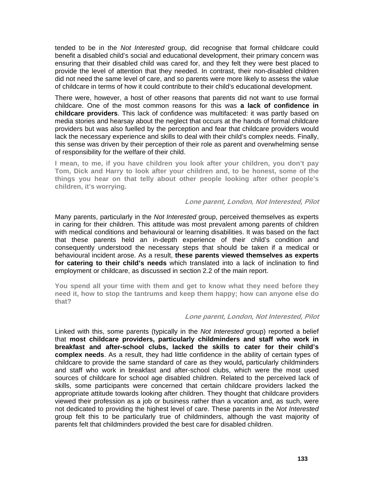tended to be in the *Not Interested* group, did recognise that formal childcare could benefit a disabled child's social and educational development, their primary concern was ensuring that their disabled child was cared for, and they felt they were best placed to provide the level of attention that they needed. In contrast, their non-disabled children did not need the same level of care, and so parents were more likely to assess the value of childcare in terms of how it could contribute to their child's educational development.

There were, however, a host of other reasons that parents did not want to use formal childcare. One of the most common reasons for this was **a lack of confidence in childcare providers**. This lack of confidence was multifaceted: it was partly based on media stories and hearsay about the neglect that occurs at the hands of formal childcare providers but was also fuelled by the perception and fear that childcare providers would lack the necessary experience and skills to deal with their child's complex needs. Finally, this sense was driven by their perception of their role as parent and overwhelming sense of responsibility for the welfare of their child.

**I mean, to me, if you have children you look after your children, you don't pay Tom, Dick and Harry to look after your children and, to be honest, some of the things you hear on that telly about other people looking after other people's children, it's worrying.** 

### **Lone parent, London, Not Interested, Pilot**

Many parents, particularly in the *Not Interested* group, perceived themselves as experts in caring for their children. This attitude was most prevalent among parents of children with medical conditions and behavioural or learning disabilities. It was based on the fact that these parents held an in-depth experience of their child's condition and consequently understood the necessary steps that should be taken if a medical or behavioural incident arose. As a result, **these parents viewed themselves as experts for catering to their child's needs** which translated into a lack of inclination to find employment or childcare, as discussed in section 2.2 of the main report.

**You spend all your time with them and get to know what they need before they need it, how to stop the tantrums and keep them happy; how can anyone else do that?** 

### **Lone parent, London, Not Interested, Pilot**

Linked with this, some parents (typically in the *Not Interested* group) reported a belief that **most childcare providers, particularly childminders and staff who work in breakfast and after-school clubs, lacked the skills to cater for their child's complex needs**. As a result, they had little confidence in the ability of certain types of childcare to provide the same standard of care as they would**,** particularly childminders and staff who work in breakfast and after-school clubs, which were the most used sources of childcare for school age disabled children. Related to the perceived lack of skills, some participants were concerned that certain childcare providers lacked the appropriate attitude towards looking after children. They thought that childcare providers viewed their profession as a job or business rather than a vocation and, as such, were not dedicated to providing the highest level of care. These parents in the *Not Interested* group felt this to be particularly true of childminders, although the vast majority of parents felt that childminders provided the best care for disabled children.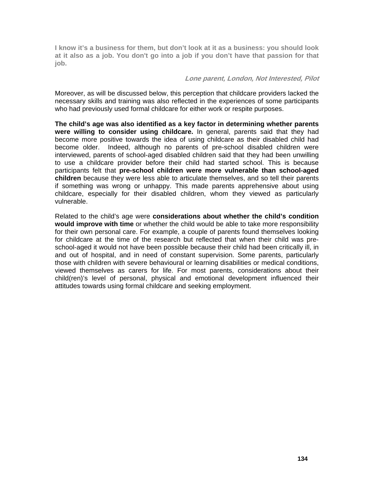**I know it's a business for them, but don't look at it as a business: you should look at it also as a job. You don't go into a job if you don't have that passion for that job.** 

### **Lone parent, London, Not Interested, Pilot**

Moreover, as will be discussed below, this perception that childcare providers lacked the necessary skills and training was also reflected in the experiences of some participants who had previously used formal childcare for either work or respite purposes.

**The child's age was also identified as a key factor in determining whether parents were willing to consider using childcare.** In general, parents said that they had become more positive towards the idea of using childcare as their disabled child had become older. Indeed, although no parents of pre-school disabled children were interviewed, parents of school-aged disabled children said that they had been unwilling to use a childcare provider before their child had started school. This is because participants felt that **pre-school children were more vulnerable than school-aged children** because they were less able to articulate themselves, and so tell their parents if something was wrong or unhappy. This made parents apprehensive about using childcare, especially for their disabled children, whom they viewed as particularly vulnerable.

Related to the child's age were **considerations about whether the child's condition would improve with time** or whether the child would be able to take more responsibility for their own personal care. For example, a couple of parents found themselves looking for childcare at the time of the research but reflected that when their child was preschool-aged it would not have been possible because their child had been critically ill, in and out of hospital, and in need of constant supervision. Some parents, particularly those with children with severe behavioural or learning disabilities or medical conditions, viewed themselves as carers for life. For most parents, considerations about their child(ren)'s level of personal, physical and emotional development influenced their attitudes towards using formal childcare and seeking employment.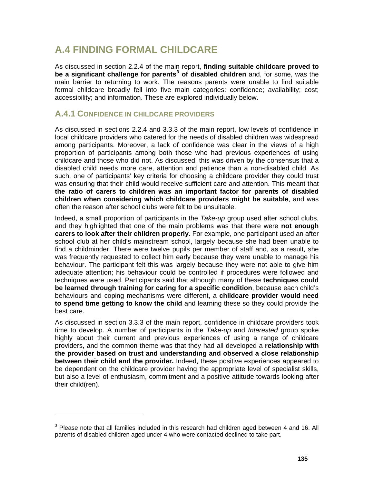## **A.4 FINDING FORMAL CHILDCARE**

As discussed in section 2.2.4 of the main report, **finding suitable childcare proved to be a significant challenge for parents[3](#page-66-0) of disabled children** and, for some, was the main barrier to returning to work. The reasons parents were unable to find suitable formal childcare broadly fell into five main categories: confidence; availability; cost; accessibility; and information. These are explored individually below.

### **A.4.1 CONFIDENCE IN CHILDCARE PROVIDERS**

As discussed in sections 2.2.4 and 3.3.3 of the main report, low levels of confidence in local childcare providers who catered for the needs of disabled children was widespread among participants. Moreover, a lack of confidence was clear in the views of a high proportion of participants among both those who had previous experiences of using childcare and those who did not. As discussed, this was driven by the consensus that a disabled child needs more care, attention and patience than a non-disabled child. As such, one of participants' key criteria for choosing a childcare provider they could trust was ensuring that their child would receive sufficient care and attention. This meant that **the ratio of carers to children was an important factor for parents of disabled children when considering which childcare providers might be suitable**, and was often the reason after school clubs were felt to be unsuitable.

Indeed, a small proportion of participants in the *Take-up* group used after school clubs, and they highlighted that one of the main problems was that there were **not enough carers to look after their children properly**. For example, one participant used an after school club at her child's mainstream school, largely because she had been unable to find a childminder. There were twelve pupils per member of staff and, as a result, she was frequently requested to collect him early because they were unable to manage his behaviour. The participant felt this was largely because they were not able to give him adequate attention; his behaviour could be controlled if procedures were followed and techniques were used. Participants said that although many of these **techniques could be learned through training for caring for a specific condition**, because each child's behaviours and coping mechanisms were different, a **childcare provider would need to spend time getting to know the child** and learning these so they could provide the best care.

As discussed in section 3.3.3 of the main report, confidence in childcare providers took time to develop. A number of participants in the *Take-up* and *Interested* group spoke highly about their current and previous experiences of using a range of childcare providers, and the common theme was that they had all developed a **relationship with the provider based on trust and understanding and observed a close relationship between their child and the provider.** Indeed, these positive experiences appeared to be dependent on the childcare provider having the appropriate level of specialist skills, but also a level of enthusiasm, commitment and a positive attitude towards looking after their child(ren).

<span id="page-66-0"></span> $3$  Please note that all families included in this research had children aged between 4 and 16. All parents of disabled children aged under 4 who were contacted declined to take part.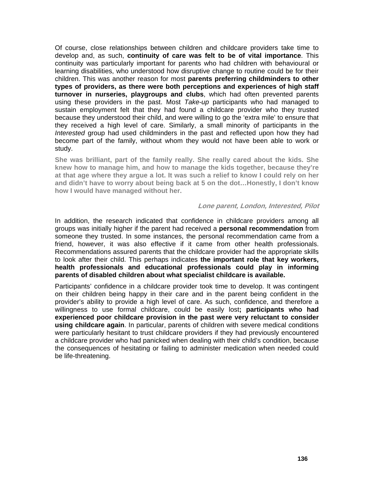Of course, close relationships between children and childcare providers take time to develop and, as such, **continuity of care was felt to be of vital importance**. This continuity was particularly important for parents who had children with behavioural or learning disabilities, who understood how disruptive change to routine could be for their children. This was another reason for most **parents preferring childminders to other types of providers, as there were both perceptions and experiences of high staff turnover in nurseries, playgroups and clubs**, which had often prevented parents using these providers in the past. Most *Take-up* participants who had managed to sustain employment felt that they had found a childcare provider who they trusted because they understood their child, and were willing to go the 'extra mile' to ensure that they received a high level of care. Similarly, a small minority of participants in the *Interested* group had used childminders in the past and reflected upon how they had become part of the family, without whom they would not have been able to work or study.

**She was brilliant, part of the family really. She really cared about the kids. She knew how to manage him, and how to manage the kids together, because they're at that age where they argue a lot. It was such a relief to know I could rely on her and didn't have to worry about being back at 5 on the dot…Honestly, I don't know how I would have managed without her.** 

#### **Lone parent, London, Interested, Pilot**

In addition, the research indicated that confidence in childcare providers among all groups was initially higher if the parent had received a **personal recommendation** from someone they trusted. In some instances, the personal recommendation came from a friend, however, it was also effective if it came from other health professionals. Recommendations assured parents that the childcare provider had the appropriate skills to look after their child. This perhaps indicates **the important role that key workers, health professionals and educational professionals could play in informing parents of disabled children about what specialist childcare is available.** 

Participants' confidence in a childcare provider took time to develop. It was contingent on their children being happy in their care and in the parent being confident in the provider's ability to provide a high level of care. As such, confidence, and therefore a willingness to use formal childcare, could be easily lost**; participants who had experienced poor childcare provision in the past were very reluctant to consider using childcare again**. In particular, parents of children with severe medical conditions were particularly hesitant to trust childcare providers if they had previously encountered a childcare provider who had panicked when dealing with their child's condition, because the consequences of hesitating or failing to administer medication when needed could be life-threatening.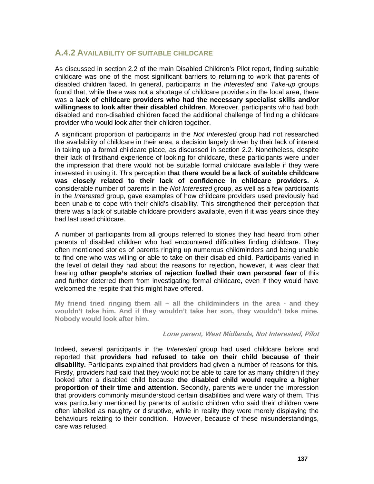### **A.4.2 AVAILABILITY OF SUITABLE CHILDCARE**

As discussed in section 2.2 of the main Disabled Children's Pilot report, finding suitable childcare was one of the most significant barriers to returning to work that parents of disabled children faced. In general, participants in the *Interested* and *Take-up* groups found that, while there was not a shortage of childcare providers in the local area, there was a **lack of childcare providers who had the necessary specialist skills and/or willingness to look after their disabled children**. Moreover, participants who had both disabled and non-disabled children faced the additional challenge of finding a childcare provider who would look after their children together.

A significant proportion of participants in the *Not Interested* group had not researched the availability of childcare in their area, a decision largely driven by their lack of interest in taking up a formal childcare place, as discussed in section 2.2. Nonetheless, despite their lack of firsthand experience of looking for childcare, these participants were under the impression that there would not be suitable formal childcare available if they were interested in using it. This perception **that there would be a lack of suitable childcare was closely related to their lack of confidence in childcare providers.** A considerable number of parents in the *Not Interested* group, as well as a few participants in the *Interested* group, gave examples of how childcare providers used previously had been unable to cope with their child's disability. This strengthened their perception that there was a lack of suitable childcare providers available, even if it was years since they had last used childcare.

A number of participants from all groups referred to stories they had heard from other parents of disabled children who had encountered difficulties finding childcare. They often mentioned stories of parents ringing up numerous childminders and being unable to find one who was willing or able to take on their disabled child. Participants varied in the level of detail they had about the reasons for rejection, however, it was clear that hearing **other people's stories of rejection fuelled their own personal fear** of this and further deterred them from investigating formal childcare, even if they would have welcomed the respite that this might have offered.

**My friend tried ringing them all – all the childminders in the area - and they wouldn't take him. And if they wouldn't take her son, they wouldn't take mine. Nobody would look after him.** 

### **Lone parent, West Midlands, Not Interested, Pilot**

Indeed, several participants in the *Interested* group had used childcare before and reported that **providers had refused to take on their child because of their disability.** Participants explained that providers had given a number of reasons for this. Firstly, providers had said that they would not be able to care for as many children if they looked after a disabled child because **the disabled child would require a higher proportion of their time and attention**. Secondly, parents were under the impression that providers commonly misunderstood certain disabilities and were wary of them. This was particularly mentioned by parents of autistic children who said their children were often labelled as naughty or disruptive, while in reality they were merely displaying the behaviours relating to their condition. However, because of these misunderstandings, care was refused.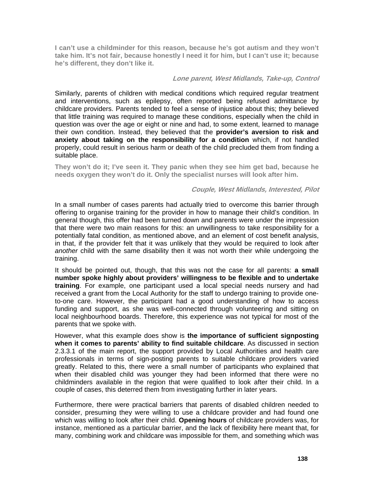**I can't use a childminder for this reason, because he's got autism and they won't take him. It's not fair, because honestly I need it for him, but I can't use it; because he's different, they don't like it.** 

### **Lone parent, West Midlands, Take-up, Control**

Similarly, parents of children with medical conditions which required regular treatment and interventions, such as epilepsy, often reported being refused admittance by childcare providers. Parents tended to feel a sense of injustice about this; they believed that little training was required to manage these conditions, especially when the child in question was over the age or eight or nine and had, to some extent, learned to manage their own condition. Instead, they believed that the **provider's aversion to risk and anxiety about taking on the responsibility for a condition** which, if not handled properly, could result in serious harm or death of the child precluded them from finding a suitable place.

**They won't do it; I've seen it. They panic when they see him get bad, because he needs oxygen they won't do it. Only the specialist nurses will look after him.** 

### **Couple, West Midlands, Interested, Pilot**

In a small number of cases parents had actually tried to overcome this barrier through offering to organise training for the provider in how to manage their child's condition. In general though, this offer had been turned down and parents were under the impression that there were two main reasons for this: an unwillingness to take responsibility for a potentially fatal condition, as mentioned above, and an element of cost benefit analysis, in that, if the provider felt that it was unlikely that they would be required to look after *another* child with the same disability then it was not worth their while undergoing the training.

It should be pointed out, though, that this was not the case for all parents: **a small number spoke highly about providers' willingness to be flexible and to undertake training**. For example, one participant used a local special needs nursery and had received a grant from the Local Authority for the staff to undergo training to provide oneto-one care. However, the participant had a good understanding of how to access funding and support, as she was well-connected through volunteering and sitting on local neighbourhood boards. Therefore, this experience was not typical for most of the parents that we spoke with.

However, what this example does show is **the importance of sufficient signposting when it comes to parents' ability to find suitable childcare**. As discussed in section 2.3.3.1 of the main report, the support provided by Local Authorities and health care professionals in terms of sign-posting parents to suitable childcare providers varied greatly. Related to this, there were a small number of participants who explained that when their disabled child was younger they had been informed that there were no childminders available in the region that were qualified to look after their child. In a couple of cases, this deterred them from investigating further in later years.

Furthermore, there were practical barriers that parents of disabled children needed to consider, presuming they were willing to use a childcare provider and had found one which was willing to look after their child. **Opening hours** of childcare providers was, for instance, mentioned as a particular barrier, and the lack of flexibility here meant that, for many, combining work and childcare was impossible for them, and something which was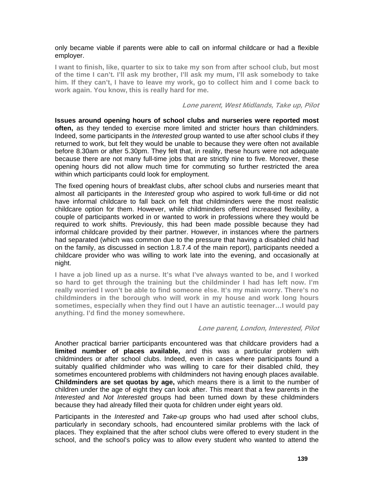only became viable if parents were able to call on informal childcare or had a flexible employer.

**I want to finish, like, quarter to six to take my son from after school club, but most of the time I can't. I'll ask my brother, I'll ask my mum, I'll ask somebody to take him. If they can't, I have to leave my work, go to collect him and I come back to work again. You know, this is really hard for me.** 

#### **Lone parent, West Midlands, Take up, Pilot**

**Issues around opening hours of school clubs and nurseries were reported most often,** as they tended to exercise more limited and stricter hours than childminders. Indeed, some participants in the *Interested* group wanted to use after school clubs if they returned to work, but felt they would be unable to because they were often not available before 8.30am or after 5.30pm. They felt that, in reality, these hours were not adequate because there are not many full-time jobs that are strictly nine to five. Moreover, these opening hours did not allow much time for commuting so further restricted the area within which participants could look for employment.

The fixed opening hours of breakfast clubs, after school clubs and nurseries meant that almost all participants in the *Interested* group who aspired to work full-time or did not have informal childcare to fall back on felt that childminders were the most realistic childcare option for them. However, while childminders offered increased flexibility, a couple of participants worked in or wanted to work in professions where they would be required to work shifts. Previously, this had been made possible because they had informal childcare provided by their partner. However, in instances where the partners had separated (which was common due to the pressure that having a disabled child had on the family, as discussed in section 1.8.7.4 of the main report), participants needed a childcare provider who was willing to work late into the evening, and occasionally at night.

**I have a job lined up as a nurse. It's what I've always wanted to be, and I worked so hard to get through the training but the childminder I had has left now. I'm really worried I won't be able to find someone else. It's my main worry. There's no childminders in the borough who will work in my house and work long hours sometimes, especially when they find out I have an autistic teenager…I would pay anything. I'd find the money somewhere.** 

### **Lone parent, London, Interested, Pilot**

Another practical barrier participants encountered was that childcare providers had a **limited number of places available,** and this was a particular problem with childminders or after school clubs. Indeed, even in cases where participants found a suitably qualified childminder who was willing to care for their disabled child, they sometimes encountered problems with childminders not having enough places available. **Childminders are set quotas by age,** which means there is a limit to the number of children under the age of eight they can look after. This meant that a few parents in the *Interested* and *Not Interested* groups had been turned down by these childminders because they had already filled their quota for children under eight years old.

Participants in the *Interested* and *Take-up* groups who had used after school clubs, particularly in secondary schools, had encountered similar problems with the lack of places. They explained that the after school clubs were offered to every student in the school, and the school's policy was to allow every student who wanted to attend the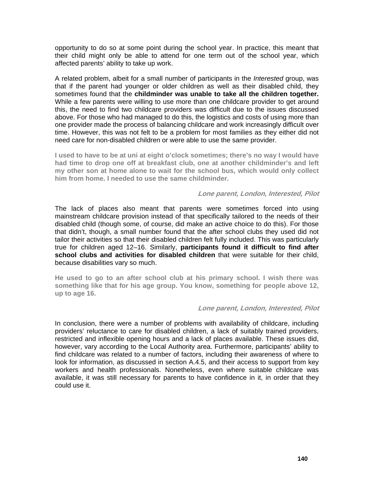opportunity to do so at some point during the school year. In practice, this meant that their child might only be able to attend for one term out of the school year, which affected parents' ability to take up work.

A related problem, albeit for a small number of participants in the *Interested* group, was that if the parent had younger or older children as well as their disabled child, they sometimes found that the **childminder was unable to take all the children together.** While a few parents were willing to use more than one childcare provider to get around this, the need to find two childcare providers was difficult due to the issues discussed above. For those who had managed to do this, the logistics and costs of using more than one provider made the process of balancing childcare and work increasingly difficult over time. However, this was not felt to be a problem for most families as they either did not need care for non-disabled children or were able to use the same provider.

**I used to have to be at uni at eight o'clock sometimes; there's no way I would have had time to drop one off at breakfast club, one at another childminder's and left my other son at home alone to wait for the school bus, which would only collect him from home. I needed to use the same childminder.** 

#### **Lone parent, London, Interested, Pilot**

The lack of places also meant that parents were sometimes forced into using mainstream childcare provision instead of that specifically tailored to the needs of their disabled child (though some, of course, did make an active choice to do this). For those that didn't, though, a small number found that the after school clubs they used did not tailor their activities so that their disabled children felt fully included. This was particularly true for children aged 12–16. Similarly, **participants found it difficult to find after school clubs and activities for disabled children** that were suitable for their child, because disabilities vary so much.

**He used to go to an after school club at his primary school. I wish there was something like that for his age group. You know, something for people above 12, up to age 16.** 

### **Lone parent, London, Interested, Pilot**

In conclusion, there were a number of problems with availability of childcare, including providers' reluctance to care for disabled children, a lack of suitably trained providers, restricted and inflexible opening hours and a lack of places available. These issues did, however, vary according to the Local Authority area. Furthermore, participants' ability to find childcare was related to a number of factors, including their awareness of where to look for information, as discussed in section A.4.5, and their access to support from key workers and health professionals. Nonetheless, even where suitable childcare was available, it was still necessary for parents to have confidence in it, in order that they could use it.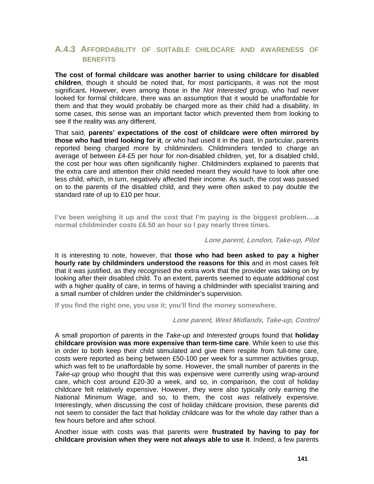## **A.4.3 AFFORDABILITY OF SUITABLE CHILDCARE AND AWARENESS OF BENEFITS**

**The cost of formal childcare was another barrier to using childcare for disabled children**, though it should be noted that, for most participants, it was not the most significant**.** However, even among those in the *Not Interested* group, who had never looked for formal childcare, there was an assumption that it would be unaffordable for them and that they would probably be charged more as their child had a disability. In some cases, this sense was an important factor which prevented them from looking to see if the reality was any different.

That said, **parents' expectations of the cost of childcare were often mirrored by those who had tried looking for it**, or who had used it in the past. In particular, parents reported being charged more by childminders. Childminders tended to charge an average of between £4-£5 per hour for non-disabled children, yet, for a disabled child, the cost per hour was often significantly higher. Childminders explained to parents that the extra care and attention their child needed meant they would have to look after one less child, which, in turn, negatively affected their income. As such, the cost was passed on to the parents of the disabled child, and they were often asked to pay double the standard rate of up to £10 per hour.

**I've been weighing it up and the cost that I'm paying is the biggest problem….a normal childminder costs £6.50 an hour so I pay nearly three times.** 

#### **Lone parent, London, Take-up, Pilot**

It is interesting to note, however, that **those who had been asked to pay a higher hourly rate by childminders understood the reasons for this** and in most cases felt that it was justified, as they recognised the extra work that the provider was taking on by looking after their disabled child. To an extent, parents seemed to equate additional cost with a higher quality of care, in terms of having a childminder with specialist training and a small number of children under the childminder's supervision.

**If you find the right one, you use it; you'll find the money somewhere.** 

#### **Lone parent, West Midlands, Take-up, Control**

A small proportion of parents in the *Take-up* and *Interested* groups found that **holiday childcare provision was more expensive than term-time care**. While keen to use this in order to both keep their child stimulated and give them respite from full-time care, costs were reported as being between £50-100 per week for a summer activities group, which was felt to be unaffordable by some. However, the small number of parents in the *Take-up* group who thought that this was expensive were currently using wrap-around care, which cost around £20-30 a week, and so, in comparison, the cost of holiday childcare felt relatively expensive. However, they were also typically only earning the National Minimum Wage, and so, to them, the cost *was* relatively expensive. Interestingly, when discussing the cost of holiday childcare provision, these parents did not seem to consider the fact that holiday childcare was for the whole day rather than a few hours before and after school.

Another issue with costs was that parents were **frustrated by having to pay for childcare provision when they were not always able to use it**. Indeed, a few parents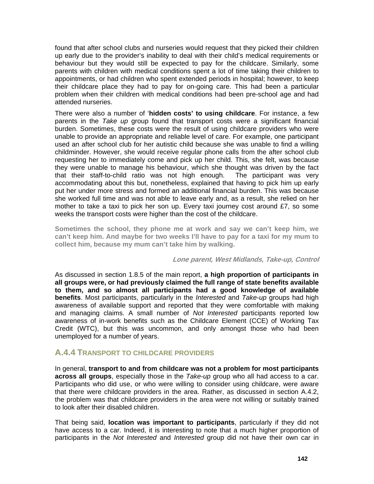found that after school clubs and nurseries would request that they picked their children up early due to the provider's inability to deal with their child's medical requirements or behaviour but they would still be expected to pay for the childcare. Similarly, some parents with children with medical conditions spent a lot of time taking their children to appointments, or had children who spent extended periods in hospital; however, to keep their childcare place they had to pay for on-going care. This had been a particular problem when their children with medical conditions had been pre-school age and had attended nurseries.

There were also a number of '**hidden costs' to using childcare**. For instance, a few parents in the *Take up* group found that transport costs were a significant financial burden. Sometimes, these costs were the result of using childcare providers who were unable to provide an appropriate and reliable level of care. For example, one participant used an after school club for her autistic child because she was unable to find a willing childminder. However, she would receive regular phone calls from the after school club requesting her to immediately come and pick up her child. This, she felt, was because they were unable to manage his behaviour, which she thought was driven by the fact that their staff-to-child ratio was not high enough. The participant was very accommodating about this but, nonetheless, explained that having to pick him up early put her under more stress and formed an additional financial burden. This was because she worked full time and was not able to leave early and, as a result, she relied on her mother to take a taxi to pick her son up. Every taxi journey cost around £7, so some weeks the transport costs were higher than the cost of the childcare.

**Sometimes the school, they phone me at work and say we can't keep him, we can't keep him. And maybe for two weeks I'll have to pay for a taxi for my mum to collect him, because my mum can't take him by walking.** 

**Lone parent, West Midlands, Take-up, Control** 

As discussed in section 1.8.5 of the main report, **a high proportion of participants in all groups were, or had previously claimed the full range of state benefits available to them, and so almost all participants had a good knowledge of available benefits**. Most participants, particularly in the *Interested* and *Take-up* groups had high awareness of available support and reported that they were comfortable with making and managing claims. A small number of *Not Interested* participants reported low awareness of in-work benefits such as the Childcare Element (CCE) of Working Tax Credit (WTC), but this was uncommon, and only amongst those who had been unemployed for a number of years.

## **A.4.4 TRANSPORT TO CHILDCARE PROVIDERS**

In general, **transport to and from childcare was not a problem for most participants across all groups**, especially those in the *Take-up* group who all had access to a car. Participants who did use, or who were willing to consider using childcare, were aware that there were childcare providers in the area. Rather, as discussed in section A.4.2, the problem was that childcare providers in the area were not willing or suitably trained to look after their disabled children.

That being said, **location was important to participants**, particularly if they did not have access to a car. Indeed, it is interesting to note that a much higher proportion of participants in the *Not Interested* and *Interested* group did not have their own car in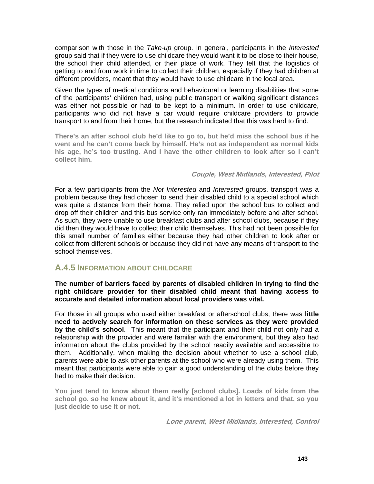comparison with those in the *Take-up* group. In general, participants in the *Interested*  group said that if they were to use childcare they would want it to be close to their house, the school their child attended, or their place of work. They felt that the logistics of getting to and from work in time to collect their children, especially if they had children at different providers, meant that they would have to use childcare in the local area.

Given the types of medical conditions and behavioural or learning disabilities that some of the participants' children had, using public transport or walking significant distances was either not possible or had to be kept to a minimum. In order to use childcare, participants who did not have a car would require childcare providers to provide transport to and from their home, but the research indicated that this was hard to find.

**There's an after school club he'd like to go to, but he'd miss the school bus if he went and he can't come back by himself. He's not as independent as normal kids his age, he's too trusting. And I have the other children to look after so I can't collect him.** 

#### **Couple, West Midlands, Interested, Pilot**

For a few participants from the *Not Interested* and *Interested* groups, transport was a problem because they had chosen to send their disabled child to a special school which was quite a distance from their home. They relied upon the school bus to collect and drop off their children and this bus service only ran immediately before and after school. As such, they were unable to use breakfast clubs and after school clubs, because if they did then they would have to collect their child themselves. This had not been possible for this small number of families either because they had other children to look after or collect from different schools or because they did not have any means of transport to the school themselves.

## **A.4.5 INFORMATION ABOUT CHILDCARE**

**The number of barriers faced by parents of disabled children in trying to find the right childcare provider for their disabled child meant that having access to accurate and detailed information about local providers was vital.** 

For those in all groups who used either breakfast or afterschool clubs, there was **little need to actively search for information on these services as they were provided by the child's school**. This meant that the participant and their child not only had a relationship with the provider and were familiar with the environment, but they also had information about the clubs provided by the school readily available and accessible to them. Additionally, when making the decision about whether to use a school club, parents were able to ask other parents at the school who were already using them. This meant that participants were able to gain a good understanding of the clubs before they had to make their decision.

**You just tend to know about them really [school clubs]. Loads of kids from the school go, so he knew about it, and it's mentioned a lot in letters and that, so you just decide to use it or not.** 

**Lone parent, West Midlands, Interested, Control**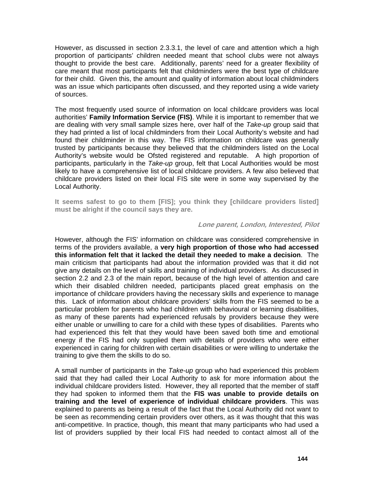However, as discussed in section 2.3.3.1, the level of care and attention which a high proportion of participants' children needed meant that school clubs were not always thought to provide the best care. Additionally, parents' need for a greater flexibility of care meant that most participants felt that childminders were the best type of childcare for their child. Given this, the amount and quality of information about local childminders was an issue which participants often discussed, and they reported using a wide variety of sources.

The most frequently used source of information on local childcare providers was local authorities' **Family Information Service (FIS)**. While it is important to remember that we are dealing with very small sample sizes here, over half of the *Take-up* group said that they had printed a list of local childminders from their Local Authority's website and had found their childminder in this way. The FIS information on childcare was generally trusted by participants because they believed that the childminders listed on the Local Authority's website would be Ofsted registered and reputable. A high proportion of participants, particularly in the *Take-up* group, felt that Local Authorities would be most likely to have a comprehensive list of local childcare providers. A few also believed that childcare providers listed on their local FIS site were in some way supervised by the Local Authority.

**It seems safest to go to them [FIS]; you think they [childcare providers listed] must be alright if the council says they are.** 

#### **Lone parent, London, Interested, Pilot**

However, although the FIS' information on childcare was considered comprehensive in terms of the providers available, a **very high proportion of those who had accessed this information felt that it lacked the detail they needed to make a decision**. The main criticism that participants had about the information provided was that it did not give any details on the level of skills and training of individual providers. As discussed in section 2.2 and 2.3 of the main report, because of the high level of attention and care which their disabled children needed, participants placed great emphasis on the importance of childcare providers having the necessary skills and experience to manage this. Lack of information about childcare providers' skills from the FIS seemed to be a particular problem for parents who had children with behavioural or learning disabilities, as many of these parents had experienced refusals by providers because they were either unable or unwilling to care for a child with these types of disabilities. Parents who had experienced this felt that they would have been saved both time and emotional energy if the FIS had only supplied them with details of providers who were either experienced in caring for children with certain disabilities or were willing to undertake the training to give them the skills to do so.

A small number of participants in the *Take-up* group who had experienced this problem said that they had called their Local Authority to ask for more information about the individual childcare providers listed. However, they all reported that the member of staff they had spoken to informed them that the **FIS was unable to provide details on training and the level of experience of individual childcare providers**. This was explained to parents as being a result of the fact that the Local Authority did not want to be seen as recommending certain providers over others, as it was thought that this was anti-competitive. In practice, though, this meant that many participants who had used a list of providers supplied by their local FIS had needed to contact almost all of the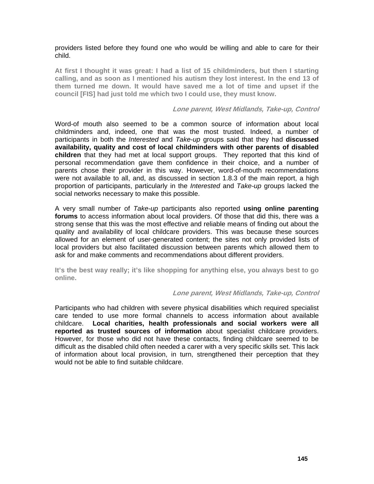providers listed before they found one who would be willing and able to care for their child.

**At first I thought it was great: I had a list of 15 childminders, but then I starting calling, and as soon as I mentioned his autism they lost interest. In the end 13 of them turned me down. It would have saved me a lot of time and upset if the council [FIS] had just told me which two I could use, they must know.** 

#### **Lone parent, West Midlands, Take-up, Control**

Word-of mouth also seemed to be a common source of information about local childminders and, indeed, one that was the most trusted. Indeed, a number of participants in both the *Interested* and *Take-up* groups said that they had **discussed availability, quality and cost of local childminders with other parents of disabled children** that they had met at local support groups. They reported that this kind of personal recommendation gave them confidence in their choice, and a number of parents chose their provider in this way. However, word-of-mouth recommendations were not available to all, and, as discussed in section 1.8.3 of the main report, a high proportion of participants, particularly in the *Interested* and *Take-up* groups lacked the social networks necessary to make this possible.

A very small number of *Take-up* participants also reported **using online parenting forums** to access information about local providers. Of those that did this, there was a strong sense that this was the most effective and reliable means of finding out about the quality and availability of local childcare providers. This was because these sources allowed for an element of user-generated content; the sites not only provided lists of local providers but also facilitated discussion between parents which allowed them to ask for and make comments and recommendations about different providers.

**It's the best way really; it's like shopping for anything else, you always best to go online.** 

#### **Lone parent, West Midlands, Take-up, Control**

Participants who had children with severe physical disabilities which required specialist care tended to use more formal channels to access information about available childcare. **Local charities, health professionals and social workers were all reported as trusted sources of information** about specialist childcare providers. However, for those who did not have these contacts, finding childcare seemed to be difficult as the disabled child often needed a carer with a very specific skills set. This lack of information about local provision, in turn, strengthened their perception that they would not be able to find suitable childcare.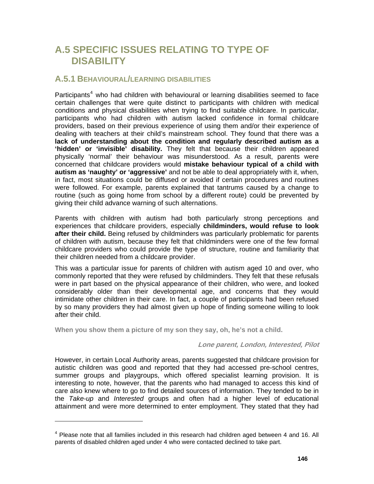## **A.5 SPECIFIC ISSUES RELATING TO TYPE OF DISABILITY**

## **A.5.1 BEHAVIOURAL/LEARNING DISABILITIES**

Participants<sup>[4](#page-77-0)</sup> who had children with behavioural or learning disabilities seemed to face certain challenges that were quite distinct to participants with children with medical conditions and physical disabilities when trying to find suitable childcare. In particular, participants who had children with autism lacked confidence in formal childcare providers, based on their previous experience of using them and/or their experience of dealing with teachers at their child's mainstream school. They found that there was a **lack of understanding about the condition and regularly described autism as a 'hidden' or 'invisible' disability.** They felt that because their children appeared physically 'normal' their behaviour was misunderstood. As a result, parents were concerned that childcare providers would **mistake behaviour typical of a child with autism as 'naughty' or 'aggressive'** and not be able to deal appropriately with it, when, in fact, most situations could be diffused or avoided if certain procedures and routines were followed. For example, parents explained that tantrums caused by a change to routine (such as going home from school by a different route) could be prevented by giving their child advance warning of such alternations.

Parents with children with autism had both particularly strong perceptions and experiences that childcare providers, especially **childminders, would refuse to look after their child.** Being refused by childminders was particularly problematic for parents of children with autism, because they felt that childminders were one of the few formal childcare providers who could provide the type of structure, routine and familiarity that their children needed from a childcare provider.

This was a particular issue for parents of children with autism aged 10 and over, who commonly reported that they were refused by childminders. They felt that these refusals were in part based on the physical appearance of their children, who were, and looked considerably older than their developmental age, and concerns that they would intimidate other children in their care. In fact, a couple of participants had been refused by so many providers they had almost given up hope of finding someone willing to look after their child.

**When you show them a picture of my son they say, oh, he's not a child.** 

 $\overline{a}$ 

#### **Lone parent, London, Interested, Pilot**

However, in certain Local Authority areas, parents suggested that childcare provision for autistic children was good and reported that they had accessed pre-school centres, summer groups and playgroups, which offered specialist learning provision. It is interesting to note, however, that the parents who had managed to access this kind of care also knew where to go to find detailed sources of information. They tended to be in the *Take-up* and *Interested* groups and often had a higher level of educational attainment and were more determined to enter employment. They stated that they had

<span id="page-77-0"></span> $4$  Please note that all families included in this research had children aged between 4 and 16. All parents of disabled children aged under 4 who were contacted declined to take part.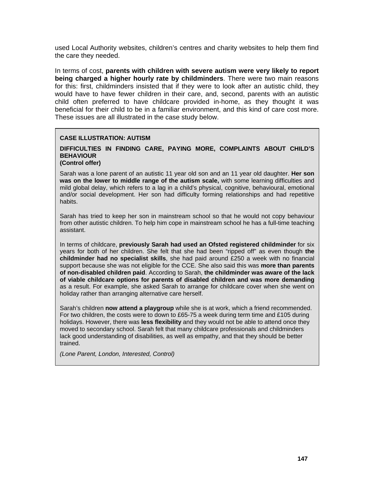used Local Authority websites, children's centres and charity websites to help them find the care they needed.

In terms of cost, **parents with children with severe autism were very likely to report being charged a higher hourly rate by childminders**. There were two main reasons for this: first, childminders insisted that if they were to look after an autistic child, they would have to have fewer children in their care, and, second, parents with an autistic child often preferred to have childcare provided in-home, as they thought it was beneficial for their child to be in a familiar environment, and this kind of care cost more. These issues are all illustrated in the case study below.

#### **CASE ILLUSTRATION: AUTISM**

## **DIFFICULTIES IN FINDING CARE, PAYING MORE, COMPLAINTS ABOUT CHILD'S BEHAVIOUR**

## **(Control offer)**

Sarah was a lone parent of an autistic 11 year old son and an 11 year old daughter. **Her son was on the lower to middle range of the autism scale,** with some learning difficulties and mild global delay, which refers to a lag in a child's physical, cognitive, behavioural, emotional and/or social development. Her son had difficulty forming relationships and had repetitive habits.

Sarah has tried to keep her son in mainstream school so that he would not copy behaviour from other autistic children. To help him cope in mainstream school he has a full-time teaching assistant.

In terms of childcare, **previously Sarah had used an Ofsted registered childminder** for six years for both of her children. She felt that she had been "ripped off" as even though **the childminder had no specialist skills**, she had paid around £250 a week with no financial support because she was not eligible for the CCE. She also said this was **more than parents of non-disabled children paid**. According to Sarah, **the childminder was aware of the lack of viable childcare options for parents of disabled children and was more demanding** as a result. For example, she asked Sarah to arrange for childcare cover when she went on holiday rather than arranging alternative care herself.

Sarah's children **now attend a playgroup** while she is at work, which a friend recommended. For two children, the costs were to down to £65-75 a week during term time and £105 during holidays. However, there was **less flexibility** and they would not be able to attend once they moved to secondary school. Sarah felt that many childcare professionals and childminders lack good understanding of disabilities, as well as empathy, and that they should be better trained.

*(Lone Parent, London, Interested, Control)*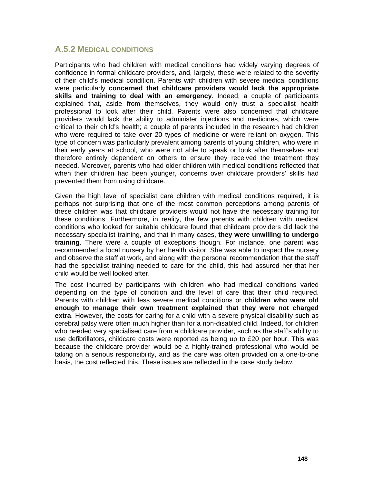## **A.5.2 MEDICAL CONDITIONS**

Participants who had children with medical conditions had widely varying degrees of confidence in formal childcare providers, and, largely, these were related to the severity of their child's medical condition. Parents with children with severe medical conditions were particularly **concerned that childcare providers would lack the appropriate skills and training to deal with an emergency**. Indeed, a couple of participants explained that, aside from themselves, they would only trust a specialist health professional to look after their child. Parents were also concerned that childcare providers would lack the ability to administer injections and medicines, which were critical to their child's health; a couple of parents included in the research had children who were required to take over 20 types of medicine or were reliant on oxygen. This type of concern was particularly prevalent among parents of young children, who were in their early years at school, who were not able to speak or look after themselves and therefore entirely dependent on others to ensure they received the treatment they needed. Moreover, parents who had older children with medical conditions reflected that when their children had been younger, concerns over childcare providers' skills had prevented them from using childcare.

Given the high level of specialist care children with medical conditions required, it is perhaps not surprising that one of the most common perceptions among parents of these children was that childcare providers would not have the necessary training for these conditions. Furthermore, in reality, the few parents with children with medical conditions who looked for suitable childcare found that childcare providers did lack the necessary specialist training, and that in many cases, **they were unwilling to undergo training**. There were a couple of exceptions though. For instance, one parent was recommended a local nursery by her health visitor. She was able to inspect the nursery and observe the staff at work, and along with the personal recommendation that the staff had the specialist training needed to care for the child, this had assured her that her child would be well looked after.

The cost incurred by participants with children who had medical conditions varied depending on the type of condition and the level of care that their child required. Parents with children with less severe medical conditions or **children who were old enough to manage their own treatment explained that they were not charged extra**. However, the costs for caring for a child with a severe physical disability such as cerebral palsy were often much higher than for a non-disabled child. Indeed, for children who needed very specialised care from a childcare provider, such as the staff's ability to use defibrillators, childcare costs were reported as being up to £20 per hour. This was because the childcare provider would be a highly-trained professional who would be taking on a serious responsibility, and as the care was often provided on a one-to-one basis, the cost reflected this. These issues are reflected in the case study below.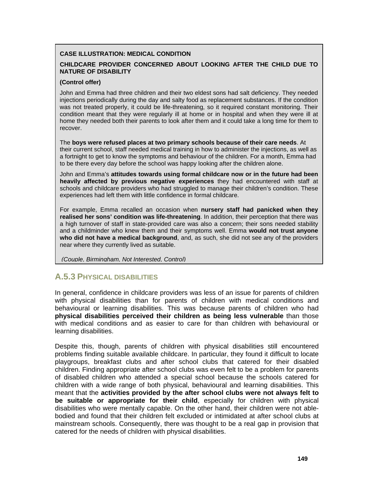#### **CASE ILLUSTRATION: MEDICAL CONDITION**

#### **CHILDCARE PROVIDER CONCERNED ABOUT LOOKING AFTER THE CHILD DUE TO NATURE OF DISABILITY**

#### **(Control offer)**

John and Emma had three children and their two eldest sons had salt deficiency. They needed injections periodically during the day and salty food as replacement substances. If the condition was not treated properly, it could be life-threatening, so it required constant monitoring. Their condition meant that they were regularly ill at home or in hospital and when they were ill at home they needed both their parents to look after them and it could take a long time for them to recover.

The **boys were refused places at two primary schools because of their care needs**. At their current school, staff needed medical training in how to administer the injections, as well as a fortnight to get to know the symptoms and behaviour of the children. For a month, Emma had to be there every day before the school was happy looking after the children alone.

John and Emma's **attitudes towards using formal childcare now or in the future had been heavily affected by previous negative experiences** they had encountered with staff at schools and childcare providers who had struggled to manage their children's condition. These experiences had left them with little confidence in formal childcare.

For example, Emma recalled an occasion when **nursery staff had panicked when they realised her sons' condition was life-threatening**. In addition, their perception that there was a high turnover of staff in state-provided care was also a concern; their sons needed stability and a childminder who knew them and their symptoms well. Emma **would not trust anyone who did not have a medical background**, and, as such, she did not see any of the providers near where they currently lived as suitable.

*(Couple, Birmingham, Not Interested, Control)*

## **A.5.3 PHYSICAL DISABILITIES**

In general, confidence in childcare providers was less of an issue for parents of children with physical disabilities than for parents of children with medical conditions and behavioural or learning disabilities. This was because parents of children who had **physical disabilities perceived their children as being less vulnerable** than those with medical conditions and as easier to care for than children with behavioural or learning disabilities.

Despite this, though, parents of children with physical disabilities still encountered problems finding suitable available childcare. In particular, they found it difficult to locate playgroups, breakfast clubs and after school clubs that catered for their disabled children. Finding appropriate after school clubs was even felt to be a problem for parents of disabled children who attended a special school because the schools catered for children with a wide range of both physical, behavioural and learning disabilities. This meant that the **activities provided by the after school clubs were not always felt to be suitable or appropriate for their child**, especially for children with physical disabilities who were mentally capable. On the other hand, their children were not ablebodied and found that their children felt excluded or intimidated at after school clubs at mainstream schools. Consequently, there was thought to be a real gap in provision that catered for the needs of children with physical disabilities.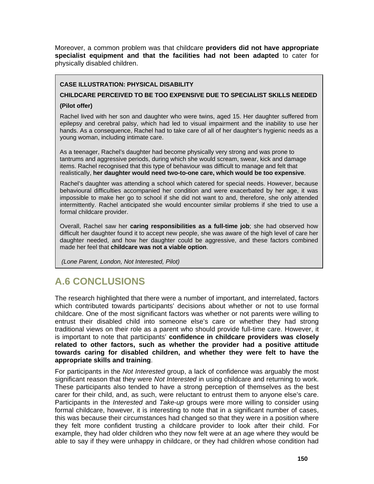Moreover, a common problem was that childcare **providers did not have appropriate specialist equipment and that the facilities had not been adapted** to cater for physically disabled children.

### **CASE ILLUSTRATION: PHYSICAL DISABILITY**

**CHILDCARE PERCEIVED TO BE TOO EXPENSIVE DUE TO SPECIALIST SKILLS NEEDED** 

#### **(Pilot offer)**

Rachel lived with her son and daughter who were twins, aged 15. Her daughter suffered from epilepsy and cerebral palsy, which had led to visual impairment and the inability to use her hands. As a consequence, Rachel had to take care of all of her daughter's hygienic needs as a young woman, including intimate care.

As a teenager, Rachel's daughter had become physically very strong and was prone to tantrums and aggressive periods, during which she would scream, swear, kick and damage items. Rachel recognised that this type of behaviour was difficult to manage and felt that realistically, **her daughter would need two-to-one care, which would be too expensive**.

Rachel's daughter was attending a school which catered for special needs. However, because behavioural difficulties accompanied her condition and were exacerbated by her age, it was impossible to make her go to school if she did not want to and, therefore, she only attended intermittently. Rachel anticipated she would encounter similar problems if she tried to use a formal childcare provider.

Overall, Rachel saw her **caring responsibilities as a full-time job**; she had observed how difficult her daughter found it to accept new people, she was aware of the high level of care her daughter needed, and how her daughter could be aggressive, and these factors combined made her feel that **childcare was not a viable option**.

 *(Lone Parent, London, Not Interested, Pilot)* 

# **A.6 CONCLUSIONS**

The research highlighted that there were a number of important, and interrelated, factors which contributed towards participants' decisions about whether or not to use formal childcare. One of the most significant factors was whether or not parents were willing to entrust their disabled child into someone else's care or whether they had strong traditional views on their role as a parent who should provide full-time care. However, it is important to note that participants' **confidence in childcare providers was closely related to other factors, such as whether the provider had a positive attitude towards caring for disabled children, and whether they were felt to have the appropriate skills and training**.

For participants in the *Not Interested* group, a lack of confidence was arguably the most significant reason that they were *Not Interested* in using childcare and returning to work. These participants also tended to have a strong perception of themselves as the best carer for their child, and, as such, were reluctant to entrust them to anyone else's care. Participants in the *Interested* and *Take-up* groups were more willing to consider using formal childcare, however, it is interesting to note that in a significant number of cases, this was because their circumstances had changed so that they were in a position where they felt more confident trusting a childcare provider to look after their child. For example, they had older children who they now felt were at an age where they would be able to say if they were unhappy in childcare, or they had children whose condition had